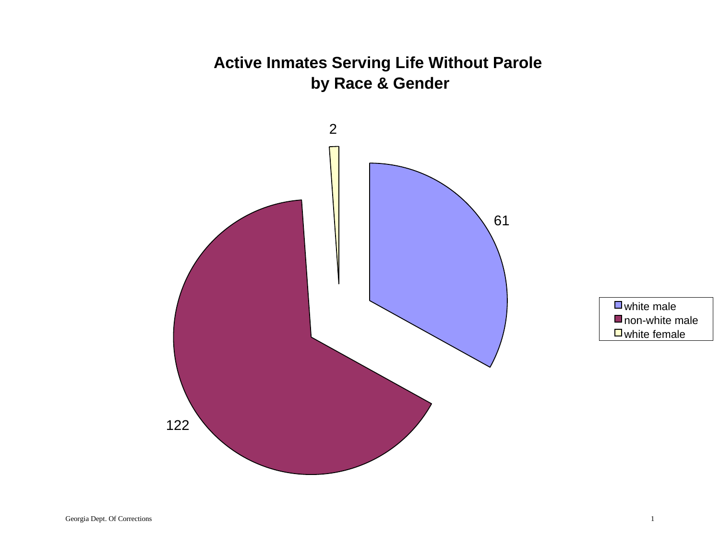## **Active Inmates Serving Life Without Parole by Race & Gender**



white male non-white male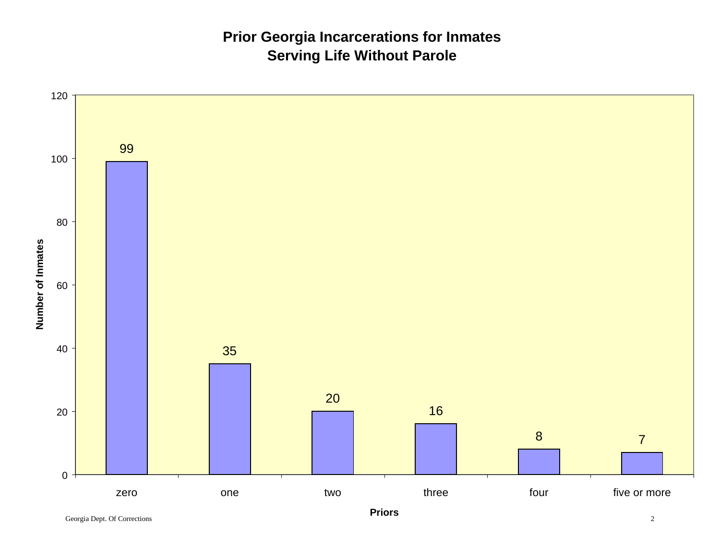## **Prior Georgia Incarcerations for Inmates Serving Life Without Parole**

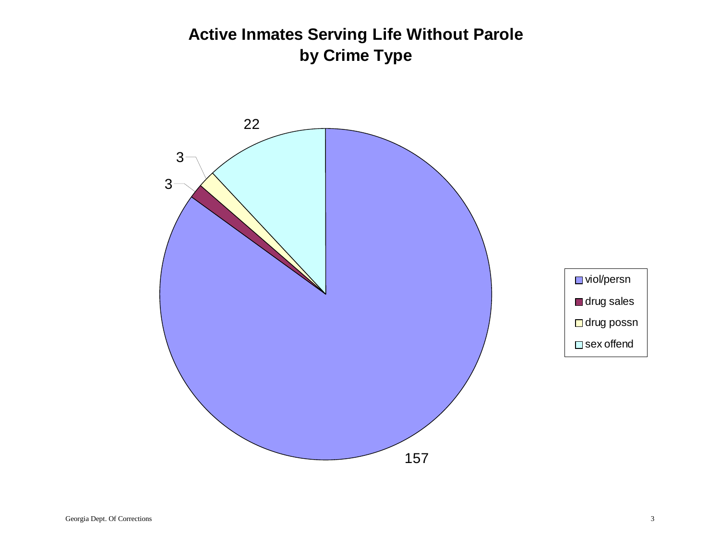# **Active Inmates Serving Life Without Parole by Crime Type**

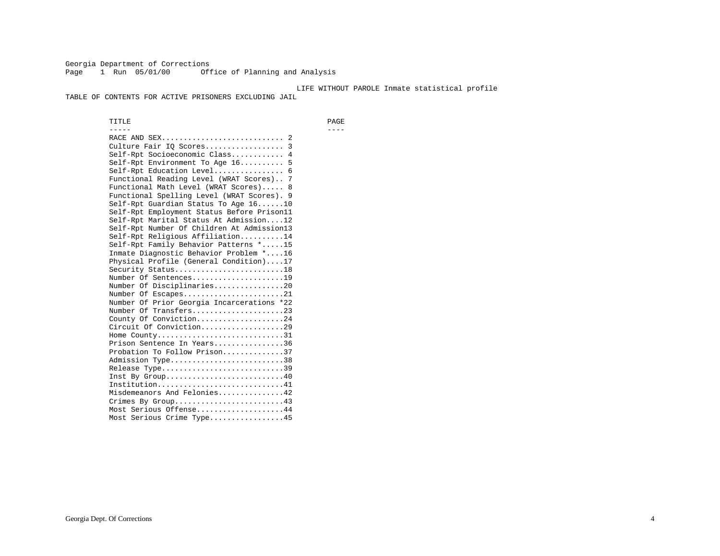Georgia Department of Corrections Page 1 Run 05/01/00 Office of Planning and Analysis

#### LIFE WITHOUT PAROLE Inmate statistical profile

TABLE OF CONTENTS FOR ACTIVE PRISONERS EXCLUDING JAIL

 TITLE PAGE ----- ---- RACE AND SEX............................ 2 Culture Fair IQ Scores.................. 3 Self-Rpt Socioeconomic Class............ 4 Self-Rpt Environment To Age 16.......... 5 Self-Rpt Education Level................ 6 Functional Reading Level (WRAT Scores).. 7 Functional Math Level (WRAT Scores)..... 8 Functional Spelling Level (WRAT Scores). 9 Self-Rpt Guardian Status To Age 16......10 Self-Rpt Employment Status Before Prison11 Self-Rpt Marital Status At Admission....12 Self-Rpt Number Of Children At Admission13 Self-Rpt Religious Affiliation..........14 Self-Rpt Family Behavior Patterns \*.....15 Inmate Diagnostic Behavior Problem \*....16 Physical Profile (General Condition)....17 Security Status...........................18 Number Of Sentences.....................19 Number Of Disciplinaries................20 Number Of Escapes.........................21 Number Of Prior Georgia Incarcerations \*22 Number Of Transfers.....................23 County Of Conviction....................24 Circuit Of Conviction...................29 Home County.................................31 Prison Sentence In Years................36 Probation To Follow Prison..............37Admission Type.............................38 Release Type...............................39 Inst By Group..............................40 Institution.............................41 Misdemeanors And Felonies...............42 Crimes By Group.........................43 Most Serious Offense....................44 Most Serious Crime Type.................45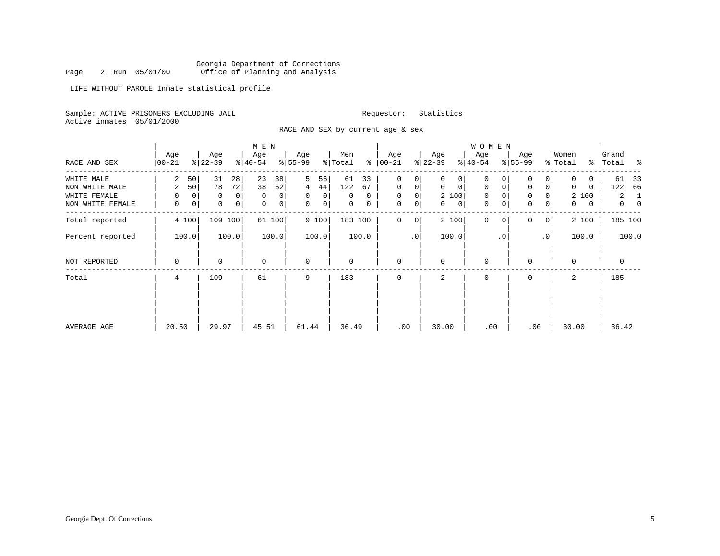Georgia Department of Corrections<br>2 Run 05/01/00 Office of Planning and Analysis Page 2 Run 05/01/00 Office of Planning and Analysis

LIFE WITHOUT PAROLE Inmate statistical profile

Sample: ACTIVE PRISONERS EXCLUDING JAIL **Requestor:** Statistics Active inmates 05/01/2000

RACE AND SEX by current age & sex

|                  |                 |                          | M E N               |                     |                     |                      |                         | W O M E N            |                               |                  |                     |
|------------------|-----------------|--------------------------|---------------------|---------------------|---------------------|----------------------|-------------------------|----------------------|-------------------------------|------------------|---------------------|
| RACE AND SEX     | Age<br>$ 00-21$ | Age<br>$ 22-39 $         | Age<br>$ 40-54 $    | Age<br>$ 55-99 $    | Men<br>% Total<br>ႜ | Age<br>$ 00-21$      | Age<br>$ 22-39 $        | Age<br>$ 40-54 $     | Age<br>$8 55-99$              | Women<br>% Total | Grand<br>% Total %  |
| WHITE MALE       | 2               | 28<br>50<br>31           | 23<br>38            | 5<br>56             | 61<br>33            | $\Omega$<br>$\Omega$ | $\Omega$<br>$\Omega$    | $\Omega$<br>0        | 0<br>$\Omega$                 | 0<br>0           | 61<br>33            |
| NON WHITE MALE   | 2               | 50<br>78<br>72           | 38<br>62            | 44 <br>4            | 122<br>67           | 0<br>0               | $\mathbf 0$<br>$\Omega$ | $\mathbf{0}$<br>0    | 0<br>$\mathbf 0$              | $\Omega$<br>0    | 66<br>122           |
| WHITE FEMALE     | 0               | $\overline{0}$<br>0<br>0 | 0<br>$\overline{0}$ | 0<br>$\overline{0}$ | 0<br>0              | 0<br>0               | 2 100                   | 0                    | 0                             | 2 100            | 2<br>-1             |
| NON WHITE FEMALE | 0               | 0<br> 0 <br>0            | 0 <sup>1</sup><br>0 | 0<br>0 <sup>1</sup> | 0<br>$\mathbf{0}$   | 0<br>0               | $\mathbf{0}$<br>0       | 0                    | $\mathbf 0$<br>$\overline{0}$ | 0<br>0           | $\overline{0}$<br>0 |
| Total reported   | 4 100           | 109 100                  | 61 100              | 9 100               | 183 100             | $\Omega$<br>0        | 2 100                   | $\Omega$<br>$\Omega$ | $\Omega$<br>0 <sup>1</sup>    | 2 100            | 185 100             |
| Percent reported | 100.0           | 100.0                    | 100.0               | 100.0               | 100.0               | $\cdot$ 0            | 100.0                   | $\cdot$ 0            | .0 <sup>1</sup>               | 100.0            | 100.0               |
| NOT REPORTED     | 0               | $\Omega$                 | 0                   | $\mathbf 0$         | 0                   | $\mathbf 0$          | $\Omega$                | 0                    | $\Omega$                      | $\Omega$         | 0                   |
| Total            | 4               | 109                      | 61                  | 9                   | 183                 | 0                    | 2                       | $\mathbf 0$          | 0                             | 2                | 185                 |
|                  |                 |                          |                     |                     |                     |                      |                         |                      |                               |                  |                     |
|                  |                 |                          |                     |                     |                     |                      |                         |                      |                               |                  |                     |
| AVERAGE AGE      | 20.50           | 29.97                    | 45.51               | 61.44               | 36.49               | .00                  | 30.00                   | .00                  | .00                           | 30.00            | 36.42               |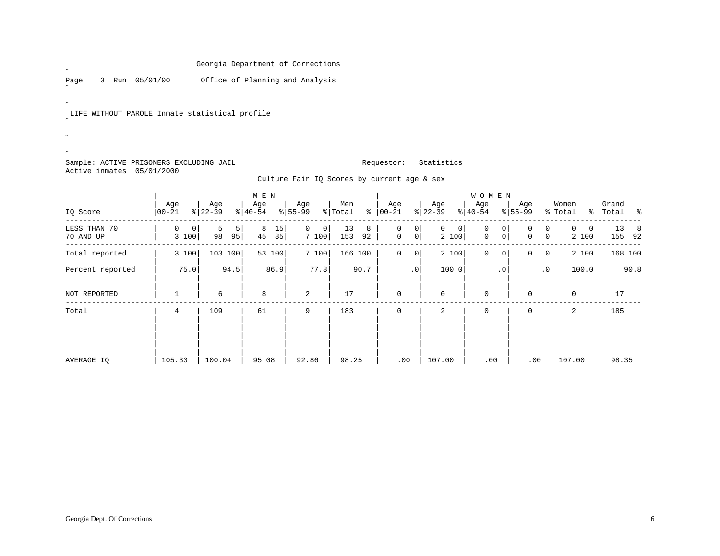Page 3 Run 05/01/00 Office of Planning and Analysis

LIFE WITHOUT PAROLE Inmate statistical profile

Sample: ACTIVE PRISONERS EXCLUDING JAIL **Requestor:** Statistics Active inmates 05/01/2000

 $\mathscr{L}$ 

 $\overline{a}$ 

˝ $\bar{\mathcal{A}}$ ˝

Culture Fair IQ Scores by current age & sex

|                           |                              |                                  | M E N               |                              |                      |                             |                              | <b>WOMEN</b>                |                                          |                        |                      |
|---------------------------|------------------------------|----------------------------------|---------------------|------------------------------|----------------------|-----------------------------|------------------------------|-----------------------------|------------------------------------------|------------------------|----------------------|
| IQ Score                  | Age<br>$00 - 21$             | Age<br>$ 22-39 $                 | Age<br>$8 40-54$    | Age<br>$8 55-99$             | Men<br>နွ<br>% Total | Age<br>$ 00-21 $            | Age<br>$ 22-39 $             | Age<br>$ 40-54 $            | Age<br>$ 55-99$                          | Women<br>% Total       | Grand<br>%   Total % |
| LESS THAN 70<br>70 AND UP | 0<br>$\overline{0}$<br>3 100 | 5 <sup>1</sup><br>5<br>95 <br>98 | 15<br>8<br>45<br>85 | $\mathbf{0}$<br> 0 <br>7 100 | 13<br>8<br>153<br>92 | 0<br>0<br>$\mathsf{O}$<br>0 | $\mathbf{0}$<br> 0 <br>2 100 | 0<br>0<br>0<br>0            | 0<br>0<br>$\overline{0}$<br>$\mathbf{0}$ | $\Omega$<br>0<br>2 100 | 13<br>- 8<br>155 92  |
| Total reported            | 3 100                        | 103 100                          | 53 100              | 7 100                        | 166 100              | 0<br>0                      | 2 100                        | $\mathbf 0$<br>$\mathbf{0}$ | 0<br>$\circ$                             | 2 100                  | 168 100              |
| Percent reported          | 75.0                         | 94.5                             | 86.9                | 77.8                         | 90.7                 | $\cdot$ 0                   | 100.0                        | $\cdot$ 0                   | $\cdot$ 0                                | 100.0                  | 90.8                 |
| NOT REPORTED              |                              | 6                                | 8                   | 2                            | 17                   | $\mathbf 0$                 | $\mathbf 0$                  | $\mathbf 0$                 | $\Omega$                                 | 0                      | 17                   |
| Total                     | 4                            | 109                              | 61                  | 9                            | 183                  | $\mathbf 0$                 | 2                            | 0                           | 0                                        | 2                      | 185                  |
| AVERAGE IO                | 105.33                       | 100.04                           | 95.08               | 92.86                        | 98.25                | .00                         | 107.00                       | .00                         | .00                                      | 107.00                 | 98.35                |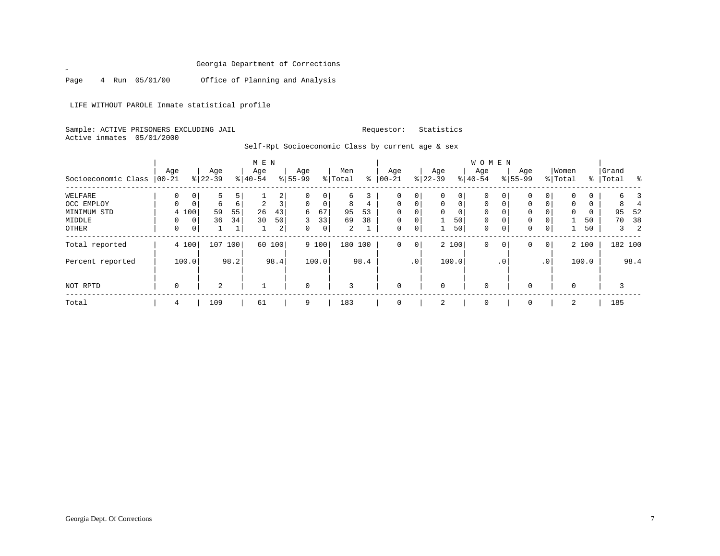Page 4 Run 05/01/00 Office of Planning and Analysis

LIFE WITHOUT PAROLE Inmate statistical profile

Sample: ACTIVE PRISONERS EXCLUDING JAIL **Requestor:** Statistics Active inmates 05/01/2000

 $\mathscr{L}$ 

Self-Rpt Socioeconomic Class by current age & sex

|                     |          |                |           |          | M E N          |                |             |                |                |      |              |             |           |          | W O M E N   |                 |             |                 |             |       |              |         |
|---------------------|----------|----------------|-----------|----------|----------------|----------------|-------------|----------------|----------------|------|--------------|-------------|-----------|----------|-------------|-----------------|-------------|-----------------|-------------|-------|--------------|---------|
|                     | Age      |                | Age       |          | Age            |                | Age         |                | Men            |      | Age          |             | Age       |          | Age         |                 | Age         |                 | Women       |       | Grand        |         |
| Socioeconomic Class | $ 00-21$ |                | $8 22-39$ |          | $8 40-54$      |                | $8155 - 99$ |                | % Total        | ႜ    | $00 - 21$    |             | $ 22-39 $ |          | $8 40-54$   |                 | $8155 - 99$ |                 | % Total     | ွေ    | Total        | ႜ       |
| WELFARE             | 0        | $\overline{0}$ | 5         | 5        |                | $\overline{2}$ | 0           | 0              | 6              |      | 0            | 0           | $\Omega$  | 0        | $\mathbf 0$ | 0               | 0           | 0 <sup>1</sup>  | 0           | 0     | б.           |         |
| OCC EMPLOY          | $\Omega$ | $\mathbf{0}$   | 6         | $6 \mid$ | $\overline{2}$ | $\overline{3}$ | $\Omega$    | $\overline{0}$ | 8              | 4    | $\Omega$     | $\Omega$    | $\Omega$  | $\Omega$ | $\Omega$    | $\Omega$        | $\Omega$    | $\Omega$        | 0           | 0     | 8            |         |
| MINIMUM STD         |          | 4 100          | 59        | 55       | 26             | 43             | 6           | 67             | 95             | 53   | $\Omega$     | $\Omega$    | $\Omega$  | $\Omega$ | $\Omega$    | 0               | 0           | $\Omega$        | $\mathbf 0$ |       | 95           | -52     |
| MIDDLE              | 0        | $\overline{0}$ | 36        | 34       | 30             | 50             | 3           | 33             | 69             | 38   | $\mathbf{0}$ | $\mathbf 0$ |           | 50       | 0           | 0               | 0           | $\Omega$        |             | 50    | 70           | 38      |
| OTHER               | 0        | 0              |           |          |                | 2 <sup>1</sup> | 0           | $\overline{0}$ | $\overline{2}$ |      | $\mathbf{0}$ | 0           |           | 50       | $\mathbf 0$ | 0               | $\mathbf 0$ | 0               |             | 50    | $\mathbf{3}$ | 2       |
| Total reported      |          | 4 100          | 107       | 100      |                | 60 100         |             | 9 100          | 180 100        |      | $\mathbf 0$  | $\mathbf 0$ |           | 2 100    | 0           | 0               | $\Omega$    | 0 <sup>1</sup>  |             | 2 100 |              | 182 100 |
| Percent reported    |          | 100.0          |           | 98.2     |                | 98.4           |             | 100.0          |                | 98.4 |              | $\cdot$ 0   |           | 100.0    |             | .0 <sup>°</sup> |             | .0 <sup>1</sup> |             | 100.0 |              | 98.4    |
| NOT RPTD            | 0        |                | 2         |          |                |                | $\mathbf 0$ |                | 3              |      | $\mathbf 0$  |             | $\Omega$  |          | $\mathbf 0$ |                 | $\Omega$    |                 | $\mathbf 0$ |       | 3            |         |
| Total               | 4        |                | 109       |          | 61             |                | 9           |                | 183            |      | 0            |             | 2         |          | $\mathbf 0$ |                 |             |                 | 2           |       | 185          |         |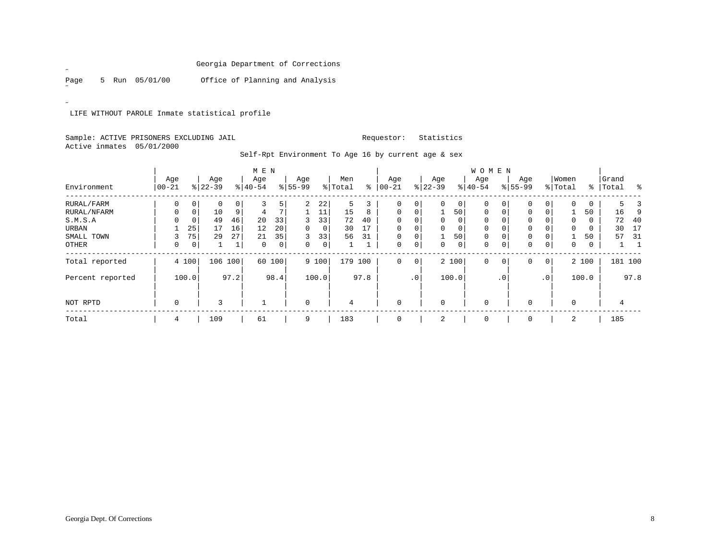Page 5 Run 05/01/00 Office of Planning and Analysis

 $\overline{a}$ 

 $\overline{a}$ 

LIFE WITHOUT PAROLE Inmate statistical profile

## Sample: ACTIVE PRISONERS EXCLUDING JAIL **Requestor:** Statistics Active inmates 05/01/2000

|                  |             |             |           |      | M E N    |      |                |       |         |      |          |                 |             |                | <b>WOMEN</b> |                |           |                |              |       |           |         |
|------------------|-------------|-------------|-----------|------|----------|------|----------------|-------|---------|------|----------|-----------------|-------------|----------------|--------------|----------------|-----------|----------------|--------------|-------|-----------|---------|
|                  | Age         |             | Age       |      | Age      |      | Age            |       | Men     |      | Age      |                 | Age         |                | Age          |                | Age       |                | Women        |       | Grand     |         |
| Environment      | $ 00 - 21$  |             | $ 22-39 $ |      | $ 40-54$ |      | $8 55-99$      |       | % Total | ៖    | $ 00-21$ |                 | $ 22-39 $   |                | $ 40-54$     |                | $8 55-99$ |                | % Total      |       | %   Total | ႜ       |
| RURAL/FARM       | 0           | 0           | 0         | 0    |          | 5    | $\overline{a}$ | 22    | 5       | 3    | 0        | 0               | $\mathbf 0$ | $\overline{0}$ | 0            | $\overline{0}$ | 0         | 0              | $\mathbf 0$  | 0     | 5         |         |
| RURAL/NFARM      | 0           | 0           | 10        | 9    | 4        |      |                | 11    | 15      | 8    | 0        | $\mathbf 0$     |             | 50             | $\mathbf 0$  | $\overline{0}$ | 0         | 0              |              | 50    | 16        | 9       |
| S.M.S.A          | $\Omega$    | $\mathbf 0$ | 49        | 46   | 20       | 33   | 3              | 33    | 72      | 40   | $\Omega$ | $\Omega$        | $\mathbf 0$ | 0              | $\mathbf 0$  | 0              | 0         |                | 0            | 0     | 72        | 40      |
| URBAN            |             | 25          | 17        | 16   | 12       | 20   | $\Omega$       | 0     | 30      | 17   | $\Omega$ | 0               | 0           | 0              | $\mathbf 0$  |                | 0         |                | $\mathbf 0$  | 0     | 30        | 17      |
| SMALL TOWN       | 3           | 75          | 29        | 27   | 21       | 35   | 3              | 33    | 56      | 31   | 0        | 0               |             | 50             | $\mathbf 0$  | 0              | 0         | 0              |              | 50    | 57        | - 31    |
| OTHER            | 0           | $\mathbf 0$ |           |      | 0        | 0    | 0              | 0     |         |      | 0        | $\mathbf 0$     | $\mathbf 0$ | $\overline{0}$ | $\mathbf 0$  | 0 <sup>1</sup> | 0         | 0              | $\mathbf{0}$ | 0     |           |         |
| Total reported   | 4 100       |             | 106       | 100  | 60       | 100  |                | 9 100 | 179 100 |      | 0        | $\overline{0}$  |             | 2 100          | $\mathbf 0$  | $\overline{0}$ | 0         | 0 <sup>1</sup> |              | 2 100 |           | 181 100 |
| Percent reported | 100.0       |             |           | 97.2 |          | 98.4 |                | 100.0 |         | 97.8 |          | .0 <sup>1</sup> |             | 100.0          |              | $\cdot$ 0      |           | $\cdot$ 0      |              | 100.0 |           | 97.8    |
| NOT RPTD         | $\mathbf 0$ |             | 3         |      |          |      | 0              |       | 4       |      | $\Omega$ |                 | $\mathbf 0$ |                | $\mathbf{0}$ |                | 0         |                | $\mathbf 0$  |       |           |         |
| Total            | 4           |             | 109       |      | 61       |      | 9              |       | 183     |      |          |                 | 2           |                | $\Omega$     |                |           |                | 2            |       | 185       |         |

Self-Rpt Environment To Age 16 by current age & sex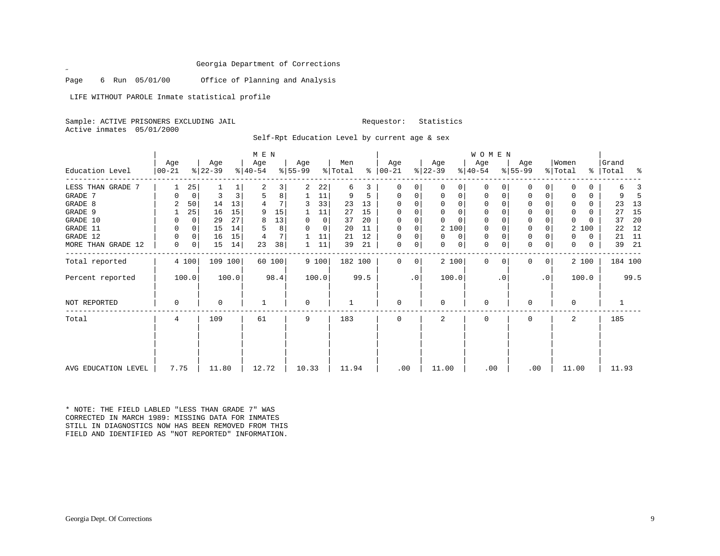Page 6 Run 05/01/00 Office of Planning and Analysis

LIFE WITHOUT PAROLE Inmate statistical profile

Sample: ACTIVE PRISONERS EXCLUDING JAIL **Requestor:** Statistics Active inmates 05/01/2000

 $\mathscr{L}^{\pm}$ 

Self-Rpt Education Level by current age & sex

|                       |                  |                |                  |       | M E N            |        |                  |         |                |      |                              |              |                  |          | WOMEN            |          |                  |                |                  |          |                      |         |
|-----------------------|------------------|----------------|------------------|-------|------------------|--------|------------------|---------|----------------|------|------------------------------|--------------|------------------|----------|------------------|----------|------------------|----------------|------------------|----------|----------------------|---------|
| Education Level       | Age<br>$ 00-21 $ |                | Age<br>$ 22-39 $ |       | Age<br>$ 40-54 $ |        | Age<br>$ 55-99 $ |         | Men<br>% Total |      | Age<br>$\frac{1}{6}$   00-21 |              | Age<br>$ 22-39 $ |          | Age<br>$ 40-54 $ |          | Age<br>$8 55-99$ |                | Women<br>% Total |          | Grand<br>%   Total % |         |
| LESS THAN GRADE<br>-7 |                  | 25             |                  |       |                  | 3      | 2                | 22      | 6              | 3.   | 0                            | 0            | $\Omega$         | 0        | $\Omega$         | n        | 0                | 0              |                  | 0        | 6                    |         |
| GRADE 7               |                  | 0              | 3                |       |                  | 8      |                  | 11      | 9              | 5.   | $\Omega$                     | 0            | 0                | 0        | 0                | 0        | 0                | 0              | 0                | 0        | 9                    | -5      |
| GRADE 8               |                  | 50             | 14               | 13    |                  | 7      | 3                | 33      | 23             | 13   | $\Omega$                     | $\Omega$     | $\Omega$         | 0        | 0                | $\Omega$ | 0                | $\Omega$       | $\Omega$         | 0        | 23                   | 13      |
| GRADE 9               |                  | 25             | 16               | 15    | 9                | 15     |                  | 11      | 27             | 15   |                              | 0            | 0                | 0        | 0                |          | 0                |                | 0                | 0        | 27                   | 15      |
| GRADE 10              | 0                | 0              | 29               | 27    | 8                | 13     | 0                | $\circ$ | 37             | 20   | $\Omega$                     | 0            | $\Omega$         | $\Omega$ | 0                | 0        | $\mathbf 0$      |                | 0                | 0        | 37                   | 20      |
| GRADE 11              | 0                | $\overline{0}$ | 15               | 14    |                  | 8      | $\Omega$         | 0       | 20             | 11   | $\Omega$                     | $\mathbf 0$  | 2 100            |          | 0                |          | $\mathbf{0}$     |                | 2                | 100      | 22                   | 12      |
| GRADE 12              | 0                | 0 <sup>1</sup> | 16               | 15    |                  | 7      |                  | 11      | 21             | 12   | $\Omega$                     | $\mathbf 0$  | $\Omega$         | 0        | 0                | 0        | $\mathbf 0$      |                | $\Omega$         | 0        | 21                   | 11      |
| MORE THAN GRADE 12    | $\mathbf 0$      | 0 <sup>1</sup> | 15               | 14    | 23               | 38     |                  | 11      | 39             | 21   | 0                            | 0            | $\mathbf{0}$     | 0        | $\mathbf{0}$     | 0        | $\mathbf 0$      | 0              | 0                | $\Omega$ | 39                   | 21      |
| Total reported        |                  | 4 100          | 109 100          |       |                  | 60 100 |                  | 9 100   | 182 100        |      | $\Omega$                     | $\mathbf{0}$ | 2 100            |          | $\Omega$         | 0        | 0                | 0 <sup>1</sup> |                  | 2 100    |                      | 184 100 |
| Percent reported      |                  | 100.0          |                  | 100.0 |                  | 98.4   |                  | 100.0   |                | 99.5 |                              | .0           | 100.0            |          |                  | . 0      |                  | $\cdot$ 0      |                  | 100.0    |                      | 99.5    |
| NOT REPORTED          | 0                |                | 0                |       |                  |        | 0                |         |                |      | $\Omega$                     |              | 0                |          | 0                |          | 0                |                | 0                |          |                      |         |
| Total                 | 4                |                | 109              |       | 61               |        | 9                |         | 183            |      |                              |              | 2                |          | $\Omega$         |          | 0                |                | 2                |          | 185                  |         |
|                       |                  |                |                  |       |                  |        |                  |         |                |      |                              |              |                  |          |                  |          |                  |                |                  |          |                      |         |
| AVG EDUCATION LEVEL   | 7.75             |                | 11.80            |       | 12.72            |        | 10.33            |         | 11.94          |      | .00                          |              | 11.00            |          | .00              |          | .00              |                | 11.00            |          | 11.93                |         |

\* NOTE: THE FIELD LABLED "LESS THAN GRADE 7" WAS CORRECTED IN MARCH 1989: MISSING DATA FOR INMATES STILL IN DIAGNOSTICS NOW HAS BEEN REMOVED FROM THISFIELD AND IDENTIFIED AS "NOT REPORTED" INFORMATION.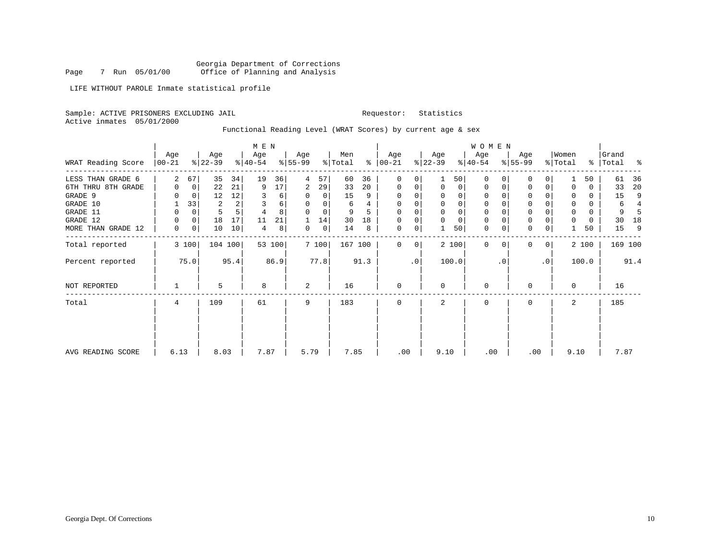Georgia Department of Corrections Page 7 Run 05/01/00 Office of Planning and Analysis

LIFE WITHOUT PAROLE Inmate statistical profile

Sample: ACTIVE PRISONERS EXCLUDING JAIL **Requestor:** Statistics

Active inmates 05/01/2000

Functional Reading Level (WRAT Scores) by current age & sex

|                    | Age       |             | Age       |              | M E N<br>Age |        | Age       |                | Men     |      | Age           |           | Age         |                | WOMEN<br>Age |           | Age          |           | Women               |          | Grand |         |
|--------------------|-----------|-------------|-----------|--------------|--------------|--------|-----------|----------------|---------|------|---------------|-----------|-------------|----------------|--------------|-----------|--------------|-----------|---------------------|----------|-------|---------|
| WRAT Reading Score | $ 00-21 $ |             | $ 22-39 $ |              | $ 40-54 $    |        | $8 55-99$ |                | % Total |      | $8   00 - 21$ |           | $ 22-39 $   |                | $8 40-54$    |           | $ 55-99 $    |           | $\frac{1}{2}$ Total | ႜ        | Total | ႜ       |
| LESS THAN GRADE 6  | 2         | 67          | 35        | 34           | 19           | 36     | 4         | 57             | 60      | 36   | 0             | 0         |             | 50             | $\Omega$     |           | 0            | 0         |                     | 50       | 61    | 36      |
| 6TH THRU 8TH GRADE | 0         | 0           | 22        | 21           | 9            | 17     | 2         | 29             | 33      | 20   | 0             | 0         | $\mathbf 0$ | 0 <sup>1</sup> | 0            | 0         | 0            | 0         | $\Omega$            | 0        | 33    | 20      |
| GRADE 9            |           | $\Omega$    | 12        | 12           | 3            | 6      | 0         | $\Omega$       | 15      | 9    | $\Omega$      | 0         |             | $\Omega$       | $\Omega$     |           | 0            |           | 0                   | $\Omega$ | 15    | 9       |
| GRADE 10           |           | 33          | 2         | $\mathbf{2}$ | 3            | 6      | $\Omega$  | 0              | 6       | 4    | 0             | 0         |             | $\mathbf 0$    | 0            |           | $\mathbf 0$  |           | 0                   | $\Omega$ | 6     | 4       |
| GRADE 11           | 0         | 0           | 5         |              | 4            | 8      | $\Omega$  | $\Omega$       | 9       |      | $\Omega$      | 0         |             | $\mathbf{0}$   | 0            |           | $\mathbf 0$  |           | $\mathbf 0$         | $\Omega$ | 9     |         |
| GRADE 12           | 0         | $\mathbf 0$ | 18        | 17           | 11           | 21     |           | 14             | 30      | 18   | 0             | 0         |             | $\mathbf 0$    | 0            |           | $\mathsf{O}$ |           | $\Omega$            | 0        | 30    | 18      |
| MORE THAN GRADE 12 | 0         | 0           | 10        | 10           | 4            | 8      | 0         | $\overline{0}$ | 14      | 8    | 0             | 0         |             | 50             | 0            |           | $\mathbf 0$  | 0         |                     | 50       | 15    | 9       |
| Total reported     |           | 3 100       | 104 100   |              |              | 53 100 |           | 7 100          | 167 100 |      | $\Omega$      | 0         |             | 2 100          | $\Omega$     |           | $\Omega$     | 0         |                     | 2 100    |       | 169 100 |
| Percent reported   |           | 75.0        |           | 95.4         |              | 86.9   |           | 77.8           |         | 91.3 |               | $\cdot$ 0 |             | 100.0          |              | $\cdot$ 0 |              | $\cdot$ 0 |                     | 100.0    |       | 91.4    |
| NOT REPORTED       |           |             | 5         |              | 8            |        | 2         |                | 16      |      | $\Omega$      |           | $\Omega$    |                | 0            |           | 0            |           | $\Omega$            |          | 16    |         |
| Total              | 4         |             | 109       |              | 61           |        | 9         |                | 183     |      | $\Omega$      |           | 2           |                | 0            |           | $\Omega$     |           | 2                   |          | 185   |         |
|                    |           |             |           |              |              |        |           |                |         |      |               |           |             |                |              |           |              |           |                     |          |       |         |
| AVG READING SCORE  | 6.13      |             | 8.03      |              | 7.87         |        | 5.79      |                | 7.85    |      | .00           |           | 9.10        |                | .00          |           | .00          |           | 9.10                |          | 7.87  |         |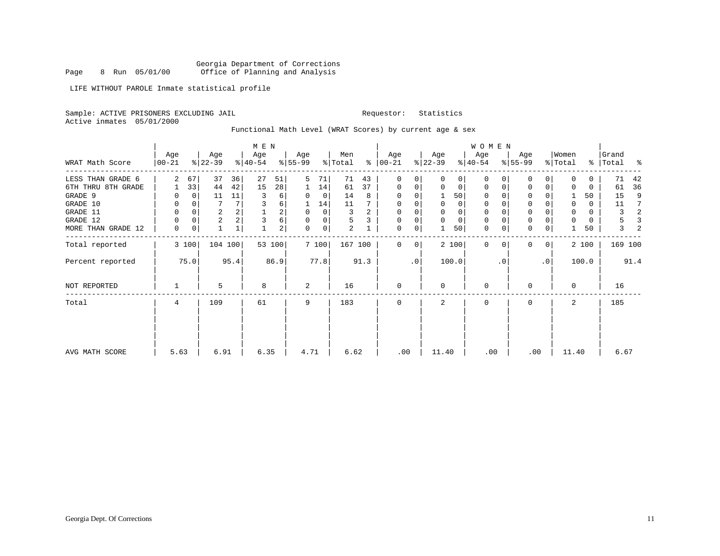Georgia Department of Corrections<br>8 Run 05/01/00 Office of Planning and Analysis Page 8 Run 05/01/00 Office of Planning and Analysis

LIFE WITHOUT PAROLE Inmate statistical profile

Sample: ACTIVE PRISONERS EXCLUDING JAIL **Requestor:** Statistics

Active inmates 05/01/2000

Functional Math Level (WRAT Scores) by current age & sex

|                    |                  |             |                         |         | M E N            |                |                  |             |                |      |                      |             |                  |          | W O M E N        |           |                  |              |                  |       |                    |      |
|--------------------|------------------|-------------|-------------------------|---------|------------------|----------------|------------------|-------------|----------------|------|----------------------|-------------|------------------|----------|------------------|-----------|------------------|--------------|------------------|-------|--------------------|------|
| WRAT Math Score    | Age<br>$ 00-21 $ |             | Age<br>$ 22-39 $        |         | Age<br>$ 40-54 $ |                | Age<br>$8 55-99$ |             | Men<br>% Total |      | Age<br>$8   00 - 21$ |             | Age<br>$ 22-39 $ |          | Age<br>$ 40-54 $ |           | Age<br>$8 55-99$ |              | Women<br>% Total |       | Grand<br>%   Total | း    |
| LESS THAN GRADE 6  | 2                | 67          | 37                      | 36      | 27               | 51             | 5                | 71          | 71             | 43   | $\mathbf 0$          | 0           | $\Omega$         | $\Omega$ | $\Omega$         | 0         | $\Omega$         | 0            | $\Omega$         | 0     | 71                 | 42   |
| 6TH THRU 8TH GRADE |                  | 33          | 44                      | 42      | 15               | 28             |                  | 14          | 61             | 37   | $\mathbf 0$          | 0           | 0                | 0        | 0                | 0         | 0                | 0            | 0                | 0     | 61                 | 36   |
| GRADE 9            |                  | 0           | 11                      | 11      | 3                | 6              | 0                | $\mathbf 0$ | 14             | 8    | 0                    | 0           |                  | 50       | 0                |           | $\Omega$         |              |                  | 50    | 15                 | 9    |
| GRADE 10           | 0                | 0           |                         |         | 3                | 6              |                  | 14          | 11             |      | $\Omega$             | 0           | 0                | $\Omega$ | 0                |           | $\mathbf 0$      |              | 0                | 0     | 11                 | 7    |
| GRADE 11           | 0                | $\Omega$    | 2                       |         |                  | 2              |                  | 0           | 3              | 2    | $\Omega$             |             |                  |          |                  |           | $\Omega$         |              | 0                | 0     | 3                  | 2    |
| GRADE 12           | 0                | $\mathbf 0$ | $\overline{\mathbf{c}}$ |         | 3                | 6              | $\Omega$         | 0           | 5              |      | 0                    | 0           | $\Omega$         | $\Omega$ | 0                |           | $\mathbf 0$      |              | 0                | 0     | 5                  |      |
| MORE THAN GRADE 12 | 0                | 0           | 1                       | 1       |                  | $\overline{a}$ | $\Omega$         | 0           | $\overline{2}$ |      | $\mathbf 0$          | 0           |                  | 50       | 0                | 0         | $\mathbf 0$      | 0            |                  | 50    | $\mathbf{3}$       |      |
| Total reported     |                  | 3 100       |                         | 104 100 |                  | 53 100         |                  | 7 100       | 167 100        |      | $\Omega$             | $\mathbf 0$ |                  | 2 100    | $\mathbf{0}$     | $\Omega$  | $\Omega$         | $\mathbf{0}$ |                  | 2 100 | 169 100            |      |
| Percent reported   |                  | 75.0        |                         | 95.4    |                  | 86.9           |                  | 77.8        |                | 91.3 |                      | $\cdot$ 0   |                  | 100.0    |                  | $\cdot$ 0 |                  | .0           |                  | 100.0 |                    | 91.4 |
| NOT REPORTED       | 1                |             | 5                       |         | 8                |                | 2                |             | 16             |      | $\mathbf 0$          |             | $\Omega$         |          | 0                |           | 0                |              | 0                |       | 16                 |      |
| Total              | 4                |             | 109                     |         | 61               |                | 9                |             | 183            |      | $\mathbf 0$          |             | 2                |          | 0                |           | 0                |              | 2                |       | 185                |      |
|                    |                  |             |                         |         |                  |                |                  |             |                |      |                      |             |                  |          |                  |           |                  |              |                  |       |                    |      |
| AVG MATH SCORE     | 5.63             |             | 6.91                    |         | 6.35             |                | 4.71             |             | 6.62           |      | .00                  |             | 11.40            |          | .00              |           | .00              |              | 11.40            |       | 6.67               |      |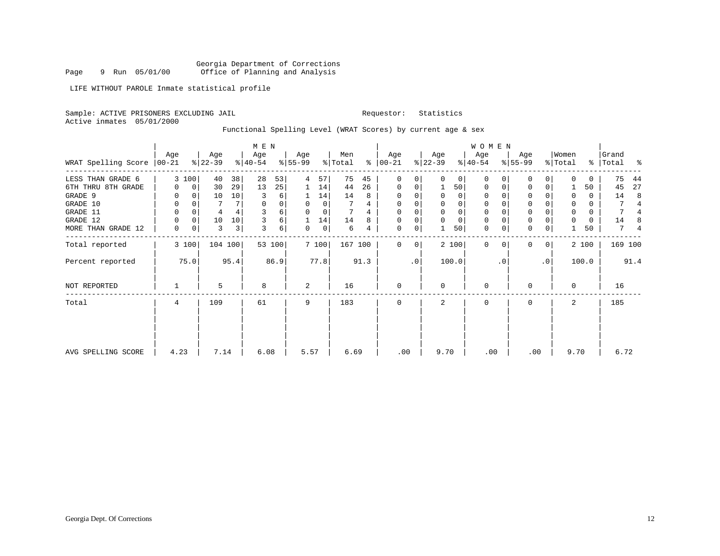Georgia Department of Corrections<br>9 Run 05/01/00 Office of Planning and Analysis Page 9 Run 05/01/00 Office of Planning and Analysis

LIFE WITHOUT PAROLE Inmate statistical profile

Sample: ACTIVE PRISONERS EXCLUDING JAIL **Requestor:** Statistics

Active inmates 05/01/2000

Functional Spelling Level (WRAT Scores) by current age & sex

|                     |                  | M E N       |                  |         |                  |        |                  |              |                |      |                      | W O M E N |                  |             |                  |           |                  |                |                  |       |                    |      |
|---------------------|------------------|-------------|------------------|---------|------------------|--------|------------------|--------------|----------------|------|----------------------|-----------|------------------|-------------|------------------|-----------|------------------|----------------|------------------|-------|--------------------|------|
| WRAT Spelling Score | Age<br>$ 00-21 $ |             | Age<br>$ 22-39 $ |         | Age<br>$8 40-54$ |        | Age<br>$8 55-99$ |              | Men<br>% Total |      | Age<br>$8   00 - 21$ |           | Age<br>$ 22-39 $ |             | Age<br>$ 40-54 $ |           | Age<br>$8 55-99$ |                | Women<br>% Total |       | Grand<br>%   Total | ႜ    |
| LESS THAN GRADE 6   |                  | 3 100       | 40               | 38      | 28               | 53     | 4                | 57           | 75             | 45   | $\mathbf 0$          | 0         | $\Omega$         | $\Omega$    | $\Omega$         | 0         | $\Omega$         | $\Omega$       | $\Omega$         | 0     | 75                 | 44   |
| 6TH THRU 8TH GRADE  | 0                | $\mathbf 0$ | 30               | 29      | 13               | 25     | ı.               | 14           | 44             | 26   | 0                    | 0         |                  | 50          | 0                | $\Omega$  | $\mathbf 0$      | $\Omega$       |                  | 50    | 45                 | 27   |
| GRADE 9             |                  | $\Omega$    | 10               | 10      | 3                | 6      |                  | 14           | 14             | 8    | $\Omega$             | 0         |                  | $\Omega$    | $\Omega$         |           | $\Omega$         |                | U                | 0     | 14                 | 8    |
| GRADE 10            | 0                | 0           |                  |         | 0                | 0      | $\Omega$         | $\Omega$     |                | 4    | 0                    | 0         |                  | 0           | 0                |           | $\mathbf{0}$     |                | $\Omega$         | 0     |                    | 4    |
| GRADE 11            | 0                | 0           | 4                |         |                  | 6      |                  | $\Omega$     |                |      | $\Omega$             |           |                  | $\mathbf 0$ | 0                |           | $\Omega$         |                | $\Omega$         | 0     | 7                  |      |
| GRADE 12            | U                | $\Omega$    | 10               | 10      |                  | 6      |                  | 14           | 14             | 8    | $\Omega$             | 0         |                  | $\mathbf 0$ | 0                |           | $\mathbf{0}$     |                |                  | 0     | 14                 | 8    |
| MORE THAN GRADE 12  | 0                | $\mathbf 0$ | 3                | 3       | 3                | 6      | 0                | $\mathbf{0}$ | 6              | 4    | $\mathbf 0$          | 0         |                  | 50          | $\mathbf 0$      | 0         | $\mathbf 0$      | 0              |                  | 50    | 7                  | 4    |
| Total reported      |                  | 3 100       |                  | 104 100 |                  | 53 100 |                  | 7 100        | 167 100        |      | $\Omega$             | 0         |                  | 2 100       | $\Omega$         | $\Omega$  | $\Omega$         | 0 <sup>1</sup> |                  | 2 100 | 169 100            |      |
| Percent reported    |                  | 75.0        |                  | 95.4    |                  | 86.9   |                  | 77.8         |                | 91.3 |                      | $\cdot$ 0 |                  | 100.0       |                  | $\cdot$ 0 |                  | $\cdot$ 0      |                  | 100.0 |                    | 91.4 |
| NOT REPORTED        |                  |             | 5                |         | 8                |        | 2                |              | 16             |      | $\mathbf 0$          |           | $\Omega$         |             | 0                |           | O                |                | $\Omega$         |       | 16                 |      |
| Total               | 4                |             | 109              |         | 61               |        | 9                |              | 183            |      | $\mathbf 0$          |           | 2                |             | 0                |           | $\Omega$         |                | 2                |       | 185                |      |
|                     |                  |             |                  |         |                  |        |                  |              |                |      |                      |           |                  |             |                  |           |                  |                |                  |       |                    |      |
| AVG SPELLING SCORE  | 4.23             |             | 7.14             |         | 6.08             |        | 5.57             |              | 6.69           |      | .00                  |           | 9.70             |             | .00              |           | .00              |                | 9.70             |       | 6.72               |      |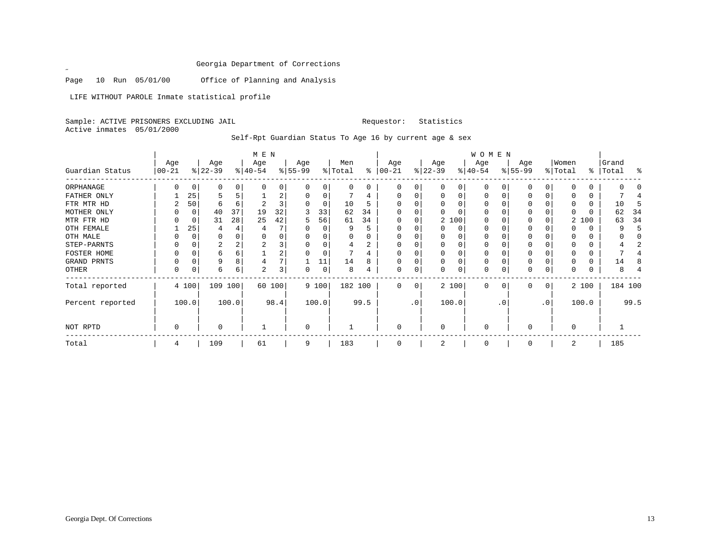Page 10 Run 05/01/00 Office of Planning and Analysis

LIFE WITHOUT PAROLE Inmate statistical profile

Sample: ACTIVE PRISONERS EXCLUDING JAIL Requestor: Statistics Active inmates 05/01/2000

 $\mathscr{L}$ 

Self-Rpt Guardian Status To Age 16 by current age & sex

|                  |                  |          |                  |       | M E N            |        |                 |       |                |      |                 |    |                  |          | WOMEN            |              |                  |           |                  |       |                    |         |
|------------------|------------------|----------|------------------|-------|------------------|--------|-----------------|-------|----------------|------|-----------------|----|------------------|----------|------------------|--------------|------------------|-----------|------------------|-------|--------------------|---------|
| Guardian Status  | Age<br>$00 - 21$ |          | Age<br>$ 22-39 $ |       | Age<br>$ 40-54 $ |        | Age<br>$ 55-99$ |       | Men<br>% Total | ွေ   | Age<br>$ 00-21$ |    | Age<br>$ 22-39 $ |          | Age<br>$ 40-54 $ |              | Age<br>$8 55-99$ |           | Women<br>% Total |       | Grand<br>%   Total | ႜ       |
| ORPHANAGE        |                  | 0        |                  | 0     |                  |        | $\Omega$        | 0     | 0              | 0    |                 |    | $\Omega$         | 0        | $\Omega$         |              | $\left($         |           |                  |       |                    |         |
| FATHER ONLY      |                  | 25       |                  |       |                  | 2      |                 |       |                | 4    |                 |    |                  |          | $\Omega$         |              |                  |           |                  |       |                    |         |
| FTR MTR HD       |                  | 50       | 6                | 6     |                  |        |                 | 0     | 10             | 5    |                 |    |                  |          | U                |              |                  |           |                  |       | 10                 |         |
| MOTHER ONLY      |                  | $\Omega$ | 40               | 37    | 19               | 32     |                 | 33    | 62             | 34   |                 |    |                  |          | U                |              | O                |           |                  |       | 62                 | 34      |
| MTR FTR HD       |                  | $\Omega$ | 31               | 28    | 25               | 42     | 5               | 56    | 61             | 34   |                 |    |                  | 2 100    | U                |              |                  |           |                  | 2 100 | 63                 | 34      |
| OTH FEMALE       |                  | 25       |                  |       |                  |        |                 | 0     | 9              |      |                 |    |                  | 0        | $\Omega$         |              | 0                |           |                  | 0     |                    |         |
| OTH MALE         |                  | $\Omega$ |                  |       |                  |        |                 |       |                |      |                 |    |                  |          | 0                |              |                  |           |                  |       |                    |         |
| STEP-PARNTS      |                  | 0        | 2                |       |                  |        |                 |       |                | 2    |                 |    |                  |          | 0                |              | $\Omega$         |           |                  |       |                    |         |
| FOSTER HOME      |                  | $\Omega$ | 6                | 6     |                  | 2      | 0               | 0     |                | 4    |                 |    | $\Omega$         |          | 0                |              |                  |           |                  | 0     |                    |         |
| GRAND PRNTS      |                  | $\Omega$ | 9                | 8     |                  |        |                 | 11    | 14             | 8    |                 |    | $\Omega$         | $\Omega$ | $\Omega$         | O            | $\Omega$         |           |                  | 0     | 14                 |         |
| OTHER            |                  | $\Omega$ | 6                | 6     | $\overline{c}$   | 3      | 0               | 0     | 8              |      |                 | 0  | 0                | 0        | 0                | <sup>0</sup> | $\Omega$         |           |                  |       | 8                  |         |
| Total reported   |                  | 4 100    | 109 100          |       |                  | 60 100 |                 | 9 100 | 182 100        |      | $\Omega$        | 0  |                  | 2 100    | $\Omega$         | $\Omega$     | $\Omega$         | 0         |                  | 2 100 |                    | 184 100 |
| Percent reported |                  | 100.0    |                  | 100.0 |                  | 98.4   |                 | 100.0 |                | 99.5 |                 | .0 |                  | 100.0    |                  | . 0          |                  | $\cdot$ 0 |                  | 100.0 |                    | 99.5    |
| NOT RPTD         | 0                |          | U                |       |                  |        | $\Omega$        |       |                |      | $\Omega$        |    | $\Omega$         |          | $\mathbf 0$      |              | $\Omega$         |           | $\Omega$         |       |                    |         |
| Total            | 4                |          | 109              |       | 61               |        | 9               |       | 183            |      |                 |    | 2                |          | 0                |              | $\Omega$         |           | 2                |       | 185                |         |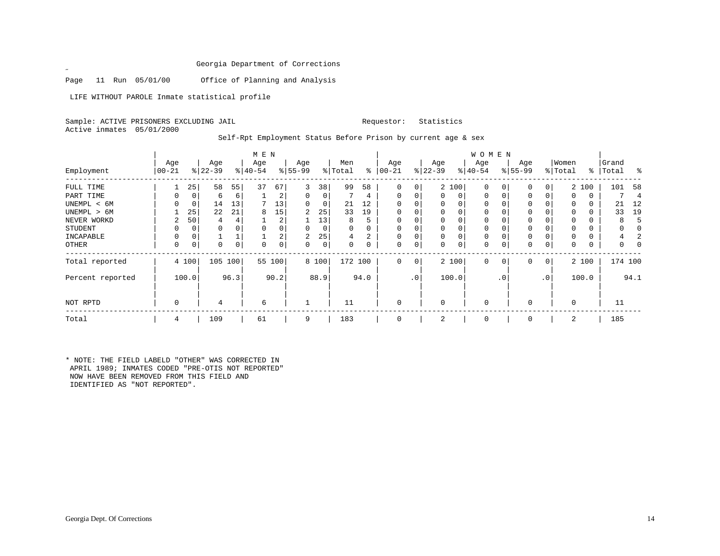Page 11 Run 05/01/00 Office of Planning and Analysis

LIFE WITHOUT PAROLE Inmate statistical profile

 $\mathscr{L}$ 

Sample: ACTIVE PRISONERS EXCLUDING JAIL **Requestor:** Statistics Active inmates 05/01/2000

Self-Rpt Employment Status Before Prison by current age & sex

|                  | M E N           |       |                  |      |                  |                |                 |       |                |          |                  |              |                  |          | W O M E N        |              |                    |                |                  |       |                |      |
|------------------|-----------------|-------|------------------|------|------------------|----------------|-----------------|-------|----------------|----------|------------------|--------------|------------------|----------|------------------|--------------|--------------------|----------------|------------------|-------|----------------|------|
| Employment       | Age<br>$ 00-21$ |       | Age<br>$ 22-39 $ |      | Age<br>$ 40-54 $ |                | Age<br>$ 55-99$ |       | Men<br>% Total | ႜ        | Age<br>$00 - 21$ |              | Age<br>$ 22-39 $ |          | Age<br>$ 40-54 $ |              | Age<br>$8155 - 99$ |                | Women<br>% Total | ွေ    | Grand<br>Total | ႜ    |
|                  |                 |       |                  |      |                  |                |                 |       |                |          |                  |              |                  |          |                  |              |                    |                |                  |       |                |      |
| FULL TIME        |                 | 25    | 58               | 55   | 37               | 67             | 3               | 38    | 99             | 58       | 0                | 0            |                  | 2 100    | $\mathbf 0$      | 0            | 0                  | 0 <sup>1</sup> |                  | 2 100 | 101            | 58   |
| PART TIME        |                 | 0     | 6                | 6    |                  | 2              | 0               | 0     |                | 4        | 0                | 0            | $\mathbf{0}$     | 0        | 0                | 0            | 0                  | 0              | $\Omega$         | 0     |                | 4    |
| UNEMPL < 6M      |                 | 0     | 14               | 13   |                  | 13             | $\Omega$        | 0     | 21             | 12       |                  |              | $\Omega$         | 0        | $\mathbf 0$      |              | 0                  |                | $\Omega$         | 0     | 21             | 12   |
| UNEMPL > 6M      |                 | 25    | 22               | 21   | 8                | 15             | 2               | 25    | 33             | 19       |                  |              | $\Omega$         | $\Omega$ | $\Omega$         |              | 0                  |                | $\Omega$         | 0     | 33             | 19   |
| NEVER WORKD      | 2               | 50    | 4                |      |                  | 2              |                 | 13    | 8              | 5        |                  |              | 0                | $\Omega$ | 0                |              | $\Omega$           |                | $\Omega$         | 0     | 8              | 5    |
| <b>STUDENT</b>   | 0               | 0     | 0                |      | $\Omega$         | 0              | $\Omega$        | 0     | 0              | $\Omega$ | $\Omega$         |              | 0                | $\Omega$ | 0                |              | 0                  |                | 0                | 0     |                |      |
| INCAPABLE        |                 |       |                  |      |                  | $\overline{a}$ | 2               | 25    | 4              | 2        |                  |              | 0                | 0        | $\mathbf 0$      |              | $\Omega$           |                |                  | 0     | 4              |      |
| OTHER            | 0               | 0     | 0                |      | 0                | 0              | 0               | 0     | $\Omega$       | 0        | 0                | 0            | 0                | $\Omega$ | $\mathbf 0$      | $\mathsf{C}$ | 0                  | 0              | 0                | 0     |                |      |
| Total reported   |                 | 4 100 | 105              | 100  |                  | 55 100         |                 | 8 100 | 172 100        |          | $\Omega$         | $\mathbf{0}$ |                  | 2 100    | $\mathbf 0$      | 0            | $\mathbf 0$        | $\overline{0}$ |                  | 2 100 | 174 100        |      |
| Percent reported |                 | 100.0 |                  | 96.3 |                  | 90.2           |                 | 88.9  |                | 94.0     |                  | .0'          |                  | 100.0    |                  | . 0          |                    | $\cdot$ 0      |                  | 100.0 |                | 94.1 |
| NOT RPTD         | 0               |       | 4                |      | 6                |                |                 |       | 11             |          | $\Omega$         |              | $\mathbf 0$      |          | 0                |              | $\mathbf 0$        |                | $\mathbf 0$      |       | 11             |      |
| Total            | 4               |       | 109              |      | 61               |                | 9               |       | 183            |          |                  |              | 2                |          | 0                |              | $\Omega$           |                | 2                |       | 185            |      |

\* NOTE: THE FIELD LABELD "OTHER" WAS CORRECTED IN APRIL 1989; INMATES CODED "PRE-OTIS NOT REPORTED" NOW HAVE BEEN REMOVED FROM THIS FIELD AND IDENTIFIED AS "NOT REPORTED".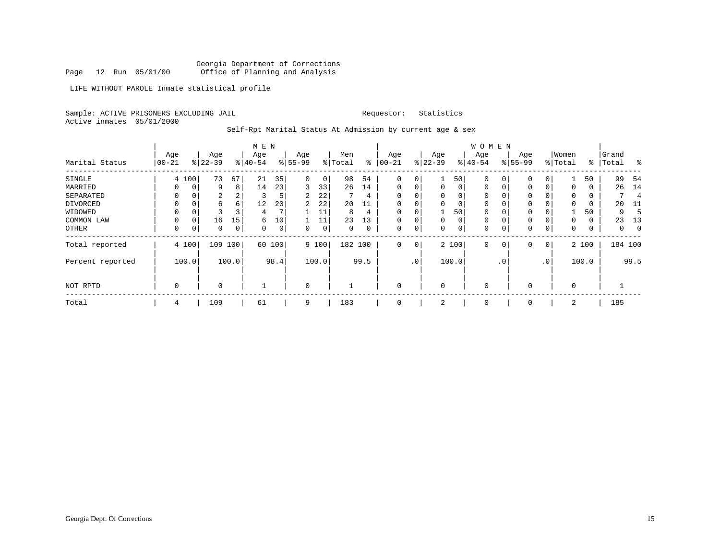Georgia Department of Corrections Page 12 Run 05/01/00 Office of Planning and Analysis

LIFE WITHOUT PAROLE Inmate statistical profile

Sample: ACTIVE PRISONERS EXCLUDING JAIL **Requestor:** Statistics

Active inmates 05/01/2000

Self-Rpt Marital Status At Admission by current age & sex

|                  |           |       |           |       | M E N        |             |          |       |         |          |             |           |             |          | W O M E N |           |          |                 |          |          |       |         |
|------------------|-----------|-------|-----------|-------|--------------|-------------|----------|-------|---------|----------|-------------|-----------|-------------|----------|-----------|-----------|----------|-----------------|----------|----------|-------|---------|
|                  | Age       |       | Age       |       | Age          |             | Age      |       | Men     |          | Age         |           | Age         |          | Age       |           | Age      |                 | Women    |          | Grand |         |
| Marital Status   | $00 - 21$ |       | $8 22-39$ |       | $ 40-54 $    |             | $ 55-99$ |       | % Total | နွ       | $ 00-21$    |           | $ 22-39 $   |          | $ 40-54 $ |           | $ 55-99$ |                 | % Total  | ွေ       | Total | ႜ       |
| SINGLE           |           | 4 100 | 73        | 67    | 21           | 35          | $\Omega$ | 0     | 98      | 54       | $\mathbf 0$ | 0         |             | 50       | $\Omega$  |           |          |                 |          | 50       | 99    | 54      |
| MARRIED          |           |       | 9         | 8     | 14           | 23          | 3        | 33    | 26      | 14       | $\mathbf 0$ | 0         | $\mathbf 0$ | $\Omega$ | 0         |           | 0        | 0               | 0        | 0        | 26    | 14      |
| SEPARATED        |           |       | 2         |       | 3            | 5           | 2        | 22    |         | 4        | $\Omega$    | 0         |             | $\Omega$ | 0         |           |          |                 | 0        | 0        |       | 4       |
| DIVORCED         | 0         |       | 6         | 6     | 12           | 20          | 2        | 22    | 20      | 11       | $\Omega$    | 0         |             | 0        | $\Omega$  |           |          |                 | $\Omega$ | 0        | 20    | -11     |
| WIDOWED          |           |       |           |       | 4            | 7           |          | 11    | 8       | 4        | $\mathbf 0$ | 0         |             | 50       | 0         |           |          |                 |          | 50       | 9     |         |
| COMMON LAW       |           |       | 16        | 15    | 6            | 10          |          | 11    | 23      | 13       | $\Omega$    | 0         | $\Omega$    | $\Omega$ | $\Omega$  |           |          | 0               | $\Omega$ | $\Omega$ | 23    | 13      |
| OTHER            | 0         |       | 0         | 0     | 0            | $\mathbf 0$ | $\Omega$ | 0     | 0       | $\Omega$ | $\mathbf 0$ | 0         | $\Omega$    | $\Omega$ | 0         |           | $\Omega$ | 0               | 0        | 0        | 0     |         |
| Total reported   |           | 4 100 | 109       | 100   | 60           | 100         |          | 9 100 | 182 100 |          | 0           | 0         |             | 2 100    | $\Omega$  | 0         | $\Omega$ | 0               |          | 2 100    |       | 184 100 |
| Percent reported |           | 100.0 |           | 100.0 |              | 98.4        |          | 100.0 |         | 99.5     |             | $\cdot$ 0 |             | 100.0    |           | $\cdot$ 0 |          | .0 <sup>1</sup> |          | 100.0    |       | 99.5    |
| NOT RPTD         | 0         |       | 0         |       | $\mathbf{1}$ |             | $\Omega$ |       |         |          | $\mathbf 0$ |           | $\Omega$    |          | 0         |           | $\Omega$ |                 | 0        |          |       |         |
| Total            | 4         |       | 109       |       | 61           |             | 9        |       | 183     |          | 0           |           | 2           |          | 0         |           | 0        |                 | 2        |          | 185   |         |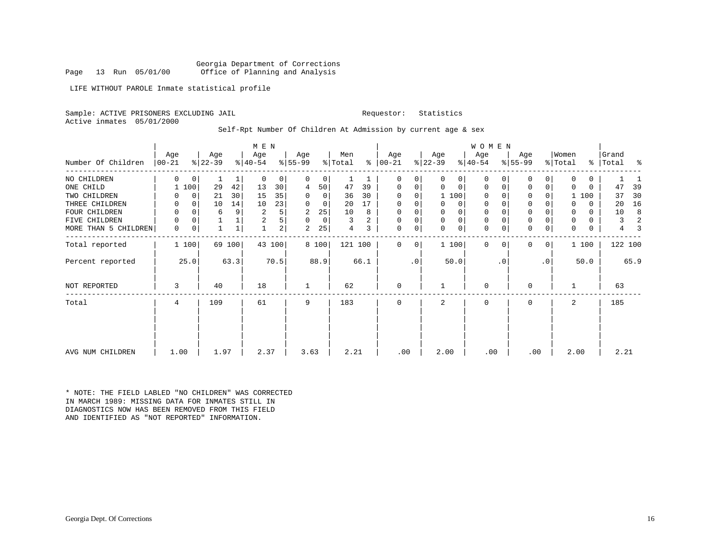Georgia Department of Corrections<br>Page 13 Run 05/01/00 office of Planning and Analysis Office of Planning and Analysis

LIFE WITHOUT PAROLE Inmate statistical profile

Sample: ACTIVE PRISONERS EXCLUDING JAIL **Requestor:** Statistics

Active inmates 05/01/2000

Self-Rpt Number Of Children At Admission by current age & sex

|                      |            |       |           |              | M E N        |        |              |       |         |      |               |             |             |              | WOMEN       |           |              |           |                |          |       |                |
|----------------------|------------|-------|-----------|--------------|--------------|--------|--------------|-------|---------|------|---------------|-------------|-------------|--------------|-------------|-----------|--------------|-----------|----------------|----------|-------|----------------|
|                      | Aqe        |       | Age       |              | Age          |        | Age          |       | Men     |      | Age           |             | Age         |              | Age         |           | Age          |           | Women          |          | Grand |                |
| Number Of Children   | $ 00 - 21$ |       | $ 22-39 $ |              | $ 40-54 $    |        | $8 55-99$    |       | % Total |      | $8   00 - 21$ |             | $ 22-39 $   |              | $ 40-54 $   |           | $ 55-99 $    |           | % Total        | ွေ       | Total | ್ಠಿ            |
| NO CHILDREN          | $\Omega$   | 0     |           | ı            | $\mathbf 0$  | 0      | $\Omega$     | 0     | 1       |      | 0             | 0           | 0           | 0            | $\mathbf 0$ |           | 0            | 0         | $\Omega$       | 0        |       |                |
| ONE CHILD            |            | 1 100 | 29        | 42           | 13           | 30     | 4            | 50    | 47      | 39   | 0             | 0           | $\Omega$    | $\mathbf 0$  | $\mathbf 0$ |           | $\mathbf 0$  | 0         | $\Omega$       | $\Omega$ | 47    | 39             |
| TWO CHILDREN         |            | 0     | 21        | 30           | 15           | 35     | 0            | 0     | 36      | 30   | $\Omega$      | 0           |             | 1 100        | $\mathbf 0$ |           | $\mathbf 0$  | 0         |                | 1 100    | 37    | 30             |
| THREE CHILDREN       |            | 0     | 10        | 14           | 10           | 23     | $\Omega$     | 0     | 20      | 17   | 0             | $\mathbf 0$ | 0           | 0            | $\mathbf 0$ |           | $\mathbf{0}$ | 0         | 0              | $\Omega$ | 20    | 16             |
| FOUR CHILDREN        |            |       | 6         | 9            | 2            | 5      | 2            | 25    | 10      | 8    | 0             | 0           | 0           | $\mathsf{O}$ | 0           |           | $\mathbf{0}$ |           | 0              | $\Omega$ | 10    | 8              |
| FIVE CHILDREN        | 0          | 0     |           |              | 2            | 5      | 0            | 0     | 3       | 2    | $\mathbf 0$   | 0           | $\mathbf 0$ | $\mathbf 0$  | $\mathbf 0$ |           | $\mathsf 0$  | 0         | $\mathbf 0$    | 0        | 3     | $\overline{a}$ |
| MORE THAN 5 CHILDREN | 0          | 0     |           | $\mathbf{1}$ | $\mathbf{1}$ | 2      | 2            | 25    | 4       | 3    | $\mathbf 0$   | 0           | $\mathbf 0$ | $\mathbf 0$  | $\mathbf 0$ |           | $\mathbf 0$  | 0         | $\mathbf 0$    | 0        | 4     |                |
| Total reported       |            | 1 100 |           | 69 100       |              | 43 100 |              | 8 100 | 121 100 |      | $\Omega$      | 0           |             | 1 100        | $\Omega$    | 0         | $\Omega$     | 0         |                | 1 100    |       | 122 100        |
| Percent reported     |            | 25.0  |           | 63.3         |              | 70.5   |              | 88.9  |         | 66.1 |               | $\cdot$ 0   |             | 50.0         |             | $\cdot$ 0 |              | $\cdot$ 0 |                | 50.0     |       | 65.9           |
| NOT REPORTED         | 3          |       | 40        |              | 18           |        | $\mathbf{1}$ |       | 62      |      | $\mathbf 0$   |             |             |              | 0           |           | $\Omega$     |           |                |          | 63    |                |
| Total                | 4          |       | 109       |              | 61           |        | 9            |       | 183     |      | $\Omega$      |             | 2           |              | $\Omega$    |           | $\Omega$     |           | $\mathfrak{D}$ |          | 185   |                |
|                      |            |       |           |              |              |        |              |       |         |      |               |             |             |              |             |           |              |           |                |          |       |                |
| AVG NUM CHILDREN     | 1.00       |       | 1.97      |              | 2.37         |        | 3.63         |       | 2.21    |      | .00           |             | 2.00        |              | .00         |           | .00          |           | 2.00           |          | 2.21  |                |

\* NOTE: THE FIELD LABLED "NO CHILDREN" WAS CORRECTED IN MARCH 1989: MISSING DATA FOR INMATES STILL IN DIAGNOSTICS NOW HAS BEEN REMOVED FROM THIS FIELD AND IDENTIFIED AS "NOT REPORTED" INFORMATION.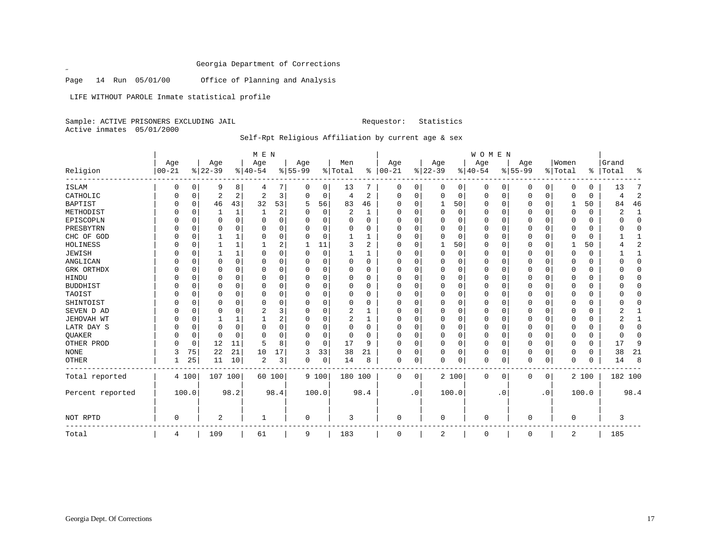Page 14 Run 05/01/00 Office of Planning and Analysis

LIFE WITHOUT PAROLE Inmate statistical profile

Sample: ACTIVE PRISONERS EXCLUDING JAIL Requestor: Statistics Active inmates 05/01/2000

 $\mathscr{L}$ 

Self-Rpt Religious Affiliation by current age & sex

|                  |           |          |           |              | M E N          |          |           |          |                |                |             |                |              |          | WOMEN    |             |             |             |             |            |         |                |
|------------------|-----------|----------|-----------|--------------|----------------|----------|-----------|----------|----------------|----------------|-------------|----------------|--------------|----------|----------|-------------|-------------|-------------|-------------|------------|---------|----------------|
|                  | Age       |          | Age       |              | Age            |          | Age       |          | Men            |                | Age         |                | Age          |          | Age      |             | Age         |             | Women       |            | Grand   |                |
| Religion         | $00 - 21$ |          | $8 22-39$ |              | $ 40-54$       |          | $8 55-99$ |          | % Total        | ៖              | $ 00 - 21$  |                | $ 22-39$     |          | $ 40-54$ |             | $ 55-99$    |             | % Total     | $\epsilon$ | Total   | ႜ              |
| <b>ISLAM</b>     | 0         | 0        | 9         | 8            | 4              | 7        | 0         | 0        | 13             | 7              | 0           | 0              | 0            | 0        | 0        | 0           | 0           | 0           | $\Omega$    | 0          | 13      | 7              |
| CATHOLIC         | O         | 0        | 2         | 2            | 2              | 3        | $\Omega$  | 0        | $\overline{4}$ | 2              | 0           | 0              | 0            | 0        | 0        | $\mathbf 0$ | $\mathbf 0$ | $\mathbf 0$ | $\Omega$    | 0          | 4       | $\overline{2}$ |
| <b>BAPTIST</b>   |           | 0        | 46        | 43           | 32             | 53       | 5         | 56       | 83             | 46             | $\Omega$    | $\Omega$       | $\mathbf{1}$ | 50       | $\Omega$ | 0           | $\Omega$    | $\Omega$    | 1           | 50         | 84      | 46             |
| METHODIST        |           | $\Omega$ |           | $\mathbf{1}$ |                | 2        |           | 0        | 2              | 1              |             | O              | $\Omega$     | 0        | $\Omega$ | $\mathbf 0$ | $\Omega$    | $\Omega$    | $\Omega$    | 0          | 2       | $\mathbf{1}$   |
| EPISCOPLN        |           | 0        | 0         | $\Omega$     | O              | $\Omega$ |           | 0        | 0              | $\Omega$       |             | U              | $\Omega$     | 0        | $\Omega$ | 0           | 0           | 0           | 0           | 0          |         | $\Omega$       |
| PRESBYTRN        |           | $\Omega$ | 0         | O            | 0              | $\Omega$ | U         | 0        | 0              | $\Omega$       | O           | U              | $\Omega$     | 0        | $\Omega$ | $\Omega$    | 0           | 0           | 0           | 0          |         | $\cap$         |
| CHC OF GOD       |           | $\Omega$ |           |              | n              | $\Omega$ |           | $\Omega$ |                | 1              | O           | U              |              | 0        | $\Omega$ | $\Omega$    | O           | U           | $\Omega$    | 0          |         |                |
| HOLINESS         |           | 0        |           |              |                | 2        | -1        | 11       |                | $\overline{2}$ | O           | U              |              | 50       | 0        | 0           | 0           | 0           |             | 50         |         | 2              |
| <b>JEWISH</b>    |           | $\Omega$ |           |              |                | 0        | U         | 0        |                | 1              | n           |                | $\Omega$     | 0        | $\Omega$ | 0           | 0           | 0           | $\Omega$    | 0          |         | -1             |
| ANGLICAN         |           | $\Omega$ | 0         | 0            | n              | 0        |           | $\Omega$ | $\Omega$       | $\Omega$       | U           | U              | $\Omega$     | $\Omega$ | $\Omega$ | $\Omega$    | 0           | 0           | $\Omega$    | 0          |         | $\bigcap$      |
| GRK ORTHDX       |           | $\Omega$ | 0         | O            | n              | 0        |           | 0        | $\Omega$       | 0              |             | U              | $\Omega$     | 0        | 0        | 0           | $\Omega$    | O           | C           | 0          |         | $\bigcap$      |
| HINDU            |           | $\Omega$ |           | 0            |                | O        |           | 0        | 0              | $\Omega$       |             | U              | $\Omega$     | 0        | $\Omega$ | 0           | $\Omega$    | O           | C           | 0          |         | $\cap$         |
| <b>BUDDHIST</b>  |           | $\Omega$ | 0         | 0            |                | O        |           | 0        | 0              | 0              |             | O              | $\Omega$     | 0        | 0        | 0           | 0           | 0           | $\Omega$    | 0          |         | C              |
| TAOIST           |           | $\Omega$ | N         | $\Omega$     | $\Omega$       | $\Omega$ | U         | O        | 0              | $\Omega$       | O           | O              | $\Omega$     | 0        | $\Omega$ | $\Omega$    | $\Omega$    | $\Omega$    | $\Omega$    | 0          |         | C              |
| SHINTOIST        |           | $\Omega$ | 0         | 0            | O              | 0        | U         | 0        | $\Omega$       | $\Omega$       | O           | U              | $\Omega$     | 0        | 0        | 0           | 0           | O           | $\Omega$    | 0          |         | O              |
| SEVEN D AD       |           | $\Omega$ | 0         | 0            | 2              | 3        |           | 0        | 2              |                |             |                | $\Omega$     | 0        | 0        | 0           | 0           | 0           | 0           | 0          |         |                |
| JEHOVAH WT       |           | $\Omega$ |           |              |                | 2        | U         | 0        | 2              | 1              | O           |                | $\Omega$     | 0        | 0        | 0           | $\mathbf 0$ | 0           | $\Omega$    | 0          |         | -1             |
| LATR DAY S       |           | $\Omega$ | 0         | $\Omega$     | $\Omega$       | 0        | U         | 0        | 0              | 0              | O           | U              | $\Omega$     | 0        | $\Omega$ | $\mathbf 0$ | 0           | 0           | 0           | 0          |         | $\Omega$       |
| QUAKER           |           | 0        | $\Omega$  | $\Omega$     | $\Omega$       | $\Omega$ |           | 0        | 0              | 0              |             | O              | $\Omega$     | 0        | 0        | 0           | $\Omega$    | 0           | $\Omega$    | 0          |         | $\bigcap$      |
| OTHER PROD       |           | 0        | 12        | 11           | 5              | 8        | 0         | 0        | 17             | 9              |             | $\Omega$       | $\Omega$     | 0        | $\Omega$ | 0           | 0           | 0           | $\Omega$    | 0          | 17      | 9              |
| <b>NONE</b>      | 3         | 75       | 22        | 21           | 10             | 17       | 3         | 33       | 38             | 21             | O           | 0              | 0            | 0        | 0        | 0           | 0           | $\Omega$    | $\Omega$    | 0          | 38      | 21             |
| <b>OTHER</b>     |           | 25       | 11        | 10           | $\overline{2}$ | 3        | 0         | 0        | 14             | 8              | $\mathbf 0$ | 0              | $\Omega$     | 0        | 0        | 0           | $\Omega$    | 0           | $\Omega$    | 0          | 14      | 8              |
| Total reported   | 4 100     |          | 107 100   |              | 60 100         |          |           | 9 100    | 180 100        |                | $\Omega$    | 0 <sup>1</sup> |              | 2 100    | 0        | 0           | 0           | 0           |             | 2 100      | 182 100 |                |
| Percent reported | 100.0     |          |           | 98.2         |                | 98.4     |           | 100.0    |                | 98.4           |             | $\cdot$ 0      |              | 100.0    |          | . 0         |             | $\cdot$ 0   |             | 100.0      |         | 98.4           |
| NOT RPTD         | $\Omega$  |          | 2         |              | 1              |          | 0         |          | 3              |                | $\Omega$    |                | $\Omega$     |          | 0        |             | 0           |             | $\mathbf 0$ |            | 3       |                |
| Total            | 4         |          | 109       |              | 61             |          | 9         |          | 183            |                | 0           |                | 2            |          | 0        |             | 0           |             | 2           |            | 185     |                |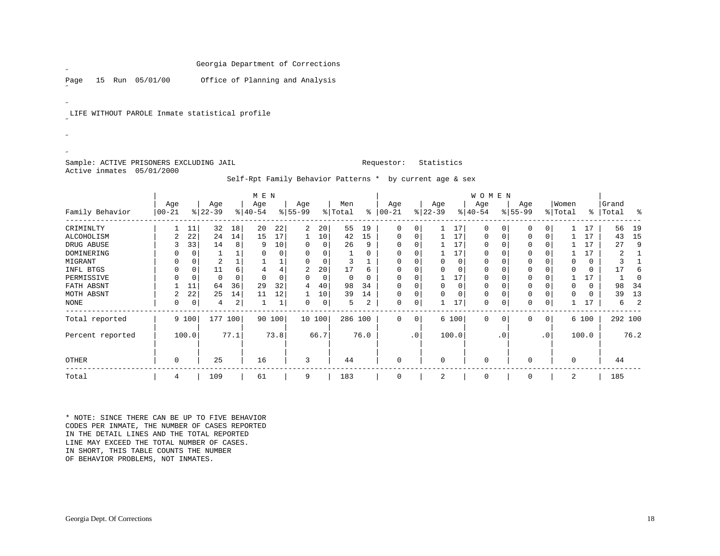Page 15 Run 05/01/00 Office of Planning and Analysis

LIFE WITHOUT PAROLE Inmate statistical profile

Sample: ACTIVE PRISONERS EXCLUDING JAIL **Requestor:** Statistics Active inmates 05/01/2000

˝

 $\overline{a}$ 

˝ $\mathscr{L}$ ˝

## Self-Rpt Family Behavior Patterns \* by current age & sex

|                  |           | M E N    |           |      |           |        |          |        |         |         |          |                 |           |       | WOMEN       |           |           |                 |          |       |           |          |
|------------------|-----------|----------|-----------|------|-----------|--------|----------|--------|---------|---------|----------|-----------------|-----------|-------|-------------|-----------|-----------|-----------------|----------|-------|-----------|----------|
|                  | Age       |          | Age       |      | Age       |        | Age      |        | Men     |         | Age      |                 | Age       |       | Age         |           | Age       |                 | Women    |       | Grand     |          |
| Family Behavior  | $00 - 21$ |          | $ 22-39 $ |      | $ 40-54 $ |        | $ 55-99$ |        | % Total | ៖       | $ 00-21$ |                 | $ 22-39 $ |       | $ 40-54 $   |           | $ 55-99 $ |                 | % Total  |       | %   Total | း        |
| CRIMINLTY        |           | 11       | 32        | 18   | 20        | 22     | 2        | 20     | 55      | 19      | 0        | $\Omega$        |           | 17    | $\Omega$    | 0         | 0         | $\Omega$        |          | 17    | 56        | 19       |
| ALCOHOLISM       | 2         | 22       | 24        | 14   | 15        | 17     |          | 10     | 42      | 15      |          |                 |           | 17    | $\Omega$    |           | 0         | O               |          | 17    | 43        | 15       |
| DRUG ABUSE       |           | 33       | 14        | 8    | 9         | 10     | 0        | 0      | 26      | 9       |          |                 |           | 17    | $\Omega$    |           | U         |                 |          | 17    | 27        | 9        |
| DOMINERING       |           | $\Omega$ |           |      | 0         | 0      | 0        | 0      |         | 0       |          |                 |           | 17    | 0           |           | 0         |                 |          | 17    |           |          |
| MIGRANT          |           | $\Omega$ | 2         |      |           |        | 0        | 0      | 3       |         |          |                 |           | 0     | $\Omega$    |           | O         |                 |          |       |           |          |
| INFL BTGS        |           | $\Omega$ | 11        |      |           |        | 2        | 20     | 17      | 6       |          |                 |           | 0     | $\Omega$    |           | 0         |                 |          |       | 17        | 6        |
| PERMISSIVE       |           | C        | O         |      |           |        | O        | 0      |         |         |          |                 |           | 17    |             |           |           |                 |          | 17    |           | $\Omega$ |
| FATH ABSNT       |           | 11       | 64        | 36   | 29        | 32     | 4        | 40     | 98      | 34      |          |                 |           | 0     | $\Omega$    |           | U         |                 |          |       | 98        | 34       |
| MOTH ABSNT       | 2         | 22       | 25        | 14   | 11        | 12     |          | 10     | 39      | 14      |          |                 | $\Omega$  | 0     | 0           |           | 0         |                 |          |       | 39        | 13       |
| <b>NONE</b>      | 0         | 0        | 4         | 2    |           | 1      | 0        | 0      | 5.      | 2       | 0        |                 |           | 17    | 0           |           | 0         | 0               |          | 17    | 6         | 2        |
| Total reported   |           | 9 100    | 177       | 100  |           | 90 100 |          | 10 100 |         | 286 100 | $\Omega$ | $\overline{0}$  |           | 6 100 | $\Omega$    | 0         | 0         | $\mathbf 0$     |          | 6 100 | 292 100   |          |
| Percent reported |           | 100.0    |           | 77.1 |           | 73.8   |          | 66.7   |         | 76.0    |          | .0 <sup>1</sup> |           | 100.0 |             | $\cdot$ 0 |           | .0 <sup>1</sup> |          | 100.0 |           | 76.2     |
| OTHER            | 0         |          | 25        |      | 16        |        | 3        |        | 44      |         |          |                 | $\Omega$  |       | $\Omega$    |           | $\Omega$  |                 | $\Omega$ |       | 44        |          |
| Total            | 4         |          | 109       |      | 61        |        | 9        |        | 183     |         | 0        |                 | 2         |       | $\mathbf 0$ |           | 0         |                 | 2        |       | 185       |          |

\* NOTE: SINCE THERE CAN BE UP TO FIVE BEHAVIOR CODES PER INMATE, THE NUMBER OF CASES REPORTED IN THE DETAIL LINES AND THE TOTAL REPORTED LINE MAY EXCEED THE TOTAL NUMBER OF CASES.IN SHORT, THIS TABLE COUNTS THE NUMBER OF BEHAVIOR PROBLEMS, NOT INMATES.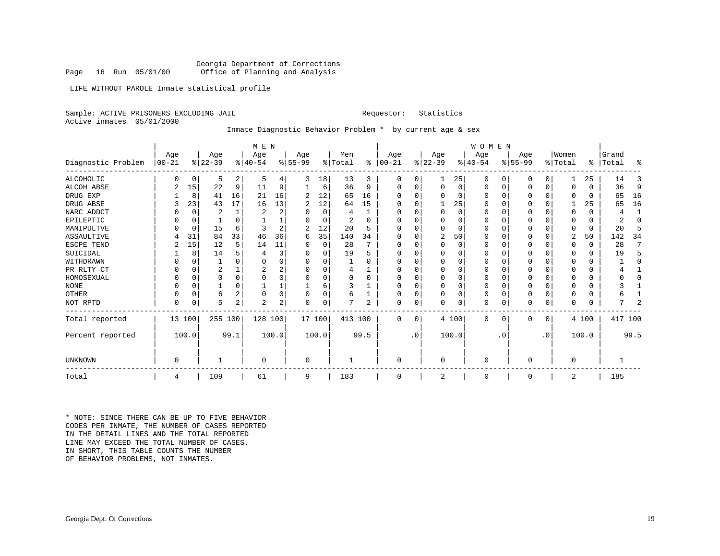Georgia Department of Corrections<br>Page 16 Run 05/01/00 office of Planning and Analysis Office of Planning and Analysis

LIFE WITHOUT PAROLE Inmate statistical profile

Sample: ACTIVE PRISONERS EXCLUDING JAIL **Requestor:** Statistics

Active inmates 05/01/2000

Inmate Diagnostic Behavior Problem \* by current age & sex

|                    |                  | M E N    |                  |          |                  |       |                  |          |                |      |                  |           |                  |          | <b>WOMEN</b>    |              |                 |           |                  |       |                |          |
|--------------------|------------------|----------|------------------|----------|------------------|-------|------------------|----------|----------------|------|------------------|-----------|------------------|----------|-----------------|--------------|-----------------|-----------|------------------|-------|----------------|----------|
| Diagnostic Problem | Age<br>$00 - 21$ |          | Age<br>$ 22-39 $ |          | Age<br>$ 40-54 $ |       | Age<br>$8 55-99$ |          | Men<br>% Total | ⊱    | Age<br>$00 - 21$ |           | Age<br>$ 22-39 $ |          | Age<br>$ 40-54$ |              | Age<br>$ 55-99$ |           | Women<br>% Total | ိ     | Grand<br>Total | ႜ        |
| ALCOHOLIC          | 0                | 0        | 5                | 2        | 5                | 4     | 3                | 18       | 13             | 3    | 0                | 0         |                  | 25       | 0               | $\Omega$     | $\Omega$        | 0         |                  | 25    | 14             | 3        |
| ALCOH ABSE         | 2                | 15       | 22               | 9        | 11               | 9     |                  | 6        | 36             | 9    | $\Omega$         | 0         | $\Omega$         | 0        | 0               | 0            | $\Omega$        | 0         | $\Omega$         | 0     | 36             | 9        |
| DRUG EXP           |                  | 8        | 41               | 16       | 21               | 16    | 2                | 12       | 65             | 16   |                  |           |                  | $\Omega$ | O               | $\Omega$     |                 |           |                  | 0     | 65             | 16       |
| DRUG ABSE          |                  | 23       | 43               | 17       | 16               | 13    | 2                | 12       | 64             | 15   | $\Omega$         |           |                  | 25       | $\Omega$        | $\Omega$     | $\Omega$        |           |                  | 25    | 65             | 16       |
| NARC ADDCT         |                  | 0        | 2                | 1        | 2                | 2     |                  | $\Omega$ | 4              |      |                  |           | $\Omega$         | $\Omega$ | O               | $\Omega$     |                 |           | <sup>0</sup>     | 0     | 4              |          |
| EPILEPTIC          |                  | $\Omega$ |                  |          |                  | 1     |                  | $\Omega$ | 2              | U    |                  |           |                  | $\Omega$ | O               | <sup>0</sup> | $\Omega$        |           | O                | 0     | 2              | $\Omega$ |
| MANIPULTVE         |                  | 0        | 15               | 6        | 3                | 2     |                  | 12       | 20             | 5    | O                |           | U                | O        | 0               | $\Omega$     | $\Omega$        |           | 0                | 0     | 20             | 5        |
| <b>ASSAULTIVE</b>  |                  | 31       | 84               | 33       | 46               | 36    | 6                | 35       | 140            | 34   | $\Omega$         | 0         | 2                | 50       | 0               | $\Omega$     | $\Omega$        |           | 2                | 50    | 142            | 34       |
| ESCPE TEND         |                  | 15       | 12               | 5        | 14               | 11    | O                | 0        | 28             |      | 0                | U         | $\Omega$         | $\Omega$ | $\Omega$        | $\Omega$     | $\Omega$        | $\Omega$  | $\Omega$         | 0     | 28             | 7        |
| SUICIDAL           |                  | 8        | 14               |          |                  | 3     |                  | 0        | 19             | 5    |                  |           |                  | O        | 0               | $\Omega$     | $\Omega$        |           | 0                | 0     | 19             |          |
| WITHDRAWN          |                  | $\Omega$ |                  |          | $\Omega$         | 0     | O                | $\Omega$ |                | U    | O                |           | <sup>0</sup>     | $\Omega$ | $\Omega$        | $\Omega$     | $\Omega$        |           | <sup>0</sup>     | 0     |                | O        |
| PR RLTY CT         | 0                | 0        | 2                |          | 2                | 2     |                  | $\Omega$ | 4              |      |                  | 0         |                  | $\Omega$ | 0               | $\Omega$     | ∩               |           |                  | 0     |                |          |
| HOMOSEXUAL         |                  | $\Omega$ | $\Omega$         | $\Omega$ | $\Omega$         | 0     |                  | $\Omega$ | 0              | U    |                  |           | $\Omega$         | $\Omega$ | $\Omega$        | $\Omega$     | $\Omega$        |           | <sup>0</sup>     | 0     |                |          |
| <b>NONE</b>        |                  | $\Omega$ |                  |          |                  |       |                  | 6        | 3              |      |                  | 0         |                  | $\Omega$ | 0               | $\Omega$     | $\Omega$        |           |                  | 0     |                |          |
| <b>OTHER</b>       | O                | 0        | 6                | $\Omega$ | $\Omega$         | 0     | O                | 0        | б              |      | $\Omega$         | 0         | $\Omega$         | $\Omega$ | $\mathbf 0$     | $\Omega$     | $\Omega$        |           | $\Omega$         | 0     |                |          |
| NOT RPTD           | $\Omega$         | $\Omega$ | 5                | 2        | 2                | 2     | O                | 0        |                | 2    | $\Omega$         | 0         |                  | $\Omega$ | $\Omega$        | $\Omega$     | $\Omega$        | 0         | $\Omega$         | 0     |                | 2        |
| Total reported     |                  | 13 100   | 255 100          |          | 128 100          |       | 17 100           |          | 413 100        |      | $\mathbf 0$      | 0         |                  | 4 100    | 0               | $\mathbf 0$  | $\Omega$        | 0         |                  | 4 100 | 417 100        |          |
| Percent reported   |                  | 100.0    |                  | 99.1     |                  | 100.0 |                  | 100.0    |                | 99.5 |                  | $\cdot$ 0 |                  | 100.0    |                 | . 0          |                 | $\cdot$ 0 |                  | 100.0 |                | 99.5     |
| UNKNOWN            | 0                |          |                  |          | $\mathbf 0$      |       | 0                |          |                |      | $\mathbf 0$      |           | 0                |          | $\mathbf 0$     |              | 0               |           | $\mathbf 0$      |       |                |          |
| Total              | 4                |          | 109              |          | 61               |       | 9                |          | 183            |      | $\Omega$         |           | $\overline{2}$   |          | $\mathbf 0$     |              | $\Omega$        |           | 2                |       | 185            |          |

\* NOTE: SINCE THERE CAN BE UP TO FIVE BEHAVIOR CODES PER INMATE, THE NUMBER OF CASES REPORTED IN THE DETAIL LINES AND THE TOTAL REPORTED LINE MAY EXCEED THE TOTAL NUMBER OF CASES.IN SHORT, THIS TABLE COUNTS THE NUMBER OF BEHAVIOR PROBLEMS, NOT INMATES.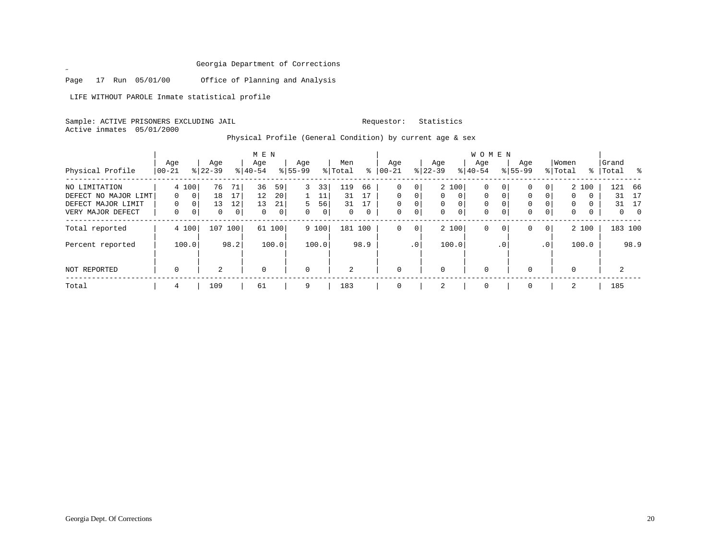Page 17 Run 05/01/00 Office of Planning and Analysis

LIFE WITHOUT PAROLE Inmate statistical profile

 $\mathscr{L}$ 

Sample: ACTIVE PRISONERS EXCLUDING JAIL Requestor: Statistics Active inmates 05/01/2000

Physical Profile (General Condition) by current age & sex

|                                         |                    |                            |                  |                      | M E N             |                   |                  |                   |                |          |                         |               |                         |                            | W O M E N               |                         |                         |                            |                  |        |                    |            |
|-----------------------------------------|--------------------|----------------------------|------------------|----------------------|-------------------|-------------------|------------------|-------------------|----------------|----------|-------------------------|---------------|-------------------------|----------------------------|-------------------------|-------------------------|-------------------------|----------------------------|------------------|--------|--------------------|------------|
| Physical Profile                        | Age<br>$ 00 - 21 $ |                            | Age<br>$8 22-39$ |                      | Age<br>$8 40-54$  |                   | Age<br>$8 55-99$ |                   | Men<br>% Total | ႜ        | Aqe<br>$ 00 - 21$       |               | Age<br>$ 22-39$         |                            | Aqe<br>$8 40-54$        |                         | Age<br>$8155 - 99$      |                            | Women<br>% Total |        | Grand<br>%   Total | $^{\circ}$ |
| NO LIMITATION<br>DEFECT NO MAJOR LIMT   | $\Omega$           | 4 100<br>0                 | 76<br>18         | 71<br>17             | 36<br>12          | 59<br>20          | 3                | 33<br>11          | 119<br>31      | 66<br>17 | 0<br>$\Omega$           | 0<br>$\Omega$ | $\Omega$                | 2 100<br>$\Omega$          | 0<br>$\Omega$           | 0<br>$\Omega$           | 0<br>$\Omega$           | $\overline{0}$<br>$\Omega$ | $\Omega$         | 2 100  | 121<br>31          | 66<br>17   |
| DEFECT MAJOR LIMIT<br>VERY MAJOR DEFECT | $\Omega$<br>0      | $\mathbf 0$<br>$\mathbf 0$ | 13<br>0          | 12<br>$\overline{0}$ | 13<br>$\mathbf 0$ | 21<br>$\mathbf 0$ | 5.<br>$\Omega$   | 56<br>$\mathbf 0$ | 31<br>0        | 17<br>0  | $\Omega$<br>$\mathbf 0$ | 0<br>0        | $\Omega$<br>$\mathbf 0$ | $\mathbf 0$<br>$\mathbf 0$ | $\Omega$<br>$\mathbf 0$ | $\Omega$<br>$\mathbf 0$ | $\Omega$<br>$\mathbf 0$ | $\Omega$<br>$\overline{0}$ | $\Omega$<br>0    | 0<br>0 | 31<br>$\mathbf{0}$ | 17<br>- 0  |
| Total reported                          |                    | 4 100                      | 107              | 100                  |                   | 61 100            |                  | 9 100             | 181 100        |          | $\mathbf 0$             | 0             |                         | 2 100                      | $\mathbf 0$             | $\mathbf{0}$            | 0                       | 0 <sup>1</sup>             |                  | 2 100  |                    | 183 100    |
| Percent reported                        |                    | 100.0                      |                  | 98.2                 |                   | 100.0             |                  | 100.0             |                | 98.9     |                         | .0'           |                         | 100.0                      |                         | .0'                     |                         | .0 <sup>1</sup>            |                  | 100.0  |                    | 98.9       |
| <b>NOT REPORTED</b>                     | $\mathbf 0$        |                            | $\mathfrak{D}$   |                      | $\mathbf 0$       |                   | $\mathbf 0$      |                   | $\overline{a}$ |          | $\mathbf 0$             |               | $\Omega$                |                            | $\mathbf 0$             |                         | $\Omega$                |                            | $\Omega$         |        | 2                  |            |
| Total                                   | 4                  |                            | 109              |                      | 61                |                   | 9                |                   | 183            |          | $\mathbf 0$             |               | 2                       |                            | 0                       |                         | $\Omega$                |                            | 2                |        | 185                |            |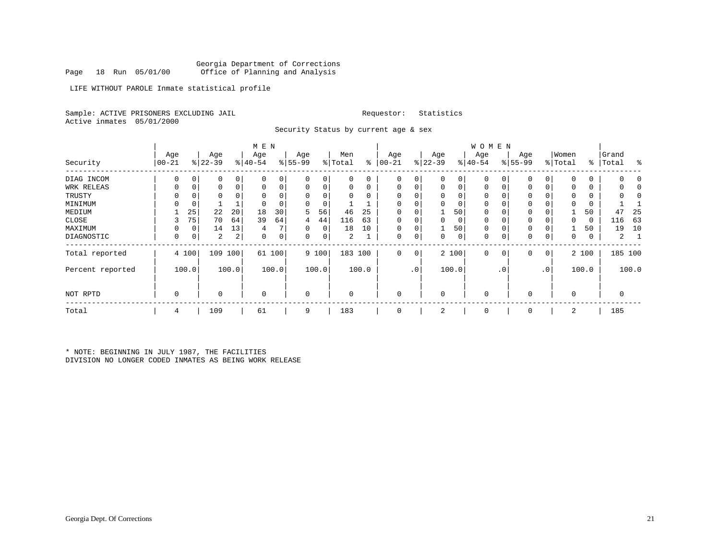LIFE WITHOUT PAROLE Inmate statistical profile

Sample: ACTIVE PRISONERS EXCLUDING JAIL **Requestor:** Statistics Active inmates 05/01/2000

Security Status by current age & sex

|                  |           |             |           |       | M E N       |        |             |       |          |       |          |                 |             |       | W O M E N    |              |             |                 |                |               |       |         |
|------------------|-----------|-------------|-----------|-------|-------------|--------|-------------|-------|----------|-------|----------|-----------------|-------------|-------|--------------|--------------|-------------|-----------------|----------------|---------------|-------|---------|
|                  | Age       |             | Age       |       | Age         |        | Age         |       | Men      |       | Age      |                 | Age         |       | Age          |              | Age         |                 | Women          |               | Grand |         |
| Security         | $00 - 21$ |             | $ 22-39 $ |       | $ 40-54$    |        | $8 55-99$   |       | % Total  | ∻     | $ 00-21$ |                 | $8 22-39$   |       | $ 40-54 $    |              | $ 55-99 $   |                 | % Total        | $\frac{1}{6}$ | Total | း       |
| DIAG INCOM       | $\Omega$  | 0           | 0         | 0     | 0           | 0      | 0           | 0     | 0        | 0     | 0        | $\Omega$        | 0           | 0     | 0            |              | 0           | $\Omega$        | $\Omega$       | 0             |       |         |
| WRK RELEAS       | 0         | 0           | 0         | 0     | $\mathbf 0$ | 0      | $\mathbf 0$ | 0     | 0        | 0     | $\Omega$ | $\Omega$        | $\mathbf 0$ | 0     | $\mathbf 0$  | $\mathbf 0$  | $\mathbf 0$ | 0               | $\Omega$       | 0             | 0     |         |
| TRUSTY           |           |             | 0         |       |             |        | $\Omega$    | 0     | 0        | 0     |          |                 | 0           | 0     | 0            |              | 0           |                 | $\Omega$       | 0             |       |         |
| MINIMUM          |           | $\mathbf 0$ |           |       |             |        | $\Omega$    | 0     |          |       |          |                 | $\Omega$    | 0     | 0            |              | 0           |                 | $\Omega$       | 0             |       |         |
| MEDIUM           |           | 25          | 22        | 20    | 18          | 30     | 5           | 56    | 46       | 25    | 0        |                 |             | 50    | 0            |              | 0           |                 |                | 50            | 47    | 25      |
| CLOSE            | 3         | 75          | 70        | 64    | 39          | 64     | 4           | 44    | 116      | 63    | $\Omega$ |                 | 0           | 0     | 0            |              | $\mathbf 0$ |                 | $\Omega$       | 0             | 116   | 63      |
| MAXIMUM          |           | 0           | 14        | 13    | 4           |        | $\Omega$    | 0     | 18       | 10    | $\Omega$ |                 |             | 50    | $\mathbf 0$  |              | $\Omega$    |                 |                | 50            | 19    | 10      |
| DIAGNOSTIC       | $\Omega$  | 0           | 2         | 2     | $\Omega$    | 0      | 0           | 0     | 2        |       | $\Omega$ | 0               | 0           | 0     | $\mathbf 0$  | $\mathsf{C}$ | 0           | 0               | $\mathbf 0$    | 0             | 2     |         |
| Total reported   |           | 4 100       | 109       | 100   |             | 61 100 |             | 9 100 | 183 100  |       | 0        | $\circ$         |             | 2 100 | $\mathbf{0}$ | 0            | 0           | 0               |                | 2 100         |       | 185 100 |
| Percent reported |           | 100.0       |           | 100.0 |             | 100.0  |             | 100.0 |          | 100.0 |          | .0 <sup>1</sup> |             | 100.0 |              | . 0          |             | .0 <sup>′</sup> |                | 100.0         |       | 100.0   |
| NOT RPTD         | $\Omega$  |             | $\Omega$  |       | $\Omega$    |        | 0           |       | $\Omega$ |       | $\Omega$ |                 | $\Omega$    |       | 0            |              | $\Omega$    |                 | $\overline{0}$ |               | 0     |         |
| Total            | 4         |             | 109       |       | 61          |        | 9           |       | 183      |       | $\Omega$ |                 | 2           |       | 0            |              | $\mathbf 0$ |                 | 2              |               | 185   |         |

\* NOTE: BEGINNING IN JULY 1987, THE FACILITIES DIVISION NO LONGER CODED INMATES AS BEING WORK RELEASE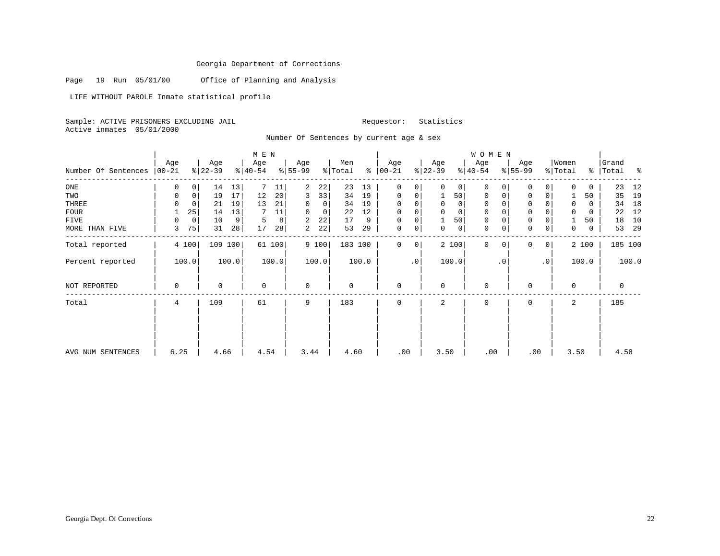Page 19 Run 05/01/00 Office of Planning and Analysis

LIFE WITHOUT PAROLE Inmate statistical profile

Sample: ACTIVE PRISONERS EXCLUDING JAIL Requestor: Statistics Active inmates 05/01/2000

Number Of Sentences by current age & sex

|                     |           |             |           |         | M E N       |        |             |       |         |       |             |           |             |             | <b>WOMEN</b> |          |             |                 |          |       |           |       |
|---------------------|-----------|-------------|-----------|---------|-------------|--------|-------------|-------|---------|-------|-------------|-----------|-------------|-------------|--------------|----------|-------------|-----------------|----------|-------|-----------|-------|
|                     | Age       |             | Age       |         | Age         |        | Age         |       | Men     |       | Age         |           | Age         |             | Age          |          | Age         |                 | Women    |       | Grand     |       |
| Number Of Sentences | $00 - 21$ |             | $ 22-39 $ |         | $ 40-54 $   |        | $ 55-99 $   |       | % Total | ∻     | $ 00-21$    |           | $ 22-39 $   |             | $ 40-54 $    |          | $8 55-99$   |                 | % Total  |       | % Total % |       |
| ONE                 | 0         | $\mathbf 0$ | 14        | 13      |             | 11     | 2           | 22    | 23      | 13    | $\mathbf 0$ | 0         | $\Omega$    | 0           | $\Omega$     |          | $\Omega$    | 0               |          | 0     | 23        | 12    |
| TWO                 | 0         | 0           | 19        | 17      | 12          | 20     | 3           | 33    | 34      | 19    | $\mathbf 0$ | 0         |             | 50          | 0            | 0        | 0           |                 |          | 50    | 35        | 19    |
| THREE               | $\Omega$  | 0           | 21        | 19      | 13          | 21     | $\Omega$    | 0     | 34      | 19    | $\mathbf 0$ |           | $\mathbf 0$ | 0           | $\mathbf 0$  |          | 0           |                 |          | 0     | 34        | 18    |
| <b>FOUR</b>         |           | 25          | 14        | 13      |             | 11     | $\Omega$    | 0     | 22      | 12    | $\mathbf 0$ |           |             | $\mathbf 0$ | $\mathbf 0$  |          | $\Omega$    |                 |          | 0     | 22        | 12    |
| FIVE                | $\Omega$  | $\mathbf 0$ | 10        | 9       | 5           | 8      | 2           | 22    | 17      | 9     | $\mathbf 0$ | 0         |             | 50          | $\mathbf 0$  |          | $\mathsf 0$ |                 |          | 50    | 18        | 10    |
| MORE THAN FIVE      | 3         | 75          | 31        | 28      | 17          | 28     | 2           | 22    | 53      | 29    | 0           | 0         | 0           | $\mathsf 0$ | $\mathbf 0$  | 0        | $\mathbf 0$ | 0               | 0        | 0     | 53        | 29    |
| Total reported      |           | 4 100       |           | 109 100 |             | 61 100 |             | 9 100 | 183 100 |       | $\Omega$    | 0         |             | 2 100       | $\Omega$     | $\Omega$ | $\Omega$    | $\overline{0}$  |          | 2 100 | 185 100   |       |
| Percent reported    |           | 100.0       |           | 100.0   |             | 100.0  |             | 100.0 |         | 100.0 |             | $\cdot$ 0 |             | 100.0       |              | . 0      |             | .0 <sup>1</sup> |          | 100.0 |           | 100.0 |
| NOT REPORTED        | 0         |             | 0         |         | $\mathbf 0$ |        | $\mathbf 0$ |       | 0       |       | $\mathbf 0$ |           | $\mathbf 0$ |             | $\mathbf 0$  |          | $\Omega$    |                 | $\Omega$ |       | 0         |       |
| Total               | 4         |             | 109       |         | 61          |        | 9           |       | 183     |       | $\mathbf 0$ |           | 2           |             | $\mathbf 0$  |          | $\Omega$    |                 | 2        |       | 185       |       |
|                     |           |             |           |         |             |        |             |       |         |       |             |           |             |             |              |          |             |                 |          |       |           |       |
| AVG NUM SENTENCES   | 6.25      |             | 4.66      |         | 4.54        |        | 3.44        |       | 4.60    |       | .00         |           | 3.50        |             | .00          |          |             | .00             | 3.50     |       | 4.58      |       |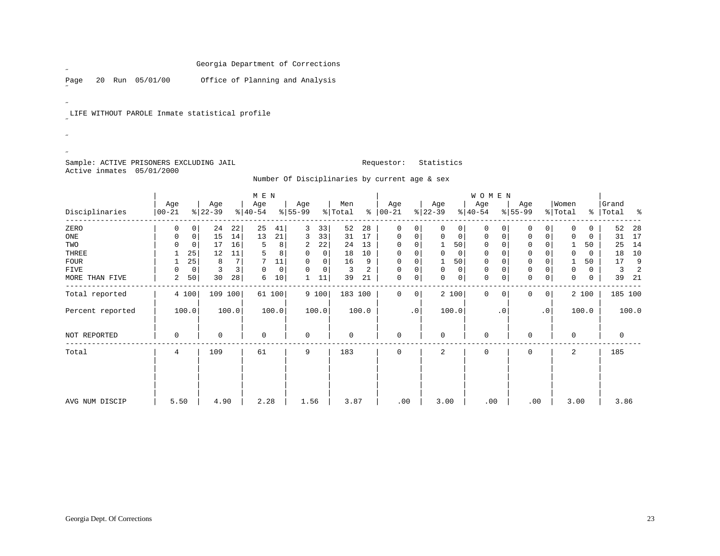Page 20 Run 05/01/00 Office of Planning and Analysis

LIFE WITHOUT PAROLE Inmate statistical profile

Sample: ACTIVE PRISONERS EXCLUDING JAIL **Requestor:** Statistics Active inmates 05/01/2000

 $\mathscr{L}^{\pm}$ 

 $\mathscr{L}^{\pm}$ 

˝ $\mathscr{B}^{\pm}$  $\overline{a}$ 

Number Of Disciplinaries by current age & sex

|                  |                   |          |                  |         | M E N            |        |                 |       |                |       |                 |           |                  |       | WOMEN            |          |                  |                |                  |       |                    |                |
|------------------|-------------------|----------|------------------|---------|------------------|--------|-----------------|-------|----------------|-------|-----------------|-----------|------------------|-------|------------------|----------|------------------|----------------|------------------|-------|--------------------|----------------|
| Disciplinaries   | Age<br>$ 00 - 21$ |          | Age<br>$ 22-39 $ |         | Age<br>$ 40-54 $ |        | Age<br>$ 55-99$ |       | Men<br>% Total | ి     | Age<br>$ 00-21$ |           | Age<br>$ 22-39 $ |       | Age<br>$ 40-54 $ |          | Age<br>$ 55-99 $ |                | Women<br>% Total |       | Grand<br>%   Total | ಿ              |
| ZERO             | 0                 |          | 24               | 22      | 25               | 41     | 3               | 33    | 52             | 28    | 0               | 0         | $\Omega$         | 0     | 0                |          | 0                | 0              |                  | 0.    | 52                 | 28             |
| ONE              | 0                 | 0        | 15               | 14      | 13               | 21     | 3               | 33    | 31             | 17    | 0               | 0         | 0                | 0     | 0                | $\Omega$ | 0                | 0              | 0                | 0     | 31                 | 17             |
| TWO              | U                 | $\Omega$ | 17               | 16      | 5                | 8      | 2               | 22    | 24             | 13    | $\Omega$        | 0         |                  | 50    | $\mathbf 0$      | $\Omega$ | $\Omega$         |                |                  | 50    | 25                 | 14             |
| THREE            |                   | 25       | 12               | 11      | 5                | 8      | 0               | 0     | 18             | 10    | $\Omega$        |           | $\Omega$         | 0     | 0                |          | 0                |                | 0                | 0     | 18                 | 10             |
| FOUR             |                   | 25       | 8                | 7       |                  | 11     | $\Omega$        | 0     | 16             | 9     | $\mathbf 0$     | 0         |                  | 50    | $\mathbf 0$      | $\Omega$ | $\mathbf 0$      |                |                  | 50    | 17                 | 9              |
| FIVE             |                   | 0        | 3                | 3       | 0                | 0      | $\Omega$        | 0     | 3              | 2     | $\mathbf 0$     | 0         | $\Omega$         | 0     | 0                | $\Omega$ | 0                |                | $\mathbf 0$      | 0     | 3                  | $\overline{2}$ |
| MORE THAN FIVE   | 2                 | 50       | 30               | 28      | 6                | 10     |                 | 11    | 39             | 21    | $\mathbf 0$     | 0         | 0                | 0     | $\mathbf 0$      | 0        | 0                | 0              | $\mathbf 0$      | 0     | 39                 | 21             |
| Total reported   |                   | 4 100    |                  | 109 100 |                  | 61 100 |                 | 9 100 | 183 100        |       | 0               | 0         |                  | 2 100 | $\mathbf{0}$     | 0        | 0                | 0 <sup>1</sup> |                  | 2 100 |                    | 185 100        |
| Percent reported |                   | 100.0    |                  | 100.0   |                  | 100.0  |                 | 100.0 |                | 100.0 |                 | $\cdot$ 0 |                  | 100.0 |                  | . 0      |                  | $\cdot$ 0      |                  | 100.0 |                    | 100.0          |
| NOT REPORTED     | 0                 |          | 0                |         | 0                |        | $\mathbf 0$     |       | 0              |       | $\mathbf 0$     |           | 0                |       | $\mathbf 0$      |          | 0                |                | $\mathbf 0$      |       | 0                  |                |
| Total            | 4                 |          | 109              |         | 61               |        | 9               |       | 183            |       | $\mathbf 0$     |           | 2                |       | $\mathbf 0$      |          | $\Omega$         |                | 2                |       | 185                |                |
| AVG NUM DISCIP   | 5.50              |          | 4.90             |         | 2.28             |        | 1.56            |       | 3.87           |       | .00             |           | 3.00             |       | .00              |          | .00              |                | 3.00             |       | 3.86               |                |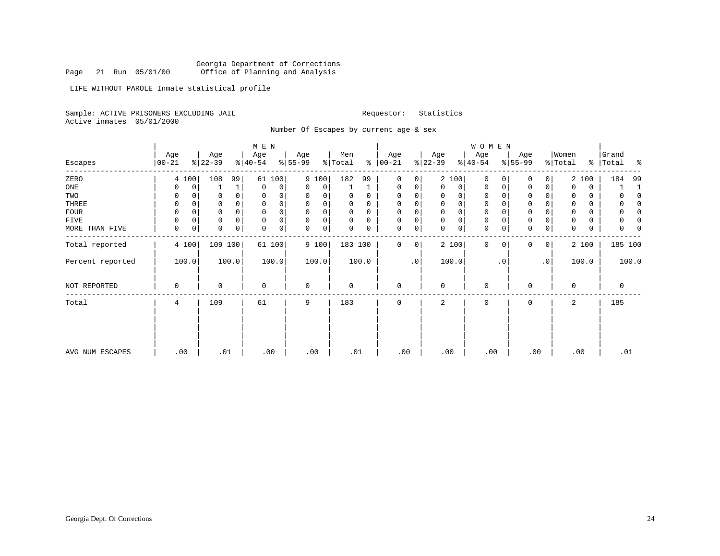LIFE WITHOUT PAROLE Inmate statistical profile

Sample: ACTIVE PRISONERS EXCLUDING JAIL **Requestor:** Statistics Active inmates 05/01/2000

Number Of Escapes by current age & sex

|                  |                   |             |                  |       | M E N            |        |                 |             |                |          |                      |           |                  |                | <b>WOMEN</b>     |           |                     |           |                  |       |                |       |
|------------------|-------------------|-------------|------------------|-------|------------------|--------|-----------------|-------------|----------------|----------|----------------------|-----------|------------------|----------------|------------------|-----------|---------------------|-----------|------------------|-------|----------------|-------|
| Escapes          | Age<br>$ 00 - 21$ |             | Age<br>$ 22-39 $ |       | Age<br>$ 40-54 $ |        | Age<br>$ 55-99$ |             | Men<br>% Total |          | Age<br>$8   00 - 21$ |           | Age<br>$ 22-39 $ |                | Age<br>$ 40-54 $ |           | Age<br>$ 55-99 $    |           | Women<br>% Total | ⊱     | Grand<br>Total | ႜ     |
| ZERO             | 4 100             |             | 108              | 99    |                  | 61 100 |                 | 9 100       | 182            | 99       | $\mathbf 0$          | 0         |                  | 2 100          | $\mathbf 0$      | 0         | $\mathbf 0$         | 0         |                  | 2 100 | 184            | 99    |
| ONE              | 0                 | 0           |                  | 1     | $\mathbf 0$      | 0      | 0               | 0           |                |          | $\mathbf 0$          | 0         | $\Omega$         | $\overline{0}$ | 0                | 0         | 0                   | 0         | $\Omega$         | 0     |                |       |
| TWO              | 0                 | 0           | 0                |       | 0                | 0      | 0               | 0           |                | U        | 0                    | 0         | $\Omega$         | $\Omega$       | $\Omega$         |           | 0                   |           | 0                | 0     |                |       |
| THREE            | 0                 | 0           | 0                | 0     | $\mathbf 0$      | 0      | $\mathbf 0$     | 0           |                | 0        | $\mathbf 0$          | 0         |                  | $\Omega$       | $\mathbf 0$      |           | $\mathbf 0$         | $\Omega$  | $\Omega$         | 0     |                |       |
| FOUR             | $\mathbf 0$       | $\Omega$    | 0                |       | $\mathbf 0$      | 0      | $\mathbf 0$     | 0           | 0              | $\Omega$ | $\mathbf 0$          | 0         |                  | $\Omega$       | 0                |           | $\mathbf 0$         |           | 0                | 0     |                |       |
| FIVE             | 0                 | $\mathbf 0$ | 0                |       | $\mathbf 0$      | 0      | $\Omega$        | 0           | 0              | 0        | $\mathbf 0$          | 0         | $\mathbf 0$      | 0              | 0                |           | $\mathsf{O}\xspace$ |           | 0                | 0     | 0              |       |
| MORE THAN FIVE   | 0                 | 0           | $\mathbf 0$      | 0     | 0                | 0      | $\mathbf 0$     | $\mathbf 0$ | 0              | 0        | $\mathbf 0$          | 0         | $\mathbf 0$      | 0              | 0                |           | $\mathsf{O}\xspace$ | 0         | 0                | 0     | 0              |       |
| Total reported   | 4 100             |             | 109 100          |       |                  | 61 100 |                 | 9 100       | 183 100        |          | 0                    | 0         |                  | 2 100          | $\mathbf 0$      | $\Omega$  | $\mathbf{0}$        | 0         |                  | 2 100 | 185 100        |       |
| Percent reported | 100.0             |             |                  | 100.0 |                  | 100.0  |                 | 100.0       |                | 100.0    |                      | $\cdot$ 0 |                  | 100.0          |                  | $\cdot$ 0 |                     | $\cdot$ 0 |                  | 100.0 |                | 100.0 |
| NOT REPORTED     | $\mathbf 0$       |             | 0                |       | $\mathbf 0$      |        | $\mathbf 0$     |             | 0              |          | $\mathbf 0$          |           | $\Omega$         |                | $\mathbf 0$      |           | $\mathbf 0$         |           | $\Omega$         |       | $\mathbf 0$    |       |
| Total            | 4                 |             | 109              |       | 61               |        | 9               |             | 183            |          | $\mathbf 0$          |           | 2                |                | $\mathbf 0$      |           | $\mathbf 0$         |           | 2                |       | 185            |       |
|                  |                   |             |                  |       |                  |        |                 |             |                |          |                      |           |                  |                |                  |           |                     |           |                  |       |                |       |
| AVG NUM ESCAPES  | .00               |             | .01              |       |                  | .00    |                 | .00         | .01            |          | .00                  |           | .00              |                | .00              |           | .00                 |           | .00              |       | .01            |       |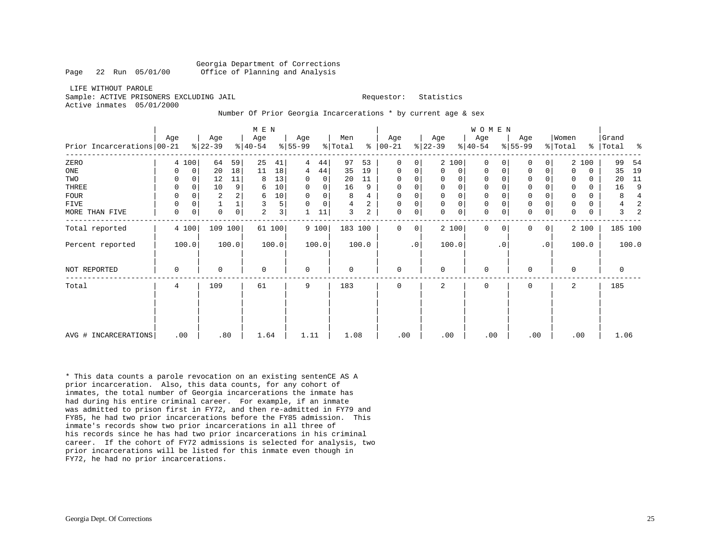LIFE WITHOUT PAROLESample: ACTIVE PRISONERS EXCLUDING JAIL **Requestor:** Statistics Active inmates 05/01/2000

## Number Of Prior Georgia Incarcerations \* by current age & sex

|                            |          |       |                  |             | M E N            |        |                  |             |                |       |                      |                     |                  |              | <b>WOMEN</b>     |           |                  |           |                              |             |                |       |
|----------------------------|----------|-------|------------------|-------------|------------------|--------|------------------|-------------|----------------|-------|----------------------|---------------------|------------------|--------------|------------------|-----------|------------------|-----------|------------------------------|-------------|----------------|-------|
| Prior Incarcerations 00-21 | Age      |       | Age<br>$ 22-39 $ |             | Age<br>$ 40-54 $ |        | Age<br>$ 55-99 $ |             | Men<br>% Total |       | Age<br>$8   00 - 21$ |                     | Age<br>$ 22-39 $ |              | Age<br>$ 40-54 $ |           | Age<br>$ 55-99 $ |           | Women<br>$\frac{1}{2}$ Total | ႜၟ          | Grand<br>Total | ႜ     |
|                            |          |       |                  |             |                  |        |                  |             |                |       |                      |                     |                  |              |                  |           |                  |           |                              |             |                |       |
| ZERO                       |          | 4 100 | 64               | 59          | 25               | 41     | 4                | 44          | 97             | 53    | 0                    | 0                   |                  | 2 100        | $\Omega$         | $\Omega$  | $\Omega$         | 0         |                              | 2 100       | 99             | 54    |
| ONE                        | O        | 0     | 20               | 18          | 11               | 18     | 4                | 44          | 35             | 19    | 0                    | $\mathbf 0$         | $\Omega$         | $\mathbf 0$  | $\Omega$         | 0         | 0                | 0         | $\Omega$                     | 0           | 35             | 19    |
| TWO                        |          | 0     | 12               | 11          | 8                | 13     | 0                | 0           | 20             | 11    | 0                    | 0                   | 0                | $\Omega$     | $\Omega$         |           | 0                |           | 0                            | $\Omega$    | 20             | 11    |
| THREE                      | $\Omega$ | 0     | 10               | 9           | 6                | 10     | $\mathbf 0$      | $\mathbf 0$ | 16             | 9     | $\mathbf 0$          | 0                   | $\Omega$         | $\Omega$     | $\mathbf{0}$     |           | $\mathsf 0$      | 0         |                              | $\Omega$    | 16             | 9     |
| <b>FOUR</b>                | 0        |       | 2                |             | 6                | 10     | $\mathbf 0$      | 0           | 8              | 4     | $\mathbf 0$          | 0                   | $\Omega$         | 0            | 0                |           | 0                |           | 0                            | $\Omega$    | 8              |       |
| <b>FIVE</b>                | 0        | 0     |                  |             | 3                | 5      | $\Omega$         | $\mathbf 0$ | 4              | 2     | $\mathbf 0$          | 0                   | $\Omega$         | $\mathsf{O}$ | $\mathbf 0$      |           | $\mathsf 0$      | 0         | 0                            | 0           | 4              |       |
| MORE THAN FIVE             | 0        |       | $\mathbf 0$      | $\mathsf 0$ | $\overline{a}$   | 3      |                  | 11          | 3              | 2     | $\mathbf 0$          | $\mathsf{O}\xspace$ | $\Omega$         | $\mathbf 0$  | $\mathbf 0$      |           | $\mathbf 0$      | 0         | $\Omega$                     | $\mathbf 0$ | 3              |       |
| Total reported             |          | 4 100 | 109 100          |             |                  | 61 100 |                  | 9 100       | 183 100        |       | $\Omega$             | 0                   |                  | 2 100        | $\Omega$         | $\Omega$  | $\mathbf 0$      | 0         |                              | 2 100       | 185 100        |       |
| Percent reported           |          | 100.0 |                  | 100.0       |                  | 100.0  |                  | 100.0       |                | 100.0 |                      | $\cdot$ 0           |                  | 100.0        |                  | $\cdot$ 0 |                  | $\cdot$ 0 |                              | 100.0       |                | 100.0 |
| NOT REPORTED               | 0        |       | $\mathbf 0$      |             | $\Omega$         |        | $\mathbf 0$      |             | $\Omega$       |       | $\mathbf 0$          |                     | $\Omega$         |              | $\mathbf 0$      |           | $\mathbf 0$      |           | $\Omega$                     |             | 0              |       |
| Total                      | 4        |       | 109              |             | 61               |        | 9                |             | 183            |       | $\mathbf 0$          |                     | $\overline{a}$   |              | $\mathbf 0$      |           | $\mathbf 0$      |           | 2                            |             | 185            |       |
|                            |          |       |                  |             |                  |        |                  |             |                |       |                      |                     |                  |              |                  |           |                  |           |                              |             |                |       |
|                            |          |       |                  |             |                  |        |                  |             |                |       |                      |                     |                  |              |                  |           |                  |           |                              |             |                |       |
| AVG # INCARCERATIONS       |          | .00   | .80              |             | 1.64             |        | 1.11             |             | 1.08           |       | .00                  |                     | .00              |              | .00              |           | .00              |           |                              | .00         | 1.06           |       |

\* This data counts a parole revocation on an existing sentenCE AS A prior incarceration. Also, this data counts, for any cohort of inmates, the total number of Georgia incarcerations the inmate has had during his entire criminal career. For example, if an inmate was admitted to prison first in FY72, and then re-admitted in FY79 and FY85, he had two prior incarcerations before the FY85 admission. This inmate's records show two prior incarcerations in all three of his records since he has had two prior incarcerations in his criminal career. If the cohort of FY72 admissions is selected for analysis, two prior incarcerations will be listed for this inmate even though in FY72, he had no prior incarcerations.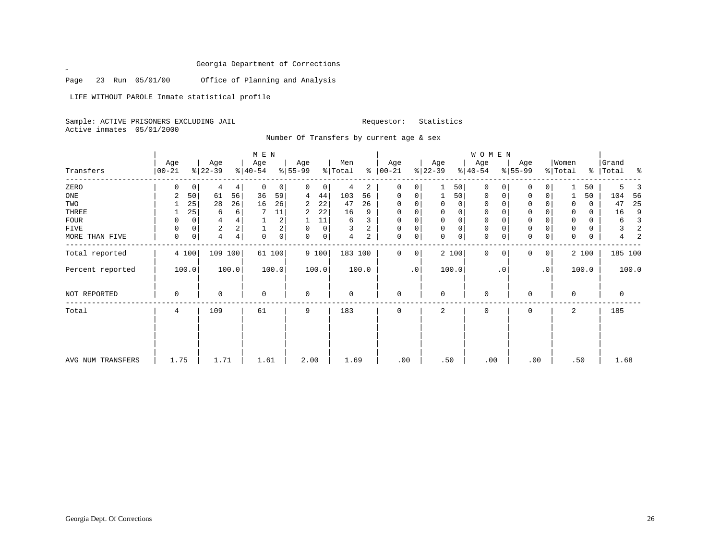Page 23 Run 05/01/00 Office of Planning and Analysis

LIFE WITHOUT PAROLE Inmate statistical profile

Sample: ACTIVE PRISONERS EXCLUDING JAIL Requestor: Statistics Active inmates 05/01/2000

 $\mathscr{L}$ 

Number Of Transfers by current age & sex

|                   |                 |                |                  |       | M E N            |                |                  |       |                |       |                  |                |                  |       | WOMEN            |                |                  |              |                  |       |                    |                |
|-------------------|-----------------|----------------|------------------|-------|------------------|----------------|------------------|-------|----------------|-------|------------------|----------------|------------------|-------|------------------|----------------|------------------|--------------|------------------|-------|--------------------|----------------|
| Transfers         | Age<br>$ 00-21$ |                | Age<br>$ 22-39 $ |       | Age<br>$ 40-54 $ |                | Age<br>$8 55-99$ |       | Men<br>% Total | ွေ    | Age<br>$ 00-21 $ |                | Age<br>$ 22-39 $ |       | Age<br>$ 40-54 $ |                | Age<br>$8 55-99$ |              | Women<br>% Total |       | Grand<br>%   Total |                |
| ZERO              | 0               | $\overline{0}$ | 4                | 4     | $\mathbf 0$      | $\mathbf{0}$   | 0                | 0     | 4              | 2     | $\mathbf 0$      | $\overline{0}$ |                  | 50    | $\mathbf 0$      | 0 <sup>1</sup> | 0                | 0            |                  | 50    | 5.                 |                |
| ONE               | 2               | 50             | 61               | 56    | 36               | 59             | 4                | 44    | 103            | 56    | 0                | 0              |                  | 50    | 0                | 0              | 0                | 0            |                  | 50    | 104                | 56             |
| TWO               |                 | 25             | 28               | 26    | 16               | 26             | 2                | 22    | 47             | 26    | $\Omega$         |                | 0                | 0     | 0                | $\Omega$       | 0                |              | 0                | 0     | 47                 | 25             |
| THREE             |                 | 25             | 6                | 6     |                  | 11             | 2                | 22    | 16             | 9     | $\mathbf 0$      |                | 0                | 0     | $\mathbf 0$      |                | 0                |              | 0                | 0     | 16                 | 9              |
| <b>FOUR</b>       | 0               | 0              | 4                |       |                  | $\overline{a}$ |                  | 11    | 6              | 3     | $\Omega$         |                |                  | 0     | $\Omega$         |                | $\Omega$         |              | 0                | 0     | 6                  | $\overline{3}$ |
| FIVE              | $\Omega$        | 0              | 2                | 2     |                  | 2              | $\Omega$         | 0     | 3              | 2     | $\Omega$         |                | $\mathbf 0$      | 0     | $\mathbf 0$      |                | 0                |              | $\mathbf 0$      | 0     | 3                  | $\overline{2}$ |
| MORE THAN FIVE    | 0               | 0              | 4                | 4     | $\mathbf 0$      | 0              | 0                | 0     | $\overline{4}$ | 2     | $\mathbf 0$      | 0              | $\mathbf 0$      | 0     | $\mathbf 0$      | 0              | 0                | 0            | $\mathbf 0$      | 0     | 4                  | $\overline{c}$ |
| Total reported    |                 | 4 100          | 109 100          |       |                  | 61 100         |                  | 9 100 | 183 100        |       | $\Omega$         | $\overline{0}$ |                  | 2 100 | $\Omega$         | 0 <sup>1</sup> | 0                | $\mathbf{0}$ |                  | 2 100 | 185 100            |                |
| Percent reported  |                 | 100.0          |                  | 100.0 |                  | 100.0          |                  | 100.0 |                | 100.0 |                  | .0             |                  | 100.0 |                  | $\cdot$ 0      |                  | .0           |                  | 100.0 |                    | 100.0          |
| NOT REPORTED      | 0               |                | $\Omega$         |       | 0                |                | $\mathbf 0$      |       | $\mathbf 0$    |       | $\Omega$         |                | $\mathbf{0}$     |       | 0                |                | $\Omega$         |              | 0                |       | 0                  |                |
| Total             | 4               |                | 109              |       | 61               |                | 9                |       | 183            |       | $\Omega$         |                | $\overline{a}$   |       | $\Omega$         |                | $\Omega$         |              | 2                |       | 185                |                |
|                   |                 |                |                  |       |                  |                |                  |       |                |       |                  |                |                  |       |                  |                |                  |              |                  |       |                    |                |
| AVG NUM TRANSFERS | 1.75            |                | 1.71             |       | 1.61             |                | 2.00             |       | 1.69           |       | .00              |                | .50              |       | .00              |                |                  | .00          | .50              |       | 1.68               |                |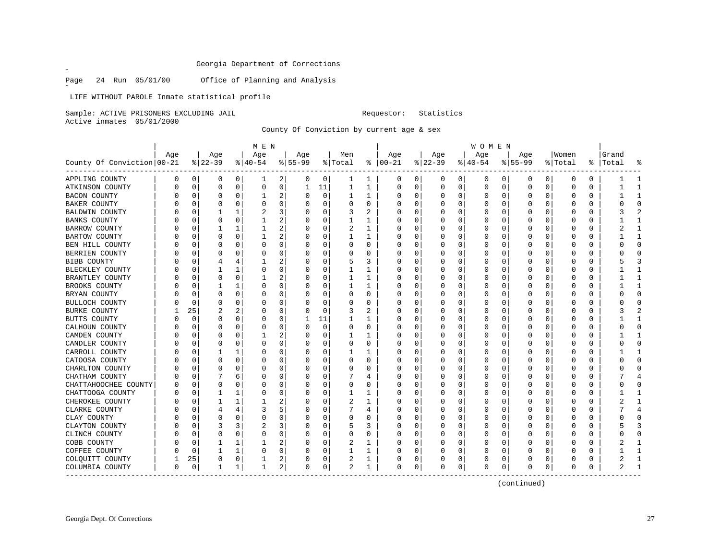Page 24 Run 05/01/00 Office of Planning and Analysis

LIFE WITHOUT PAROLE Inmate statistical profile

Sample: ACTIVE PRISONERS EXCLUDING JAIL **Requestor:** Statistics

Active inmates 05/01/2000

 $\mathscr{L}$ 

County Of Conviction by current age & sex

|                            |     |          |          |          | M E N        |          |           |             |                |              |               |          |          |          | W O M E N |   |           |              |         |          |       |              |
|----------------------------|-----|----------|----------|----------|--------------|----------|-----------|-------------|----------------|--------------|---------------|----------|----------|----------|-----------|---|-----------|--------------|---------|----------|-------|--------------|
|                            | Age |          | Age      |          | Age          |          | Age       |             | Men            |              | Age           |          | Age      |          | Age       |   | Age       |              | Women   |          | Grand |              |
| County Of Conviction 00-21 |     |          | $ 22-39$ |          | $ 40-54$     |          | $8 55-99$ |             | % Total        |              | $8   00 - 21$ |          | $ 22-39$ |          | $ 40-54$  |   | $8 55-99$ |              | % Total | ိ        | Total |              |
| APPLING COUNTY             | 0   | 0        | 0        | 0        | 1            | 2        | 0         | 0           | 1              | 1            | 0             | 0        | 0        | 0        | 0         | 0 | 0         | 0            | 0       | 0        |       |              |
| ATKINSON COUNTY            | 0   | 0        | 0        | 0        | 0            | 0        | 1         | 11          | 1              | 1            | 0             | 0        | 0        | 0        | 0         | 0 | $\Omega$  | $\mathbf 0$  | 0       | 0        |       | $\mathbf{1}$ |
| <b>BACON COUNTY</b>        |     | 0        | 0        | 0        | 1            | 2        | 0         | $\mathbf 0$ | 1              | $\mathbf{1}$ | C             | 0        |          | $\Omega$ | 0         | 0 |           | 0            | 0       | 0        |       | $\mathbf{1}$ |
| <b>BAKER COUNTY</b>        |     | 0        | O        | 0        | 0            | 0        | U         | 0           | 0              | $\Omega$     | C             | 0        |          | $\Omega$ | 0         | 0 | O         | 0            | 0       | 0        | U     | $\Omega$     |
| <b>BALDWIN COUNTY</b>      |     | O        |          |          | 2            | 3        |           | 0           | 3              | 2            | C             | 0        |          | O        | O         | O |           | O            | O       | U        |       |              |
| <b>BANKS COUNTY</b>        |     | C        | O        | O        | -1           | 2        |           | $\Omega$    | 1              | 1            | C             | 0        |          | O        | O         | O |           | <sup>0</sup> | ſ       | $\Omega$ |       | $\mathbf{1}$ |
| BARROW COUNTY              |     | U        | -1       | 1        | 1            | 2        |           | $\Omega$    | 2              | 1            | C             | $\Omega$ | O        | $\Omega$ | 0         | 0 |           | 0            | O       | 0        | 2     | ำ            |
| BARTOW COUNTY              |     | 0        | O        | 0        | $\mathbf{1}$ | 2        |           | 0           | 1              | 1            | C             | 0        |          | $\Omega$ | 0         | 0 |           | 0            | 0       | 0        |       | $\mathbf{1}$ |
| BEN HILL COUNTY            |     | C        | O        | 0        | 0            | 0        | U         | 0           | 0              | 0            | C             | 0        |          | $\Omega$ | 0         | 0 | $\Omega$  | 0            | 0       | 0        | ი     | $\Omega$     |
| BERRIEN COUNTY             |     | 0        | O        | 0        | 0            | 0        | O         | 0           | 0              | 0            | C             | 0        |          | $\Omega$ | 0         | 0 | O         | $\Omega$     | 0       | 0        | Ω     | $\Omega$     |
| BIBB COUNTY                |     | 0        |          |          |              | 2        |           | $\mathbf 0$ | 5              | 3            | C             | 0        |          | $\Omega$ | 0         | 0 |           | 0            | 0       | 0        |       |              |
| BLECKLEY COUNTY            |     | O        |          | 1        | O            | 0        | O         | $\mathbf 0$ | 1              | 1            | C             | 0        |          | $\Omega$ | O         | O |           | <sup>0</sup> | O       | $\Omega$ |       | $\mathbf{1}$ |
| BRANTLEY COUNTY            |     | O        | $\Omega$ | $\Omega$ | 1            | 2        |           | 0           | 1              | 1            | C             | 0        | O        | $\Omega$ | 0         | 0 |           | <sup>0</sup> | U       | 0        |       | -1           |
| BROOKS COUNTY              |     | 0        |          | 1        | 0            | 0        |           | $\mathbf 0$ | 1              | 1            | C             | 0        |          | $\Omega$ | 0         | 0 |           | $\Omega$     | 0       | 0        |       | $\mathbf{1}$ |
| BRYAN COUNTY               |     | 0        | $\Omega$ | 0        | 0            | 0        | U         | 0           | 0              | 0            | C             | 0        |          | $\Omega$ | 0         | 0 | O         | 0            | 0       | 0        | Λ     | $\Omega$     |
| <b>BULLOCH COUNTY</b>      |     | 0        | $\Omega$ | 0        | 0            | 0        | U         | 0           | 0              | 0            | C             | 0        |          | 0        | 0         | 0 | O         | 0            | 0       | 0        | Ω     | $\Omega$     |
| <b>BURKE COUNTY</b>        |     | 25       | 2        | 2        | 0            | 0        |           | $\mathbf 0$ | 3              | 2            | C             | 0        |          | $\Omega$ | 0         | 0 |           | 0            | 0       | 0        |       |              |
| BUTTS COUNTY               |     | C        | O        | O        | O            | 0        | -1        | 11          | $\mathbf{1}$   | 1            | C             | 0        |          | $\Omega$ | O         | O |           | <sup>0</sup> | O       | $\Omega$ |       | $\mathbf{1}$ |
| CALHOUN COUNTY             |     | $\left($ |          | 0        | O            | 0        | O         | $\mathbf 0$ | 0              | $\Omega$     | O             | $\Omega$ | $\left($ | $\Omega$ | O         | O |           | 0            | U       | $\Omega$ | ი     | $\Omega$     |
| CAMDEN COUNTY              |     | 0        |          | O        | 1            | 2        |           | $\mathbf 0$ | 1              | 1            | C             | 0        |          | $\Omega$ | 0         | 0 |           | $\Omega$     | 0       | 0        |       | $\mathbf{1}$ |
| CANDLER COUNTY             |     | O        | O        | 0        | 0            | 0        | U         | 0           | 0              | 0            | C             | 0        |          | $\Omega$ | 0         | O | $\Omega$  | 0            | 0       | 0        | Λ     | $\Omega$     |
| CARROLL COUNTY             |     | 0        |          | 1        | 0            | 0        | U         | 0           | 1              | 1            | C             | 0        |          | $\Omega$ | 0         | 0 | O         | 0            | 0       | 0        |       | -1           |
| CATOOSA COUNTY             |     | 0        | 0        | $\Omega$ | 0            | 0        |           | $\mathbf 0$ | 0              | 0            | C             | 0        |          | $\Omega$ | 0         | 0 |           | 0            | 0       | 0        |       | <sup>0</sup> |
| CHARLTON COUNTY            |     | C        | O        | O        | 0            | 0        | U         | $\mathbf 0$ | 0              | 0            | C             | 0        |          | $\Omega$ | 0         | 0 |           | 0            | 0       | $\Omega$ | U     | <sup>0</sup> |
| CHATHAM COUNTY             |     | O        |          | 6        | O            | 0        | O         | 0           | 7              | 4            | O             | $\Omega$ | $\left($ | $\Omega$ | O         | 0 |           | <sup>0</sup> | U       | 0        |       | 4            |
| CHATTAHOOCHEE COUNTY       |     | 0        | 0        | O        | 0            | 0        |           | $\mathbf 0$ | 0              | 0            | C             | 0        |          | $\Omega$ | 0         | 0 |           | $\Omega$     | 0       | 0        | Ω     | Ω            |
| CHATTOOGA COUNTY           |     | O        | -1       | 1        | 0            | 0        | U         | 0           | 1              | 1            | C             | 0        |          | $\Omega$ | 0         | O | O         | 0            | 0       | 0        |       | -1           |
| CHEROKEE COUNTY            |     | O        |          | 1        |              | 2        | 0         | 0           | 2              | 1            | C             | 0        |          | $\Omega$ | 0         | 0 | $\Omega$  | 0            | 0       | 0        | 2     | -1           |
| CLARKE COUNTY              |     | 0        |          |          | 3            | 5        |           | $\mathbf 0$ |                | 4            | C             | 0        |          | $\Omega$ | 0         | 0 |           | 0            | 0       | 0        |       |              |
| CLAY COUNTY                |     | C        |          | O        | 0            | $\Omega$ | O         | $\Omega$    | 0              | U            | C             | 0        |          | $\Omega$ | 0         | O |           | 0            | O       | $\Omega$ | U     | ∩            |
| CLAYTON COUNTY             |     | O        | 3        | 3        |              | 3        |           | $\Omega$    | 5              | 3            | O             | $\Omega$ | 0        | $\Omega$ | 0         | O |           | 0            | 0       | $\Omega$ | 5     | 3            |
| CLINCH COUNTY              |     | 0        | O        | $\Omega$ | 0            | 0        |           | $\mathbf 0$ | 0              | U            | C             | 0        |          | $\Omega$ | 0         | 0 |           | $\Omega$     | 0       | 0        |       | ſ            |
| COBB COUNTY                |     | 0        |          | 1        |              | 2        |           | 0           | 2              | 1            | C             | 0        |          | $\Omega$ | 0         | 0 | O         | 0            | 0       | 0        |       | -1           |
| COFFEE COUNTY              |     | 0        |          | 1        | 0            | 0        | U         | 0           | 1              | 1            | C             | 0        | 0        | 0        | 0         | 0 | $\Omega$  | 0            | 0       | 0        |       | -1           |
| COLQUITT COUNTY            |     | 25       | 0        | 0        |              | 2        |           | 0           | 2              | 1            | C             | 0        |          | 0        | 0         | 0 | 0         | 0            | 0       | 0        | 2     |              |
| COLUMBIA COUNTY            | 0   | 0        | -1       | 1        | 1            | 2        | O         | 0           | $\overline{2}$ | 1            | O             | 0        | 0        | 0        | $\Omega$  | 0 | O         | 0            | 0       | 0        | 2     |              |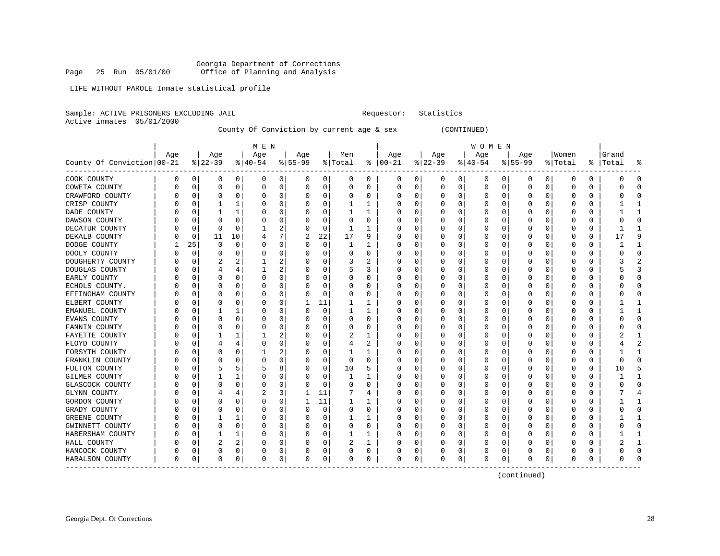LIFE WITHOUT PAROLE Inmate statistical profile

Sample: ACTIVE PRISONERS EXCLUDING JAIL **Requestor:** Statistics

Active inmates 05/01/2000

County Of Conviction by current age & sex (CONTINUED)

|                            |     |          |          |          | M E N     |                |           |             |              |              |               |          |          |          | W O M E N |          |           |              |         |    |       |              |
|----------------------------|-----|----------|----------|----------|-----------|----------------|-----------|-------------|--------------|--------------|---------------|----------|----------|----------|-----------|----------|-----------|--------------|---------|----|-------|--------------|
|                            | Age |          | Age      |          | Age       |                | Age       |             | Men          |              | Age           |          | Age      |          | Age       |          | Age       |              | Women   |    | Grand |              |
| County Of Conviction 00-21 |     |          | $ 22-39$ |          | $8 40-54$ |                | $8 55-99$ |             | % Total      |              | $8   00 - 21$ |          | $ 22-39$ |          | $ 40-54$  |          | $8 55-99$ |              | % Total | ႜႂ | Total |              |
| COOK COUNTY                | 0   | 0        | 0        | 0        | 0         | $\overline{0}$ | 0         | 0           | 0            | 0            | 0             | 0        | 0        | 0        | 0         | 0        | 0         | 0            | 0       | 0  | 0     | 0            |
| COWETA COUNTY              |     | 0        | 0        | 0        | 0         | 0              | 0         | 0           | 0            | $\Omega$     | 0             | 0        | 0        | 0        | 0         | 0        | $\Omega$  | 0            | 0       | 0  | Ω     | 0            |
| CRAWFORD COUNTY            |     | 0        |          | $\Omega$ | 0         | 0              |           | 0           | 0            | 0            | O             | 0        |          | 0        | 0         | O        |           | $\Omega$     | 0       | 0  | O     | <sup>0</sup> |
| CRISP COUNTY               |     | 0        |          | 1        |           | 0              |           | 0           | 1            | 1            | $\Box$        | 0        |          | $\Omega$ | Ω         | 0        |           | $\Omega$     | 0       | 0  |       |              |
| DADE COUNTY                |     | C        |          | 1        |           | 0              |           | $\mathbf 0$ | $\mathbf{1}$ | 1            |               | $\Omega$ |          |          | Ω         |          |           | O            | 0       | 0  |       | $\mathbf{1}$ |
| DAWSON COUNTY              |     | C        | $\Omega$ | 0        | 0         | 0              |           | 0           | $\Omega$     | 0            | C             | 0        |          | O        | 0         | O        | O         | 0            | 0       | 0  |       | $\Omega$     |
| DECATUR COUNTY             |     | 0        | $\Omega$ | $\Omega$ |           | 2              |           | 0           | 1            | 1            | C             | 0        |          | O        | 0         | O        | O         | O            | 0       | 0  |       |              |
| DEKALB COUNTY              |     | 0        | 11       | 10       | 4         | 7              | 2         | 22          | 17           | 9            | O             | 0        |          | 0        | 0         | O        |           | U            | 0       | 0  | 17    | 9            |
| DODGE COUNTY               |     | 25       | $\Omega$ | $\Omega$ | U         | 0              | O         | 0           | 1            | 1            | O             | 0        |          | O        | 0         | O        |           | U            | 0       | 0  |       |              |
| DOOLY COUNTY               |     | O        | n        | O        | O         | 0              |           | 0           | 0            | U            | C             | 0        |          | O        | O         | U        |           | U            | Ω       | 0  | C     | $\cap$       |
| DOUGHERTY COUNTY           |     | $\left($ | 2        | 2        |           | 2              |           | $\Omega$    | 3            | 2            | O             | 0        |          | $\Omega$ | 0         | U        |           | <sup>0</sup> | O       | 0  | 3     |              |
| DOUGLAS COUNTY             |     | O        |          | 4        |           | 2              |           | 0           | 5            | 3            | O             | 0        |          | $\Omega$ | 0         | O        |           | $\Omega$     | 0       | 0  |       | p            |
| EARLY COUNTY               |     |          |          | $\Omega$ | 0         | 0              |           | 0           | 0            | 0            |               | 0        |          | $\Omega$ | 0         | 0        |           | $\Omega$     | 0       | 0  |       | $\Omega$     |
| ECHOLS COUNTY.             |     | C        | O        | O        | 0         | 0              |           | 0           | 0            | 0            | C             | 0        |          | $\Omega$ | 0         | O        | U         | 0            | U       | 0  | U     | $\Omega$     |
| EFFINGHAM COUNTY           |     | O        | O        | 0        | 0         | 0              | U         | 0           | 0            | 0            | C             | 0        |          | 0        | 0         | O        | n         | 0            | 0       | 0  | O     | $\Omega$     |
| ELBERT COUNTY              |     | O        | O        | 0        | 0         | 0              |           | 11          | 1            | 1            | C             | 0        |          | 0        | 0         | O        |           | 0            | 0       | 0  |       | 1            |
| EMANUEL COUNTY             |     | 0        |          | 1        | C         | 0              |           | $\mathbf 0$ | 1            | 1            | C             | 0        |          | 0        | 0         | 0        |           | 0            | C       | 0  |       | -1           |
| <b>EVANS COUNTY</b>        |     | C        |          | O        | 0         | 0              |           | 0           | 0            | 0            | C             | 0        |          | O        | 0         | O        |           | O            | ſ       | 0  |       | $\cap$       |
| FANNIN COUNTY              |     | N        |          | O        | 0         | 0              |           | 0           | 0            | 0            | C             | 0        |          | O        | 0         | O        |           | 0            | 0       | 0  |       | ∩            |
| FAYETTE COUNTY             |     | O        |          | 1        |           | 2              |           | 0           | 2            | 1            | U             | 0        |          | $\Omega$ | 0         | 0        |           | 0            | 0       | 0  |       |              |
| FLOYD COUNTY               |     | 0        |          |          | 0         | 0              |           | 0           | 4            | 2            | C             | 0        |          | $\Omega$ | 0         | 0        |           | 0            | 0       | 0  |       | 2            |
| FORSYTH COUNTY             |     | C        |          |          |           | 2              |           | 0           | 1            | $\mathbf{1}$ | O             | 0        |          |          | 0         | 0        |           | U            | C       | 0  |       |              |
| FRANKLIN COUNTY            |     | C        | O        |          |           | 0              |           | 0           | 0            | 0            | C             | 0        |          | O        | 0         |          |           | U            | 0       | 0  | U     | $\Omega$     |
| FULTON COUNTY              |     | C        |          |          | 5         | 8              | O         | 0           | 10           | 5            | C             | 0        |          | 0        | 0         | O        | O         | 0            | 0       | 0  | 10    | 5            |
| <b>GILMER COUNTY</b>       |     |          |          |          | 0         | 0              |           | 0           | 1            | 1            | C             | 0        |          |          | 0         |          |           | 0            | 0       | 0  |       |              |
| <b>GLASCOCK COUNTY</b>     |     |          |          | 0        | 0         | 0              |           | 0           | 0            | 0            | C             | 0        |          |          | 0         |          |           | 0            | C       | 0  |       | ſ            |
| GLYNN COUNTY               |     |          |          | 4        | 2         | 3              |           | 11          |              | 4            | C             | 0        |          | $\Omega$ | 0         | U        |           | O            | Ω       | 0  |       |              |
| GORDON COUNTY              |     | N        |          | O        | O         | 0              |           | 11          | 1            | 1            | $\Box$        | 0        |          | $\Omega$ | O         | O        |           | <sup>0</sup> | Ω       | U  |       |              |
| GRADY COUNTY               |     | N        |          | 0        | O         | 0              | O         | $\mathbf 0$ | 0            | $\Omega$     | O             | $\Omega$ |          | $\Omega$ | 0         | O        |           | <sup>0</sup> | O       | 0  | ი     | <sup>0</sup> |
| GREENE COUNTY              |     | N        |          |          | 0         | 0              |           | 0           | 1            | 1            | O             | 0        |          | $\Omega$ | 0         | O        |           | $\Omega$     | Ω       | 0  |       |              |
| GWINNETT COUNTY            |     | O        | $\Omega$ | $\Omega$ | 0         | 0              |           | $\mathbf 0$ | 0            | O            |               | 0        |          | $\Omega$ | 0         | O        |           | $\Omega$     | 0       | 0  |       | $\Omega$     |
| HABERSHAM COUNTY           |     | O        |          | 1        | U         | 0              | U         | 0           | 1            | 1            | C             | 0        |          | $\Omega$ | O         | O        | O         | 0            | U       | 0  |       | $\mathbf{1}$ |
| HALL COUNTY                |     | C        | 2        | 2        | 0         | 0              | O         | 0           | 2            | 1            | C             | 0        |          | 0        | 0         | O        | O         | 0            | 0       | 0  | 2     | -1           |
| HANCOCK COUNTY             |     | $\Omega$ | 0        | 0        | 0         | 0              |           | 0           | 0            | 0            | U             | 0        |          | 0        | 0         | $\left($ | $\left($  | 0            | 0       | 0  | O     | <sup>0</sup> |
| HARALSON COUNTY            | 0   | 0        | 0        | 0        | 0         | 0              | 0         | 0           | 0            | 0            | 0             | 0        |          | 0        | 0         | 0        | 0         | 0            | 0       | 0  |       |              |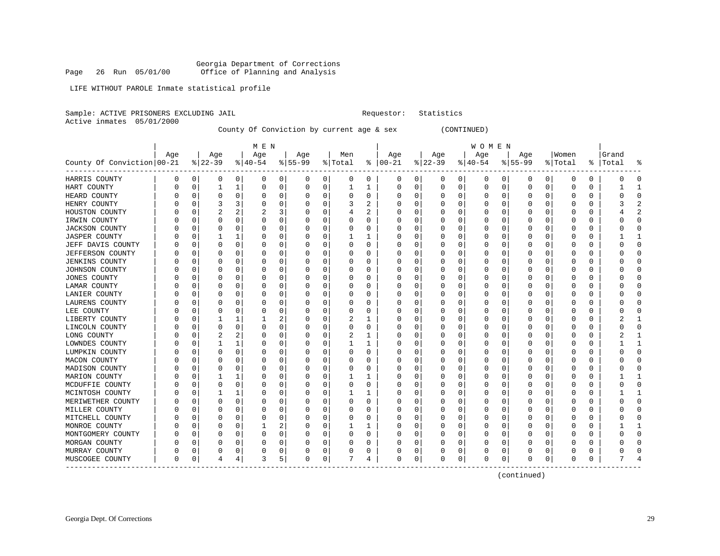Georgia Department of Corrections<br>Page 26 Run 05/01/00 office of Planning and Analysis Office of Planning and Analysis

LIFE WITHOUT PAROLE Inmate statistical profile

Sample: ACTIVE PRISONERS EXCLUDING JAIL **Requestor:** Statistics

Active inmates 05/01/2000

County Of Conviction by current age & sex (CONTINUED)

|                            |          |          |          |          | M E N    |                |           |             |              |   |               |          |          |          | W O M E N |   |           |              |         |          |       |                         |
|----------------------------|----------|----------|----------|----------|----------|----------------|-----------|-------------|--------------|---|---------------|----------|----------|----------|-----------|---|-----------|--------------|---------|----------|-------|-------------------------|
|                            | Age      |          | Age      |          | Age      |                | Age       |             | Men          |   | Age           |          | Age      |          | Age       |   | Age       |              | Women   |          | Grand |                         |
| County Of Conviction 00-21 |          |          | $ 22-39$ |          | $ 40-54$ |                | $8 55-99$ |             | % Total      |   | $8   00 - 21$ |          | $ 22-39$ |          | $ 40-54$  |   | $8 55-99$ |              | % Total | ႜႂ       | Total |                         |
| HARRIS COUNTY              | 0        | 0        | 0        | 0        | 0        | $\overline{0}$ | 0         | 0           | 0            | 0 | 0             | 0        | 0        | 0        | 0         | 0 | 0         | 0            | 0       | 0        | Ω     | O                       |
| HART COUNTY                |          | 0        |          | 1        | 0        | 0              | 0         | 0           | 1            | 1 | 0             | 0        | 0        | 0        | 0         | 0 | $\Omega$  | 0            | 0       | 0        |       |                         |
| HEARD COUNTY               |          | 0        |          | $\Omega$ | 0        | 0              |           | 0           | 0            | 0 | C             | 0        |          | $\Omega$ | 0         | 0 |           | $\Omega$     | 0       | 0        | Ω     | <sup>0</sup>            |
| HENRY COUNTY               |          | 0        |          | 3        | 0        | 0              |           | $\mathbf 0$ | 3            | 2 | C             | $\Omega$ |          | $\Omega$ | 0         | 0 |           | $\Omega$     | 0       | $\Omega$ |       | 2                       |
| HOUSTON COUNTY             |          | C        | 2        | 2        | 2        | 3              |           | 0           | 4            | 2 | C             | 0        |          | O        | 0         | O |           | 0            | 0       | 0        |       | $\overline{\mathbf{c}}$ |
| IRWIN COUNTY               |          | C        | O        | 0        | 0        | 0              | 0         | 0           | 0            | 0 | C             | 0        |          | 0        | 0         | 0 | O         | 0            | 0       | 0        | Ω     | $\Omega$                |
| <b>JACKSON COUNTY</b>      |          | C        | O        | 0        | 0        | 0              |           | 0           | 0            | 0 | C             | 0        |          | 0        | 0         | 0 | O         | 0            | 0       | 0        |       | 0                       |
| <b>JASPER COUNTY</b>       |          | C        |          |          | C        | 0              |           | 0           | 1            | 1 | C             | 0        |          |          | 0         | 0 |           | 0            | C       | 0        |       |                         |
| JEFF DAVIS COUNTY          |          | C        | O        | O        | U        | 0              |           | 0           | U            | U | C             | 0        |          | O        | 0         | O |           | O            | ſ       | U        | n     | $\Omega$                |
| <b>JEFFERSON COUNTY</b>    |          | n        |          | O        | O        | 0              |           | 0           | 0            | U | C             | 0        |          | O        | 0         | O |           | 0            | Ω       | 0        | ∩     | ∩                       |
| <b>JENKINS COUNTY</b>      |          | N        |          | 0        | 0        | 0              |           | $\mathbf 0$ | 0            | U | C             | 0        |          | $\Omega$ | 0         | O |           | $\Omega$     | Ω       | 0        |       | <sup>0</sup>            |
| JOHNSON COUNTY             |          | 0        |          | $\Omega$ | 0        | 0              |           | $\mathbf 0$ | 0            | 0 | C             | 0        |          | $\Omega$ | 0         | 0 |           | 0            | C       | 0        |       | <sup>0</sup>            |
| JONES COUNTY               |          | C        |          | O        | 0        | 0              |           | $\mathbf 0$ | 0            | U |               | 0        |          | $\Omega$ | 0         | O |           | 0            | 0       | 0        |       | $\Omega$                |
| LAMAR COUNTY               |          | O        | n        | 0        | O        | 0              | O         | 0           | 0            | 0 | C             | 0        |          | O        | 0         | O | n         | 0            | O       | 0        | O     | $\Omega$                |
| LANIER COUNTY              |          | $\left($ | O        | O        | O        | 0              |           | 0           | 0            | U | 0             | 0        |          | O        | 0         | O | n         | 0            | O       | 0        | O     | $\Omega$                |
| LAURENS COUNTY             |          | C        |          | O        | 0        | 0              |           | 0           | 0            | U | C             | 0        |          | 0        | 0         | 0 |           | O            | 0       | 0        |       | <sup>0</sup>            |
| LEE COUNTY                 |          |          |          | O        | O        | 0              | U         | $\mathbf 0$ | 0            | 0 | O             | 0        |          | $\Omega$ | 0         | O |           | O            | 0       | 0        |       | ſ                       |
| LIBERTY COUNTY             |          | C        |          | 1        |          | 2              |           | 0           | 2            | 1 | C             | 0        |          | $\Omega$ | O         | O |           | 0            | Ω       | 0        |       |                         |
| LINCOLN COUNTY             |          | n        | O        | $\Omega$ | O        | 0              |           | 0           | 0            | 0 | O             | 0        |          | $\Omega$ | 0         | O |           | <sup>0</sup> | 0       | 0        |       | <sup>0</sup>            |
| LONG COUNTY                |          | N        | 2        | 2        | 0        | 0              |           | $\mathbf 0$ | 2            | 1 | O             | 0        |          | $\Omega$ | 0         | 0 |           | $\Omega$     | 0       | 0        | 2     |                         |
| LOWNDES COUNTY             |          | N        |          |          | 0        | 0              |           | 0           | $\mathbf{1}$ | 1 | C             | 0        |          | $\Omega$ | 0         | 0 |           | O            | 0       | 0        |       | $\mathbf{1}$            |
| LUMPKIN COUNTY             |          | C        |          | O        | 0        | 0              |           | $\mathbf 0$ | 0            | O | C             | 0        |          | $\Omega$ | Ω         |   |           | 0            | 0       | 0        | C     | $\Omega$                |
| MACON COUNTY               |          | C        | n        | O        | 0        | 0              | O         | 0           | 0            | U | C             | 0        |          | O        | 0         | O | n         | 0            | O       | 0        | O     | $\Omega$                |
| MADISON COUNTY             |          | C        |          | O        | O        | 0              |           | 0           | 0            | U | C             | 0        |          | O        | 0         | C |           | O            | O       | 0        |       | <sup>0</sup>            |
| MARION COUNTY              |          |          |          |          | 0        | 0              |           | 0           |              | 1 | $\Box$        | 0        |          |          | 0         |   |           | O            | C       | 0        |       |                         |
| MCDUFFIE COUNTY            |          |          |          | O        | U        | 0              |           | $\mathbf 0$ | U            | U | C             | O        |          | O        | O         | U |           | O            | Ω       | O        |       | $\Omega$                |
| MCINTOSH COUNTY            |          | C        |          |          | O        | 0              |           | $\mathbf 0$ | 1            | 1 | $\Box$        | $\Omega$ |          | $\Omega$ | O         | O |           | <sup>0</sup> | O       | 0        |       |                         |
| MERIWETHER COUNTY          |          | n        |          | $\Omega$ | O        | 0              |           | $\Omega$    | 0            | U | O             | $\Omega$ | $\left($ | $\Omega$ | O         | U |           | <sup>0</sup> | O       | 0        |       | ∩                       |
| MILLER COUNTY              |          | N        |          | $\Omega$ | 0        | 0              |           | 0           | 0            | O | $\Box$        | 0        |          | $\Omega$ | O         | U |           | $\Omega$     | Ω       | O        |       | $\Omega$                |
| MITCHELL COUNTY            |          | C        |          | $\Omega$ | $\Omega$ | 0              |           | $\mathbf 0$ | O            | O |               | $\Omega$ |          | $\Omega$ | Ω         | U |           | $\Omega$     | O       | 0        |       | $\Omega$                |
| MONROE COUNTY              |          | O        | O        | O        |          | 2              |           | 0           | 1            | 1 | C             | 0        |          | $\Omega$ | U         | O | O         | 0            | U       | 0        |       | $\mathbf{1}$            |
| MONTGOMERY COUNTY          |          | O        | O        | $\Omega$ | O        | 0              | U         | $\mathbf 0$ | 0            | O | C             | 0        |          | $\Omega$ | O         | O | O         | $\Omega$     | O       | 0        |       | $\Omega$                |
| MORGAN COUNTY              |          | C        | O        | 0        | O        | 0              |           | 0           | 0            | U | C             | 0        |          | 0        | 0         | O |           | 0            | Ω       | 0        |       | <sup>0</sup>            |
| MURRAY COUNTY              |          | C        |          | 0        |          | 0              |           | 0           | 0            | 0 | O             | 0        |          | 0        | 0         | C |           | 0            |         | 0        |       | ſ                       |
| MUSCOGEE COUNTY            | $\Omega$ | 0        | 4        | 4        | 3        | 5              | $\Omega$  | 0           |              | 4 | $\Omega$      | 0        | O        | 0        | $\Omega$  | 0 | O         | 0            | O       | 0        |       |                         |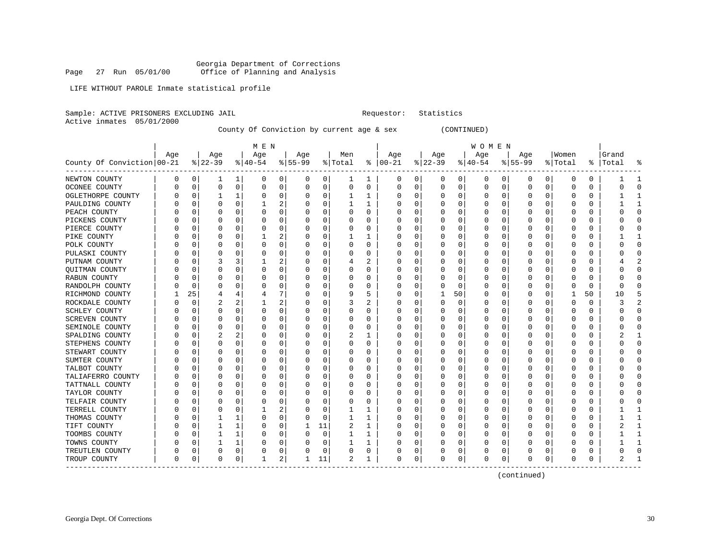Georgia Department of Corrections<br>Page 27 Run 05/01/00 office of Planning and Analysis Office of Planning and Analysis

LIFE WITHOUT PAROLE Inmate statistical profile

Sample: ACTIVE PRISONERS EXCLUDING JAIL **Requestor:** Statistics

Active inmates 05/01/2000

County Of Conviction by current age & sex (CONTINUED)

|                            |          |    |                |             | M E N     |                |           |             |              |              |               |          |          |          | W O M E N |   |           |              |         |          |       |              |
|----------------------------|----------|----|----------------|-------------|-----------|----------------|-----------|-------------|--------------|--------------|---------------|----------|----------|----------|-----------|---|-----------|--------------|---------|----------|-------|--------------|
|                            | Age      |    | Age            |             | Age       |                | Age       |             | Men          |              | Age           |          | Age      |          | Age       |   | Age       |              | Women   |          | Grand |              |
| County Of Conviction 00-21 |          |    | $ 22-39$       |             | $8 40-54$ |                | $8 55-99$ |             | % Total      |              | $8   00 - 21$ |          | $ 22-39$ |          | $ 40-54$  |   | $8 55-99$ |              | % Total | ႜ        | Total |              |
| NEWTON COUNTY              | 0        | 0  | ı              | 1           | 0         | $\overline{0}$ | 0         | 0           | 1            | 1            | 0             | 0        | 0        | 0        | 0         | 0 | 0         | 0            | 0       | 0        |       |              |
| OCONEE COUNTY              |          | 0  | $\mathbf 0$    | $\mathbf 0$ | 0         | 0              | 0         | 0           | 0            | $\Omega$     | 0             | 0        | 0        | 0        | 0         | 0 | $\Omega$  | $\Omega$     | 0       | 0        | Ω     | <sup>0</sup> |
| OGLETHORPE COUNTY          |          | 0  |                | 1           | 0         | 0              |           | 0           | 1            | 1            | O             | 0        |          | $\Omega$ | 0         | O |           | $\Omega$     | O       | 0        |       |              |
| PAULDING COUNTY            |          | O  |                | $\Omega$    | 1         | 2              |           | 0           | 1            | $\mathbf{1}$ | C             | 0        |          | $\Omega$ | Ω         | U |           | $\Omega$     | 0       | 0        |       | $\mathbf{1}$ |
| PEACH COUNTY               |          | C  |                | O           | 0         | 0              |           | 0           | 0            | 0            | C             | 0        |          | $\Omega$ | 0         |   |           | 0            | 0       | 0        | Λ     | $\Omega$     |
| PICKENS COUNTY             |          | C  | O              | 0           | 0         | 0              | 0         | 0           | 0            | 0            | C             | 0        |          | $\Omega$ | 0         | 0 | O         | 0            | 0       | 0        | C     | 0            |
| PIERCE COUNTY              |          | C  | 0              | 0           | 0         | 0              | 0         | 0           | 0            | 0            | C             | 0        |          | $\Omega$ | 0         | 0 | 0         | 0            | 0       | 0        |       | 0            |
| PIKE COUNTY                |          | N  |                | O           |           | 2              |           | 0           |              | 1            | C             | 0        |          | O        | 0         | O |           | O            | ſ       | 0        |       |              |
| POLK COUNTY                |          | C  |                | O           | $\Omega$  | 0              | U         | $\mathbf 0$ | O            | O            | C             | $\Omega$ |          | $\Omega$ | U         | U |           | O            | Ω       | O        | በ     | $\Omega$     |
| PULASKI COUNTY             |          | O  | O              | O           | O         | 0              |           | $\Omega$    | U            | U            | C             | $\Omega$ |          | $\Omega$ | O         | O |           | <sup>0</sup> | Ω       | $\Omega$ | U     | ∩            |
| PUTNAM COUNTY              |          | O  | 3              | 3           |           | 2              |           | $\Omega$    | 4            | 2            | O             | $\Omega$ | $\left($ | $\Omega$ | O         | O |           | $\Omega$     | O       | $\Omega$ |       |              |
| <b>OUITMAN COUNTY</b>      |          | O  |                | $\Omega$    | 0         | 0              |           | 0           | 0            | O            | $\Box$        | 0        |          | $\Omega$ | U         | U |           | $\Omega$     | Ω       | O        |       | O            |
| RABUN COUNTY               |          | 0  |                | O           | 0         | 0              |           | $\mathbf 0$ | 0            | U            |               | 0        |          | $\Omega$ | 0         | 0 |           | 0            | 0       | $\Omega$ | Ω     | <sup>0</sup> |
| RANDOLPH COUNTY            |          | 0  | n              | 0           | 0         | 0              | U         | 0           | 0            | 0            | C             | 0        |          | $\Omega$ | 0         | 0 | O         | 0            | 0       | 0        | U     | $\Omega$     |
| RICHMOND COUNTY            |          | 25 | $\overline{4}$ | 4           | 4         | 7              |           | 0           | 9            | 5            | C             | 0        |          | 50       | 0         | 0 | O         | 0            | 1       | 50       | 10    | 5            |
| ROCKDALE COUNTY            |          | O  | 2              | 2           |           | 2              |           | 0           | 3            | 2            | C             | 0        |          | $\Omega$ | 0         | O |           | O            | O       | 0        | 3     |              |
| SCHLEY COUNTY              |          | C  |                | O           | $\Omega$  | 0              |           | 0           | 0            | U            | C             | $\Omega$ |          | $\Omega$ | 0         | O |           | U            | Ω       | 0        |       | ſ            |
| <b>SCREVEN COUNTY</b>      |          | C  |                | O           | O         | 0              | U         | $\mathbf 0$ | U            | U            | C             | $\Omega$ |          | $\Omega$ | U         | O |           | O            | Ω       | $\Omega$ | C     | ſ            |
| SEMINOLE COUNTY            |          | O  |                | $\Omega$    | O         | 0              |           | $\Omega$    | 0            | $\Omega$     | C             | $\Omega$ |          | $\Omega$ | O         | O |           | $\Omega$     | U       | $\Omega$ | ი     | <sup>0</sup> |
| SPALDING COUNTY            |          | O  | 2              | 2           | O         | 0              |           | 0           | 2            | 1            | O             | $\Omega$ |          | $\Omega$ | Ω         | U |           | $\Omega$     | U       | 0        | 2     |              |
| STEPHENS COUNTY            |          | 0  |                | $\Omega$    | 0         | 0              |           | 0           | 0            | 0            | C             | 0        |          | $\Omega$ | 0         | 0 |           | 0            | 0       | 0        |       | 0            |
| STEWART COUNTY             |          | N  |                | O           | 0         | 0              |           | 0           | 0            | O            | C             | 0        |          | $\Omega$ | 0         | 0 |           | $\Omega$     | 0       | 0        | Ω     | $\Omega$     |
| SUMTER COUNTY              |          | N  | O              | O           | U         | 0              | U         | 0           | 0            | U            | C             | 0        |          | $\Omega$ | U         | O | O         | 0            | U       | 0        | ი     | $\Omega$     |
| TALBOT COUNTY              |          | O  | O              | O           | O         | 0              | U         | $\mathbf 0$ | 0            | U            | C             | 0        |          | O        | 0         | O | O         | 0            | O       | 0        | O     | $\Omega$     |
| TALIAFERRO COUNTY          |          | N  |                | O           | O         | 0              |           | 0           | 0            | U            | C             | 0        |          | O        | 0         | O |           | U            | Ω       | 0        |       | <sup>0</sup> |
| TATTNALL COUNTY            |          |    |                | O           | $\Omega$  | 0              |           | $\mathbf 0$ | U            | U            | C             | $\Omega$ |          | $\Omega$ | U         | O |           | O            | Ω       | O        |       | ſ            |
| TAYLOR COUNTY              |          | N  |                | O           | O         | $\Omega$       | U         | $\Omega$    | U            | U            | C             | $\Omega$ |          | $\Omega$ | O         | O |           | <sup>0</sup> | O       | $\Omega$ | U     | ſ            |
| TELFAIR COUNTY             |          | U  |                | 0           | O         | 0              |           | 0           | 0            | U            | O             | $\Omega$ |          | $\Omega$ | 0         | U |           | $\Omega$     | Ω       | 0        |       | ſ            |
| TERRELL COUNTY             |          | O  |                | $\Omega$    |           | 2              |           | 0           | 1            | 1            | O             | $\Omega$ |          | $\Omega$ | Ω         | O |           | $\Omega$     | O       | 0        |       |              |
| THOMAS COUNTY              |          | 0  |                |             | 0         | 0              |           | 0           | $\mathbf{1}$ | $\mathbf{1}$ |               | $\Omega$ |          | $\Omega$ | 0         | 0 |           | $\Omega$     | 0       | 0        |       | $\mathbf{1}$ |
| TIFT COUNTY                |          | O  |                | 1           | 0         | 0              |           | 11          | 2            | $\mathbf{1}$ | C             | $\Omega$ |          | $\Omega$ | U         | U |           | $\Omega$     | Ω       | 0        |       | $\mathbf{1}$ |
| TOOMBS COUNTY              |          | O  |                | 1           | O         | 0              | O         | 0           | 1            | 1            | C             | 0        |          | $\Omega$ | 0         | O | $\Omega$  | 0            | O       | 0        |       | $\mathbf{1}$ |
| TOWNS COUNTY               |          | O  |                | 1           | 0         | 0              | U         | 0           | 1            | 1            | C             | 0        | 0        | 0        | 0         | O | O         | 0            | O       | 0        |       |              |
| TREUTLEN COUNTY            | Ω        | 0  | 0              | 0           | 0         | 0              |           | 0           | 0            | 0            | C             | 0        |          | 0        | 0         | 0 | 0         | 0            | 0       | 0        |       | ſ            |
| TROUP COUNTY               | $\Omega$ | 0  | $\Omega$       | 0           | 1         | $\overline{a}$ |           | 11          | 2            | 1            | 0             | 0        |          | 0        | $\Omega$  | 0 | O         | 0            | 0       | 0        |       |              |
|                            |          |    |                |             |           |                |           |             |              |              |               |          |          |          |           |   |           |              |         |          |       |              |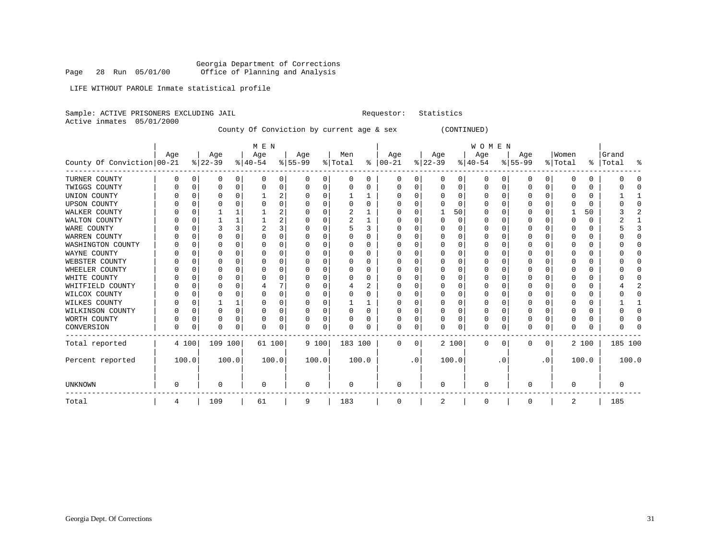Georgia Department of Corrections Page 28 Run 05/01/00 Office of Planning and Analysis

LIFE WITHOUT PAROLE Inmate statistical profile

Sample: ACTIVE PRISONERS EXCLUDING JAIL **Requestor:** Statistics Active inmates 05/01/2000 County Of Conviction by current age & sex (CONTINUED)

|                            |     |       |           |   | M E N        |                |           |          |         |       |               |           |              |          | <b>WOMEN</b> |          |           |           |          |       |           |       |
|----------------------------|-----|-------|-----------|---|--------------|----------------|-----------|----------|---------|-------|---------------|-----------|--------------|----------|--------------|----------|-----------|-----------|----------|-------|-----------|-------|
|                            | Aqe |       | Age       |   | Age          |                | Age       |          | Men     |       | Age           |           | Age          |          | Age          |          | Age       |           | Women    |       | Grand     |       |
| County Of Conviction 00-21 |     |       | $ 22-39 $ |   | $ 40-54 $    |                | $ 55-99 $ |          | % Total |       | $8   00 - 21$ |           | $ 22-39 $    |          | $ 40-54 $    |          | $8 55-99$ |           | % Total  |       | %   Total | ႜ     |
| TURNER COUNTY              |     | O     | 0         | 0 | <sup>0</sup> | 0              | U         | $\Omega$ | 0       | 0     | 0             | 0         | $\Omega$     | 0        | 0            | $\Omega$ | 0         | 0         | n        | 0     |           |       |
| TWIGGS COUNTY              |     |       | O         | 0 |              | 0              | U         | 0        | O       | 0     | 0             | 0         |              | 0        | 0            | 0        | $\Omega$  | 0         | O        | 0     |           |       |
| UNION COUNTY               |     |       |           | U |              | $\overline{2}$ | U         | $\Omega$ |         | 1     |               | 0         |              | $\Omega$ | O            | $\Omega$ | $\Omega$  | $\Omega$  | ſ        | 0     |           |       |
| <b>UPSON COUNTY</b>        |     |       |           |   |              | $\Omega$       | U         | $\Omega$ |         | 0     |               | U         |              | ∩        | O            |          | O         |           | n        | 0     |           |       |
| WALKER COUNTY              |     |       |           |   |              | 2              |           | O        |         |       |               | U         |              | 50       | O            |          | O         |           |          | 50    |           |       |
| WALTON COUNTY              |     |       |           |   |              | $\overline{2}$ |           | $\Omega$ |         | 1     |               | U         |              | $\Omega$ | 0            |          |           |           | ſ        | 0     |           |       |
| WARE COUNTY                |     |       |           | 3 |              | 3              | U         | $\Omega$ |         | 3     | U             | U         |              | ∩        | O            | n        | O         |           | n        | 0     |           |       |
| WARREN COUNTY              |     |       |           | U |              | $\Omega$       |           | n        | U       | 0     |               | U         |              |          | O            |          | ∩         |           |          | 0     |           | n     |
| WASHINGTON COUNTY          |     |       |           | O |              | $\Omega$       |           | O        |         | 0     |               | U         |              | O        |              |          |           |           |          | 0     |           |       |
| WAYNE COUNTY               |     |       | O         | N |              | $\Omega$       | U         | O        | U       | 0     | O             | U         |              | ∩        | O            |          | $\Omega$  |           | n        | 0     |           |       |
| WEBSTER COUNTY             |     |       |           |   |              | $\Omega$       |           | O        | U       | 0     |               | U         |              |          | O            |          | ∩         |           |          | 0     |           |       |
| WHEELER COUNTY             |     |       |           | U |              | $\Omega$       | U         | $\Omega$ | O       | 0     |               | U         |              | $\Omega$ | 0            |          |           |           |          | 0     |           |       |
| WHITE COUNTY               |     |       |           | U |              | $\Omega$       |           | n        |         | 0     |               | U         |              | ∩        | O            |          | ∩         |           |          | 0     |           |       |
| WHITFIELD COUNTY           |     |       |           | U |              |                |           | O        |         | 2     |               | U         |              |          | O            |          |           |           |          | 0     |           |       |
| WILCOX COUNTY              |     |       |           | U |              | $\Omega$       | U         | O        | O       | 0     |               | U         |              | O        | O            |          |           |           | ſ        | U     |           |       |
| WILKES COUNTY              |     |       |           |   |              | $\Omega$       | U         | O        |         |       | O             | U         |              | U        | O            |          | 0         |           | n        | 0     |           |       |
| WILKINSON COUNTY           |     |       | U         | U |              | $\Omega$       | U         | $\Omega$ | U       | 0     | U             | U         |              | $\Omega$ | O            |          | ∩         |           | n        | 0     |           |       |
| WORTH COUNTY               |     |       |           | U |              | 0              |           | $\Omega$ |         | 0     |               | $\Omega$  |              | $\Omega$ | 0            |          |           |           | 0        | 0     |           |       |
| CONVERSION                 | O   |       | O         | 0 |              | 0              | U         | $\Omega$ | O       | O     | 0             | 0         |              | $\Omega$ | 0            | 0        | $\Omega$  | 0         | $\Omega$ | 0     |           |       |
| Total reported             |     | 4 100 | 109 100   |   | 61 100       |                | 9 100     |          | 183 100 |       | 0             | 0         |              | 2 100    | 0            | $\Omega$ | 0         | 0         |          | 2 100 | 185 100   |       |
| Percent reported           |     | 100.0 | 100.0     |   |              | 100.0          | 100.0     |          |         | 100.0 |               | $\cdot$ 0 |              | 100.0    |              | . 0      |           | $\cdot$ 0 |          | 100.0 |           | 100.0 |
| <b>UNKNOWN</b>             |     |       | $\Omega$  |   | ∩            |                | $\Omega$  |          | 0       |       | <sup>0</sup>  |           | <sup>0</sup> |          | 0            |          | $\Omega$  |           | $\Omega$ |       |           |       |
| Total                      | 4   |       | 109       |   | 61           |                | 9         |          | 183     |       | 0             |           | 2            |          | 0            |          | $\Omega$  |           | 2        |       | 185       |       |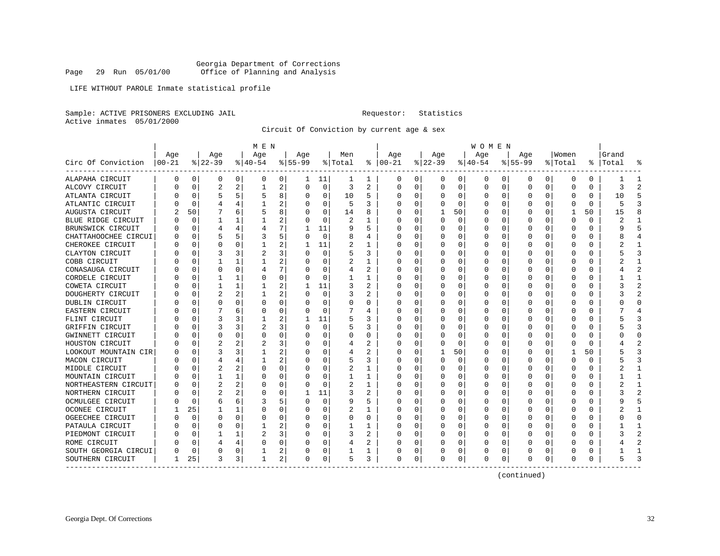LIFE WITHOUT PAROLE Inmate statistical profile

Sample: ACTIVE PRISONERS EXCLUDING JAIL **Requestor:** Statistics Active inmates 05/01/2000

Circuit Of Conviction by current age & sex

|                      |           |             |          |          | M E N        |                |           |             |         |                |          |          |          |          | <b>WOMEN</b> |          |              |          |          |          |           |                |
|----------------------|-----------|-------------|----------|----------|--------------|----------------|-----------|-------------|---------|----------------|----------|----------|----------|----------|--------------|----------|--------------|----------|----------|----------|-----------|----------------|
|                      | Age       |             | Age      |          | Age          |                | Aqe       |             | Men     |                | Age      |          | Age      |          | Age          |          | Aqe          |          | Women    |          | Grand     |                |
| Circ Of Conviction   | $ 00-21 $ |             | $ 22-39$ |          | $ 40-54$     |                | $8 55-99$ |             | % Total | ႜ              | $ 00-21$ |          | $ 22-39$ |          | $ 40-54$     |          | $8 55-99$    |          | % Total  |          | %   Total |                |
| ALAPAHA CIRCUIT      | 0         | 0           | 0        | 0        | 0            | 0              | 1         | 11          | 1       | 1              | 0        | 0        | 0        | 0        | 0            | 0        | 0            | 0        | 0        | 0        |           | 1              |
| ALCOVY CIRCUIT       | N         | $\Omega$    | 2        | 2        | 1            | 2              | $\Omega$  | $\Omega$    | 3       | 2              | $\Omega$ | $\Omega$ | $\Omega$ | $\Omega$ | 0            | $\Omega$ | $\Omega$     | $\Omega$ | O        | $\Omega$ | 3         | $\overline{c}$ |
| ATLANTA CIRCUIT      |           | $\Omega$    | 5        |          | 5            | 8              | $\left($  | $\Omega$    | 10      | 5              | 0        | 0        | O        | $\Omega$ | O            | $\Omega$ | <sup>0</sup> | $\Omega$ | O        | 0        | 10        | 5              |
| ATLANTIC CIRCUIT     |           | $\Omega$    | 4        |          |              | 2              |           | $\Omega$    | 5       | 3              | 0        | 0        | O        | $\Omega$ | ი            | $\Omega$ |              | $\Omega$ | O        | $\Omega$ | 5         |                |
| AUGUSTA CIRCUIT      |           | 50          |          | 6        | 5            | 8              |           | 0           | 14      | 8              |          | 0        |          | 50       | C            | C        |              | O        | -1       | 50       | 15        |                |
| BLUE RIDGE CIRCUIT   |           | $\Omega$    | 1        |          |              | 2              |           | $\Omega$    | 2       | 1              | $\Omega$ | 0        | $\Omega$ | $\Omega$ | 0            | C        | <sup>0</sup> | O        | O        | 0        | 2         | -1             |
| BRUNSWICK CIRCUIT    | N         | 0           | 4        | 4        | 4            | 7              |           | 11          | 9       | 5              | $\Omega$ | 0        | O        | $\Omega$ | 0            | 0        | 0            | 0        | O        | 0        | q         | 5              |
| CHATTAHOOCHEE CIRCUI | O         | $\Omega$    | 5        | 5        | 3            | 5              | $\left($  | 0           | 8       | 4              | 0        | 0        | 0        | $\Omega$ | 0            | 0        | 0            | 0        | O        | 0        | 8         |                |
| CHEROKEE CIRCUIT     |           | $\Omega$    | 0        |          |              | 2              |           | 11          | 2       | 1              | C        | 0        | 0        | $\Omega$ | 0            | C        |              | O        | C        | 0        |           |                |
| CLAYTON CIRCUIT      |           | C           |          | 3        |              | 3              |           | $\Omega$    | 5       | 3              | C        | U        | O        | $\Omega$ | 0            | C        |              | U        | C        | U        |           |                |
| COBB CIRCUIT         |           | 0           |          | 1        |              | 2              |           | $\Omega$    | 2       | 1              | 0        | U        | O        | $\Omega$ | 0            | C        | O            | $\Omega$ | O        | 0        |           |                |
| CONASAUGA CIRCUIT    |           | $\Omega$    | 0        | $\Omega$ | 4            | 7              |           | 0           | 4       | 2              | 0        | 0        | O        | 0        | 0            | O        |              | $\Omega$ | O        | 0        |           |                |
| CORDELE CIRCUIT      |           | 0           |          |          | 0            | 0              |           | 0           |         | 1              | C        | 0        | 0        | $\Omega$ | C            | 0        |              | $\Omega$ | 0        | 0        |           | $\mathbf{1}$   |
| COWETA CIRCUIT       |           | 0           |          | 1        |              | 2              |           | 11          | 3       | $\overline{a}$ | O        | 0        | $\Omega$ | $\Omega$ | 0            | C        | <sup>0</sup> | 0        | O        | 0        |           | $\mathcal{D}$  |
| DOUGHERTY CIRCUIT    |           | 0           | 2        | 2        |              | 2              |           | 0           | 3       | 2              | $\Omega$ | 0        | O        | $\Omega$ | 0            | C        | O            | 0        | O        | 0        | 3         | $\mathcal{D}$  |
| DUBLIN CIRCUIT       |           | $\Omega$    | O        | 0        | 0            | 0              | $\left($  | 0           | 0       | 0              | n        | 0        | O        | 0        | 0            | 0        | O            | 0        | O        | 0        | 0         | ∩              |
| EASTERN CIRCUIT      |           | 0           |          | 6        | 0            | 0              |           | $\mathbf 0$ |         | 4              | O        | U        | O        | $\Omega$ | 0            | 0        |              | U        | Ω        | U        |           |                |
| FLINT CIRCUIT        |           | $\Omega$    | 3        | 3        |              | 2              | 1         | 11          | 5       | 3              | C        | O        | $\Omega$ | $\Omega$ | U            | C        | <sup>0</sup> | U        | O        | O        |           |                |
| GRIFFIN CIRCUIT      |           | $\Omega$    | 3        | 3        | 2            | 3              | $\Omega$  | $\Omega$    | 5       | 3              | O        | O        | O        | $\Omega$ | U            | C        | O            | O        | O        | 0        |           | κ              |
| GWINNETT CIRCUIT     |           | $\Omega$    | $\Omega$ | O        | O            | 0              | O         | $\Omega$    | 0       | 0              | O        | 0        | O        | $\Omega$ | O            | $\Omega$ |              | $\Omega$ | O        | $\Omega$ |           | <sup>0</sup>   |
| HOUSTON CIRCUIT      |           | 0           | 2        | 2        | 2            | 3              |           | 0           | 4       | 2              | 0        | 0        |          | $\Omega$ | C            | $\Omega$ |              | 0        | 0        | 0        |           |                |
| LOOKOUT MOUNTAIN CIR |           | $\mathbf 0$ |          | 3        |              | 2              |           | 0           | 4       | 2              |          | O        |          | 50       | Ω            | C        |              | O        | -1       | 50       |           | p              |
| MACON CIRCUIT        |           | $\Omega$    | 4        | 4        | 1            | 2              |           | $\Omega$    | 5       | 3              | O        | 0        | $\Omega$ | $\Omega$ | 0            | C        | <sup>0</sup> | O        | O        | $\Omega$ |           | κ              |
| MIDDLE CIRCUIT       |           | $\Omega$    | 2        | 2        | 0            | 0              |           | $\Omega$    | 2       | 1              | $\Omega$ | 0        | 0        | $\Omega$ | 0            | C        | 0            | O        | O        | 0        | 2         | -1             |
| MOUNTAIN CIRCUIT     |           | $\Omega$    |          |          | 0            | 0              |           | $\Omega$    |         | 1              | 0        | 0        | $\Omega$ | $\Omega$ | 0            | C        |              | O        | C        | 0        |           |                |
| NORTHEASTERN CIRCUIT |           | 0           |          |          | 0            | 0              |           | $\mathbf 0$ | 2       | 1              | C        | U        | O        | 0        | C            | C        |              | U        |          | 0        |           |                |
| NORTHERN CIRCUIT     |           | $\Omega$    | 2        | 2        | 0            | 0              | 1         | 11          | 3       | 2              | O        | U        | O        | $\Omega$ | 0            | C        | n            | U        | n        | U        |           | $\mathcal{D}$  |
| OCMULGEE CIRCUIT     |           | $\Omega$    | 6        | 6        | 3            | 5              | $\Omega$  | $\Omega$    | 9       | 5              | $\Omega$ | 0        | $\Omega$ | $\Omega$ | 0            | C        | O            | 0        | O        | 0        | q         |                |
| OCONEE CIRCUIT       |           | 25          |          |          | 0            | 0              | O         | 0           | 2       | 1              | 0        | 0        | 0        | 0        | 0            | 0        | O            | $\Omega$ | O        | 0        |           |                |
| OGEECHEE CIRCUIT     |           | $\mathbf 0$ | 0        | 0        | 0            | 0              |           | 0           | 0       | 0              | 0        | 0        | 0        | 0        | 0            | 0        |              | 0        | 0        | 0        |           | <sup>0</sup>   |
| PATAULA CIRCUIT      |           | 0           | O        | 0        |              | 2              |           | 0           |         | $\mathbf{1}$   | O        | 0        | O        | $\Omega$ | 0            | C        | O            | 0        | Ω        | 0        |           | $\mathbf{1}$   |
| PIEDMONT CIRCUIT     |           | 0           | 1        | 1        | 2            | 3              |           | 0           | 3       | 2              | $\Omega$ | 0        | O        | 0        | 0            | 0        | O            | $\Omega$ | n        | 0        |           | $\mathcal{D}$  |
| ROME CIRCUIT         | U         | 0           | 4        | 4        | O            | 0              | ∩         | 0           | 4       | 2              | 0        | 0        | O        | 0        | 0            | 0        | O            | $\Omega$ | O        | 0        |           |                |
| SOUTH GEORGIA CIRCUI |           | 0           | 0        | 0        |              | 2              |           | 0           |         | ı              | 0        | 0        | 0        | 0        | 0            | 0        |              | 0        | $\left($ | 0        |           |                |
| SOUTHERN CIRCUIT     | 1         | 25          | 3        | 3        | $\mathbf{1}$ | $\overline{a}$ | $\Omega$  | 0           | 5       | 3              | $\Omega$ | 0        | $\Omega$ | 0        | 0            | $\Omega$ | <sup>0</sup> | 0        | O        | 0        |           |                |
|                      |           |             |          |          |              |                |           |             |         |                |          |          |          |          |              |          |              |          |          |          |           |                |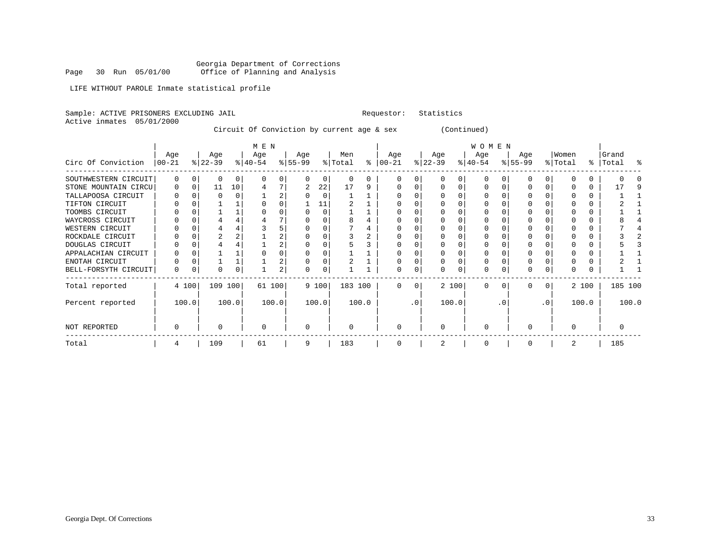Georgia Department of Corrections<br>Page 30 Run 05/01/00 office of Planning and Analysis Office of Planning and Analysis

LIFE WITHOUT PAROLE Inmate statistical profile

Sample: ACTIVE PRISONERS EXCLUDING JAIL **Requestor:** Statistics Active inmates 05/01/2000 Circuit Of Conviction by current age & sex (Continued) | M E N | W O M E N | Age | Age | Age | Age | Men | Age | Age | Age | Age |Women |Grand Circ Of Conviction |00-21 %|22-39 %|40-54 %|55-99 %|Total % |00-21 %|22-39 %|40-54 %|55-99 %|Total % |Total % ------------------------------------------------------------------------------------------------------------------------------------SOUTHWESTERN CIRCUIT| 0 0| 0 0| 0 0| 0 0| 0 0 | 0 0| 0 0| 0 0| 0 0| 0 0 | 0 0

| Total                | 4     |   | 109      |    | 61     | 9 |       | 183     |       |   |           |              |          | 0           |          |          |                 | 2 |       | 185     |  |
|----------------------|-------|---|----------|----|--------|---|-------|---------|-------|---|-----------|--------------|----------|-------------|----------|----------|-----------------|---|-------|---------|--|
| NOT REPORTED         | 0     |   |          |    |        |   |       |         |       | n |           |              |          | O           |          |          |                 |   |       |         |  |
| Percent reported     | 100.0 |   | 100.0    |    | 100.0  |   | 100.0 |         | 100.0 |   | $\cdot$ 0 | 100.0        |          |             | . 0      |          | .0 <sup>′</sup> |   | 100.0 | 100.0   |  |
| Total reported       | 4 100 |   | 109 100  |    | 61 100 |   | 9 100 | 183 100 |       | 0 | 0         | 2 100        |          | $\mathbf 0$ | $\Omega$ | 0        | 0 <sup>1</sup>  |   | 2 100 | 185 100 |  |
| BELL-FORSYTH CIRCUIT | 0     | 0 | $\Omega$ | 0  | 2      |   |       |         |       | O | 0         | <sup>0</sup> | $\Omega$ | 0           |          | $\Omega$ |                 |   |       |         |  |
| ENOTAH CIRCUIT       | U     |   |          |    | z.     |   |       |         |       |   |           |              |          | O           |          |          |                 |   |       |         |  |
| APPALACHIAN CIRCUIT  |       |   |          |    |        |   |       |         |       |   |           |              |          |             |          |          |                 |   |       |         |  |
| DOUGLAS CIRCUIT      |       |   |          |    |        |   |       |         |       |   |           |              |          |             |          |          |                 |   |       |         |  |
| ROCKDALE CIRCUIT     |       |   |          |    | 2.     |   |       |         |       |   |           |              |          |             |          |          |                 |   |       |         |  |
| WESTERN CIRCUIT      |       |   |          |    |        |   |       |         |       |   |           |              |          |             |          |          |                 |   |       |         |  |
| WAYCROSS CIRCUIT     |       |   |          |    |        |   |       |         |       |   |           |              |          |             |          |          |                 |   |       |         |  |
| TOOMBS CIRCUIT       |       |   |          |    | 0      |   |       |         |       |   |           |              |          |             |          |          |                 |   |       |         |  |
| TIFTON CIRCUIT       |       |   |          |    |        |   |       |         |       |   |           |              |          |             |          |          |                 |   |       |         |  |
| TALLAPOOSA CIRCUIT   |       |   |          |    | 2      |   |       |         |       |   |           |              |          |             |          |          |                 |   |       |         |  |
| STONE MOUNTAIN CIRCU | 0     |   |          | 10 |        | 2 | 22    | 17      |       |   |           |              |          |             |          |          |                 |   |       |         |  |
| SOUTHWESTERN CIRCUIT | 0     |   |          |    |        |   |       |         |       |   |           |              |          |             |          |          |                 |   |       |         |  |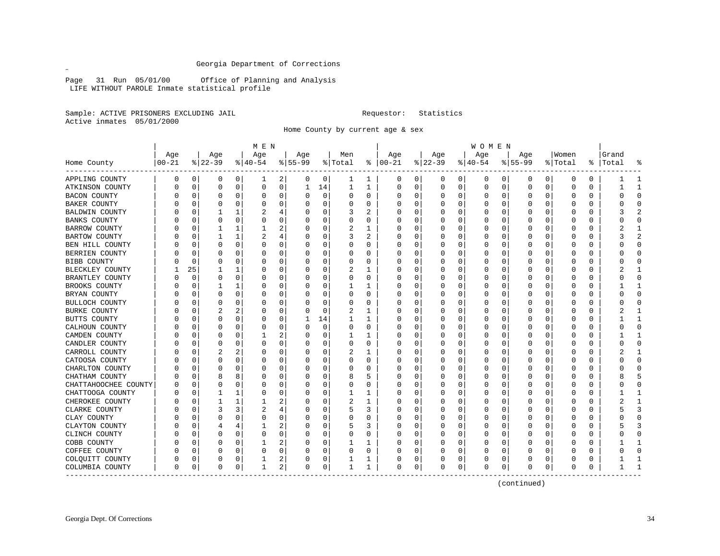Page 31 Run 05/01/00 Office of Planning and Analysis LIFE WITHOUT PAROLE Inmate statistical profile

Sample: ACTIVE PRISONERS EXCLUDING JAIL **Requestor:** Statistics Active inmates 05/01/2000

 $\mathscr{L}$ 

Home County by current age & sex

|                      |           |             |          |              | M E N       |          |           |             |         |          |               |          |              |             | <b>WOMEN</b> |             |          |          |              |               |       |              |
|----------------------|-----------|-------------|----------|--------------|-------------|----------|-----------|-------------|---------|----------|---------------|----------|--------------|-------------|--------------|-------------|----------|----------|--------------|---------------|-------|--------------|
|                      | Age       |             | Age      |              | Age         |          | Age       |             | Men     |          | Age           |          | Age          |             | Age          |             | Age      |          | Women        |               | Grand |              |
| Home County          | $00 - 21$ |             | $ 22-39$ |              | $ 40-54$    |          | $8 55-99$ |             | % Total |          | $8   00 - 21$ |          | $ 22-39 $    |             | $ 40-54$     |             | $ 55-99$ |          | % Total      | $\frac{1}{6}$ | Total | 옹            |
| APPLING COUNTY       | 0         | 0           | 0        | 0            | 1           | 2        | 0         | 0           | 1       | 1        | 0             | 0        | 0            | 0           | 0            | 0           | 0        | 0        | 0            | 0             |       | -1           |
| ATKINSON COUNTY      | O         | $\mathbf 0$ | 0        | 0            | $\mathbf 0$ | 0        | 1         | 14          | 1       | 1        | 0             | $\Omega$ | 0            | $\mathbf 0$ | 0            | $\mathbf 0$ | $\Omega$ | $\Omega$ | 0            | 0             |       | $\mathbf{1}$ |
| <b>BACON COUNTY</b>  |           | 0           | 0        | $\Omega$     | 0           | 0        | O         | $\mathbf 0$ | 0       | 0        | 0             | 0        | 0            | 0           | 0            | 0           | $\Omega$ | $\Omega$ | 0            | U             |       | $\Omega$     |
| BAKER COUNTY         |           | 0           | O        | O            | 0           | 0        |           | 0           | 0       | $\Omega$ | C             | $\Omega$ | O            | 0           | Ω            | $\Omega$    | $\Omega$ | 0        | 0            | 0             |       | $\bigcap$    |
| BALDWIN COUNTY       |           | 0           |          | 1            |             | 4        | O         | 0           | 3       | 2        | O             | $\Omega$ | 0            | 0           | 0            | 0           | O        | 0        | 0            | 0             |       | 2            |
| <b>BANKS COUNTY</b>  |           | 0           | O        | O            | 0           | 0        |           | 0           | 0       | U        |               | O        | O            | 0           | 0            | 0           | O        | O        | O            | U             |       | $\bigcap$    |
| <b>BARROW COUNTY</b> |           | $\Omega$    | 1        | 1            |             | 2        | $\left($  | 0           | 2       | 1        | 0             | $\Omega$ | 0            | 0           | 0            | $\Omega$    | $\Omega$ | 0        | 0            | 0             |       | -1           |
| BARTOW COUNTY        |           | $\Omega$    | 1        | 1            | 2           | 4        |           | $\Omega$    | 3       | 2        | O             | $\Omega$ | O            | O           | O            | $\Omega$    | O        | $\Omega$ | O            | O             |       | 2            |
| BEN HILL COUNTY      |           | $\mathbf 0$ | $\Omega$ | $\Omega$     | 0           | 0        |           | $\mathbf 0$ | 0       | U        | 0             | 0        | 0            | $\Omega$    | Ω            | $\Omega$    | $\Omega$ | $\Omega$ | 0            | U             |       | $\bigcap$    |
| BERRIEN COUNTY       |           | 0           | O        | $\Omega$     | $\Omega$    | $\Omega$ | O         | 0           | 0       | U        | C             | $\Omega$ | O            | O           | O            | 0           | $\Omega$ | 0        | <sup>0</sup> | 0             |       | $\Omega$     |
| BIBB COUNTY          |           | 0           | 0        | 0            | 0           | $\Omega$ | O         | $\Omega$    | 0       | 0        | O             | $\Omega$ | 0            | $\Omega$    | 0            | $\Omega$    | $\Omega$ | 0        | 0            | 0             |       | $\Omega$     |
| BLECKLEY COUNTY      |           | 25          |          | $\mathbf{1}$ | 0           | $\Omega$ | O         | $\Omega$    | 2       | 1        | O             | $\Omega$ | O            | 0           | 0            | $\Omega$    | $\Omega$ | O        | $\Omega$     | 0             |       | $\mathbf{1}$ |
| BRANTLEY COUNTY      |           | $\mathbf 0$ | 0        | $\Omega$     | 0           | 0        | O         | $\Omega$    | 0       | 0        | 0             | $\Omega$ | 0            | 0           | 0            | 0           | O        | 0        | 0            | 0             |       | $\Omega$     |
| BROOKS COUNTY        |           | $\mathbf 0$ |          | 1            | 0           | $\Omega$ |           | $\mathbf 0$ |         | 1        | 0             | 0        | 0            | $\Omega$    | 0            | $\Omega$    | $\Omega$ | 0        | 0            | 0             |       |              |
| BRYAN COUNTY         |           | $\mathbf 0$ | 0        | 0            | 0           | 0        |           | 0           | 0       | 0        | $\Omega$      | 0        | 0            | $\Omega$    | Ω            | 0           | $\Omega$ | 0        | 0            | 0             |       | $\Omega$     |
| BULLOCH COUNTY       |           | 0           | 0        | 0            | 0           | 0        | n         | $\Omega$    | 0       | 0        | O             | $\Omega$ | 0            | 0           | 0            | $\Omega$    | $\Omega$ | 0        | 0            | 0             |       | $\Omega$     |
| BURKE COUNTY         |           | 0           | 2        | 2            | 0           | 0        |           | $\Omega$    | 2       | 1        | O             | $\Omega$ | 0            | $\Omega$    | 0            | $\Omega$    | $\Omega$ | 0        | 0            | 0             |       | -1           |
| BUTTS COUNTY         |           | $\Omega$    | $\Omega$ | $\Omega$     | 0           | $\Omega$ | 1         | 14          | 1       | 1        | O             | $\Omega$ | 0            | 0           | 0            | 0           | $\Omega$ | 0        | 0            | 0             |       | $\mathbf{1}$ |
| CALHOUN COUNTY       |           | 0           | 0        | $\Omega$     | 0           | 0        | O         | $\mathbf 0$ | 0       | 0        | O             | $\Omega$ | 0            | $\Omega$    | 0            | $\Omega$    | $\Omega$ | $\Omega$ | 0            | 0             |       | $\Omega$     |
| CAMDEN COUNTY        |           | $\mathbf 0$ | 0        | $\Omega$     |             | 2        |           | 0           |         | 1        |               | 0        | 0            | $\Omega$    |              | 0           | $\Omega$ | 0        | 0            | 0             |       | $\mathbf{1}$ |
| CANDLER COUNTY       |           | 0           | 0        | 0            | 0           | 0        |           | 0           | 0       | 0        | O             | 0        | 0            | 0           | 0            | 0           | $\Omega$ | 0        | 0            | 0             |       | $\Omega$     |
| CARROLL COUNTY       |           | 0           |          | 2            | 0           | 0        | $\cup$    | 0           | 2       | 1        | O             | 0        | 0            | $\Omega$    | 0            | 0           | $\Omega$ | 0        | 0            | 0             |       | 1            |
| CATOOSA COUNTY       |           | 0           | O        | O            | 0           | $\Omega$ |           | 0           | 0       | 0        | O             | 0        | 0            | 0           | 0            | $\Omega$    | $\Omega$ | U        | 0            | 0             |       | $\cap$       |
| CHARLTON COUNTY      |           | 0           | 0        | O            | 0           | $\Omega$ | O         | 0           | 0       | 0        | O             | 0        | 0            | 0           | 0            | $\Omega$    | $\Omega$ | 0        | 0            | 0             |       | $\cap$       |
| CHATHAM COUNTY       |           | $\mathbf 0$ | 8        | 8            | 0           | $\Omega$ | O         | 0           | 8       | 5        | O             | 0        | 0            | $\Omega$    | 0            | $\Omega$    | $\Omega$ | $\Omega$ | 0            | 0             | 8     | 5            |
| CHATTAHOOCHEE COUNTY |           | 0           | $\Omega$ | $\Omega$     | $\Omega$    | $\Omega$ |           | 0           | 0       | 0        | O             | $\Omega$ | $\Omega$     | $\Omega$    | Ω            | 0           | $\Omega$ | 0        | 0            | 0             |       | $\bigcap$    |
| CHATTOOGA COUNTY     |           | 0           | 1        | 1            | 0           | $\Omega$ | U         | 0           | 1       | -1       | O             | 0        | 0            | $\Omega$    | 0            | 0           | $\Omega$ | 0        | 0            | 0             |       | $\mathbf{1}$ |
| CHEROKEE COUNTY      |           | 0           | 1        | 1            | 1           | 2        | $\left($  | 0           | 2       | 1        | 0             | 0        | 0            | $\Omega$    | 0            | 0           | $\Omega$ | 0        | 0            | 0             |       | -1           |
| CLARKE COUNTY        |           | $\Omega$    | 3        | 3            |             | 4        |           | $\Omega$    | 5       | 3        | C             | O        | <sup>0</sup> | $\Omega$    | O            | $\Omega$    | $\Omega$ | 0        | <sup>0</sup> | 0             |       | २            |
| CLAY COUNTY          |           | $\Omega$    | $\Omega$ | 0            | $\Omega$    | 0        | U         | $\Omega$    | 0       | 0        | O             | $\Omega$ | <sup>0</sup> | $\Omega$    | O            | $\Omega$    | $\Omega$ | $\Omega$ | <sup>0</sup> | 0             |       | $\Omega$     |
| CLAYTON COUNTY       |           | 0           | 4        | 4            |             | 2        |           | 0           | 5       | 3        | 0             | 0        | 0            | $\Omega$    | 0            | 0           | $\Omega$ | 0        | 0            | 0             |       | 3            |
| CLINCH COUNTY        |           | 0           | O        | 0            | $\Omega$    | 0        | U         | 0           | 0       | 0        | C             | 0        | 0            | 0           | O            | 0           | $\Omega$ | 0        | <sup>0</sup> | 0             |       | $\Omega$     |
| COBB COUNTY          |           | 0           | 0        | 0            |             | 2        | U         | 0           |         | 1        | O             | 0        | 0            | 0           | 0            | 0           | $\Omega$ | 0        | 0            | 0             |       | $\mathbf{1}$ |
| COFFEE COUNTY        |           | 0           | 0        | 0            | 0           | 0        | O         | 0           | 0       | 0        | O             | 0        | 0            | 0           | 0            | 0           | $\Omega$ | 0        | 0            | 0             |       | $\Omega$     |
| COLQUITT COUNTY      |           | 0           | 0        | 0            |             | 2        | 0         | 0           |         | 1        | O             | 0        | 0            | 0           | 0            | 0           | $\Omega$ | 0        | 0            | 0             |       | -1           |
| COLUMBIA COUNTY      | $\Omega$  | 0           | 0        | 0            | 1           | 2        | 0         | 0           | 1       | 1        | 0             | 0        | 0            | 0           | 0            | 0           | $\Omega$ | 0        | $\Omega$     | 0             |       | -1           |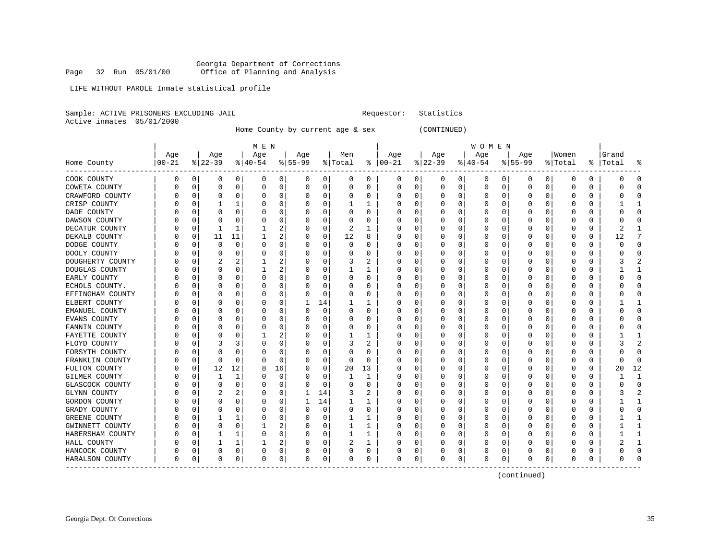LIFE WITHOUT PAROLE Inmate statistical profile

Sample: ACTIVE PRISONERS EXCLUDING JAIL **Requestor:** Statistics Active inmates 05/01/2000

Home County by current age & sex (CONTINUED)

|                                  |                  |          |                  |             | M E N            |        |                  |                  |                |                     |                      |          |                 |                  | WOMEN            |          |                  |          |                  |               |                 |                    |
|----------------------------------|------------------|----------|------------------|-------------|------------------|--------|------------------|------------------|----------------|---------------------|----------------------|----------|-----------------|------------------|------------------|----------|------------------|----------|------------------|---------------|-----------------|--------------------|
| Home County                      | Age<br>$00 - 21$ |          | Age<br>$8 22-39$ |             | Age<br>$ 40-54 $ |        | Age<br>$8 55-99$ |                  | Men<br>% Total |                     | Age<br>$8   00 - 21$ |          | Age<br>$ 22-39$ |                  | Aqe<br>$8 40-54$ |          | Age<br>$8 55-99$ |          | Women<br>% Total | ႜ             | Grand<br> Total |                    |
| COOK COUNTY                      | 0                | 0        | 0                | 0           | 0                | 0      | 0                | 0                | 0              | 0                   | 0                    | 0        | 0               | 0                | 0                | 0        | 0                | 0        | $\Omega$         | 0             | 0               | $\Omega$           |
| COWETA COUNTY                    | 0                | $\Omega$ | $\Omega$         | 0           | 0                | 0      | $\Omega$         | 0                | 0              | $\Omega$            | $\Omega$             | 0        | $\Omega$        | 0                | 0                | 0        | $\mathbf 0$      | 0        | $\Omega$         | $\Omega$      | $\Omega$        | $\Omega$           |
| CRAWFORD COUNTY                  | U                | C        | $\Omega$         | 0           | 0                | 0      | $\Omega$         | 0                | 0              | 0                   | 0                    | 0        | O               | 0                | 0                | 0        | $\Omega$         | 0        | O                | 0             | O               | <sup>0</sup>       |
| CRISP COUNTY                     | N                | C        |                  | 1           | 0                | 0      | 0                | $\mathbf 0$      | 1              | 1                   | 0                    | $\Omega$ |                 | 0                | 0                | 0        | $\Omega$         | 0        | 0                | $\Omega$      |                 |                    |
| DADE COUNTY                      |                  | C        | n                | $\Omega$    | U                | 0      | O                | 0                | $\Omega$       | O                   | U                    | $\Omega$ |                 | 0                | O                | O        | $\Omega$         | U        | n                | $\Omega$      | U               | U                  |
| DAWSON COUNTY                    | C                | C        | $\Omega$         | $\Omega$    | 0                | 0      | $\Omega$         | 0                | 0              | $\Omega$            | 0                    | 0        | C               | 0                | 0                | $\Omega$ | $\Omega$         | U        | O                | $\Omega$      | O               | U                  |
| DECATUR COUNTY                   | C                | $\Omega$ | 1                | 1           | 1                | 2      | $\Omega$         | $\mathbf 0$      | $\overline{2}$ | 1                   | Ω                    | 0        |                 | $\mathbf 0$      | 0                | 0        | O                | $\Omega$ | O                | $\Omega$      | $\overline{a}$  |                    |
| DEKALB COUNTY                    |                  | 0        | 11               | 11          | 1                | 2      |                  | 0                | 12             | 8                   | 0                    | 0        |                 | 0                | 0                | $\Omega$ | 0                | 0        | $\Omega$         | 0             | 12              | 7                  |
|                                  | N                | $\Omega$ | $\Omega$         | $\Omega$    | O                | 0      | $\Omega$         | 0                | $\Omega$       | $\Omega$            | U                    | 0        | $\Omega$        | 0                | 0                | $\Omega$ | $\Omega$         | 0        | $\Omega$         | $\Omega$      | $\Omega$        | $\Omega$           |
| DODGE COUNTY                     | N                | 0        | O                | $\Omega$    | O                | 0      | 0                |                  | 0              | O                   | O                    | 0        | O               |                  | 0                | 0        | 0                | 0        | O                | 0             | O               | <sup>0</sup>       |
| DOOLY COUNTY<br>DOUGHERTY COUNTY |                  | C        |                  | 2           | $\mathbf{1}$     | 2      | 0                | 0<br>$\mathbf 0$ | 3              | 2                   | 0                    | $\Omega$ |                 | 0<br>$\mathbf 0$ | 0                | 0        | 0                | 0        | 0                | $\Omega$      |                 |                    |
| DOUGLAS COUNTY                   | 0                | C        | $\cap$           | $\Omega$    | -1               | 2      | $\Omega$         | 0                | 1              | 1                   | U                    | $\Omega$ | C               | 0                | $\Omega$         | $\Omega$ | n                | U        | O                | $\Omega$      |                 | 1                  |
| EARLY COUNTY                     |                  | C        | O                | $\Omega$    | O                | 0      | $\Omega$         | 0                | 0              | $\Omega$            | U                    | 0        | C               | 0                | 0                | $\Omega$ | 0                | U        | O                | $\Omega$      | O               | ∩                  |
| ECHOLS COUNTY.                   |                  | C        |                  | $\Omega$    | 0                | 0      |                  | $\mathbf 0$      | $\Omega$       | $\Omega$            | Ω                    | 0        |                 | 0                | $\Omega$         | O        | $\mathbf 0$      | O        | O                | $\Omega$      | O               | $\Omega$           |
| EFFINGHAM COUNTY                 |                  | C        | $\Omega$         | 0           | 0                | 0      | U                | $\mathbf 0$      | 0              | $\Omega$            | U                    | 0        | O               | 0                | 0                | $\Omega$ | $\Omega$         | 0        | O                | $\Omega$      | O               | $\Omega$           |
|                                  |                  | C        | n                | $\Omega$    | 0                | 0      | -1               | 14               | 1              | 1                   | U                    | 0        | 0               | 0                | 0                | 0        | $\Omega$         | 0        | O                | $\Omega$      |                 | 1                  |
| ELBERT COUNTY                    | C                |          |                  | O           |                  |        | $\Omega$         |                  | 0              | O                   | U                    | 0        |                 |                  |                  |          |                  | 0        | O                | $\Omega$      | O               | O                  |
| EMANUEL COUNTY                   |                  | C<br>C   |                  | $\Omega$    | 0<br>$\Omega$    | 0<br>0 | $\Omega$         | 0<br>$\mathbf 0$ | $\Omega$       | O                   | 0                    | $\Omega$ | C               | 0<br>$\Omega$    | 0<br>$\Omega$    | 0<br>O   | 0<br>$\Omega$    | 0        | $\Omega$         | $\Omega$      | U               | $\cap$             |
| EVANS COUNTY                     |                  | C        | n                | $\Omega$    | O                | 0      | $\Omega$         | $\mathbf 0$      |                | $\Omega$            | U                    | $\Omega$ | C               |                  |                  | O        | $\Omega$         | 0        | O                | $\Omega$      | O               | O                  |
| FANNIN COUNTY                    | C                | C        |                  |             | 1                | 2      | 0                | 0                | 0              |                     | 0                    | 0        |                 | 0<br>$\mathbf 0$ | 0                |          | $\Omega$         | 0        |                  |               |                 |                    |
| FAYETTE COUNTY                   |                  |          | 3                | 0           | $\Omega$         | 0      | U                | $\mathbf 0$      | 1<br>3         | 1<br>$\overline{c}$ | Ω                    | $\Omega$ |                 |                  | 0<br>$\Omega$    | 0        |                  | 0        | 0                | 0<br>$\Omega$ | 3               | 2                  |
| FLOYD COUNTY                     |                  | C        |                  | 3           |                  |        |                  |                  |                |                     |                      |          | C               | 0                |                  | $\Omega$ | $\Omega$         |          | $\Omega$         |               |                 |                    |
| FORSYTH COUNTY                   | C                | C        | $\cap$           | 0           | U                | 0      | $\Omega$         | $\mathbf 0$      | $\Omega$       | $\Omega$            | U                    | 0        | O               | 0                | 0                | $\Omega$ | $\Omega$         | 0        | $\Omega$         | $\Omega$      | O               | $\Omega$           |
| FRANKLIN COUNTY                  |                  | $\Omega$ | 0                | $\Omega$    | O                | 0      | $\Omega$         | 0                | $\Omega$       | $\Omega$            | U                    | $\Omega$ | O               | 0                | $\Omega$         | $\Omega$ | $\Omega$         | 0        | O                | $\Omega$      | $\Omega$        | $\Omega$           |
| FULTON COUNTY                    | C                | C        | 12               | 12          | 8                | 16     | 0                | 0                | 20             | 13                  | U                    | 0        |                 | 0                | 0                | 0        | 0                | 0        | 0                | $\Omega$      | 20              | 12<br>$\mathbf{1}$ |
| GILMER COUNTY                    |                  | C        | 1                | 1           | 0                | 0      | $\Omega$         | $\mathbf 0$      | 1              | 1                   | 0                    | 0        | C               | $\mathbf 0$      | 0                | $\Omega$ | $\Omega$         | 0        | $\Omega$         | $\Omega$      |                 |                    |
| GLASCOCK COUNTY                  | C                | C        | $\Omega$         | $\Omega$    | O                | 0      | $\Omega$         | $\mathbf 0$      | 0              | $\Omega$            | U                    | $\Omega$ | C               | 0                | 0                | $\Omega$ | 0                | O        | O                | $\Omega$      | $\Omega$        | $\Omega$           |
| GLYNN COUNTY                     |                  | 0        | 2                | 2           | 0                | 0      |                  | 14               | 3              | 2                   | 0                    | 0        |                 | 0                | 0                | 0        | 0                | 0        | 0                | 0             | 3               | 2                  |
| GORDON COUNTY                    |                  | C        | $\Omega$         | $\Omega$    | $\Omega$         | 0      | $\mathbf{1}$     | 14               | 1              | $\mathbf{1}$        | O                    | $\Omega$ |                 | $\mathbf 0$      | $\Omega$         | $\Omega$ | $\Omega$         | O        | $\Omega$         | $\Omega$      | 1               | $\mathbf{1}$       |
| GRADY COUNTY                     | C                | C        | $\Omega$         | 0           | 0                | 0      | $\Omega$         | 0                | 0              | 0                   | U                    | 0        | O               | 0                | 0                | 0        | $\Omega$         | 0        | $\Omega$         | $\Omega$      | O               | $\Omega$           |
| GREENE COUNTY                    | C                | C        |                  |             | 0                | 0      | $\Omega$         | $\mathbf 0$      | 1              | 1                   | 0                    | 0        |                 | 0                | $\Omega$         | $\Omega$ | $\Omega$         | 0        | 0                | $\Omega$      |                 | 1                  |
| GWINNETT COUNTY                  |                  | C        | $\Omega$         | $\Omega$    | 1                | 2      | $\Omega$         | $\mathbf 0$      | 1              | 1                   | U                    | $\Omega$ |                 | 0                | 0                | O        | C.               | U        | O                | $\Omega$      |                 | $\mathbf{1}$       |
| HABERSHAM COUNTY                 | C                | C        |                  | 1           | O                | 0      | $\Omega$         | 0                | 1              | 1                   | 0                    | 0        | C               | 0                | 0                | $\Omega$ | $\Omega$         | 0        | O                | $\Omega$      |                 | 1                  |
| HALL COUNTY                      | C                | C        |                  | 1           |                  | 2      | 0                | $\mathbf 0$      | 2              | 1                   | U                    | $\Omega$ | O               | 0                | 0                | $\Omega$ | 0                | U        | ∩                | 0             |                 | 1                  |
| HANCOCK COUNTY                   | 0                | 0        | 0                | $\mathbf 0$ | 0                | 0      | $\Omega$         | 0                | 0              | 0                   | 0                    | 0        |                 | 0                | 0                | 0        | 0                | 0        |                  | $\Omega$      | O               | C                  |
| HARALSON COUNTY<br>---------     | $\Omega$         | 0        | $\Omega$         | 0           | $\Omega$         | 0      | $\Omega$         | 0                | $\Omega$       | $\Omega$            | $\Omega$             | 0        | $\Omega$        | $\mathbf 0$      | $\Omega$         | $\Omega$ | $\Omega$         | 0        | $\Omega$         | $\Omega$      | $\Omega$        |                    |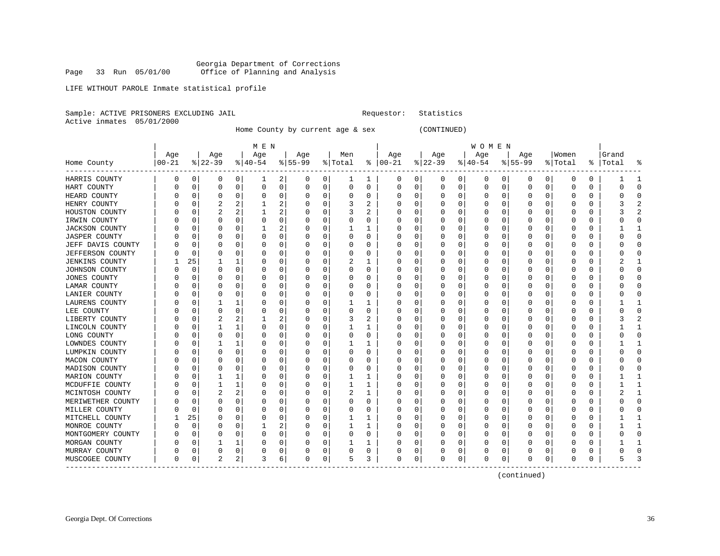Georgia Department of Corrections Page 33 Run 05/01/00 Office of Planning and Analysis

## LIFE WITHOUT PAROLE Inmate statistical profile

|  | Sample: ACTIVE PRISONERS EXCLUDING JAIL |  |
|--|-----------------------------------------|--|
|  | Active inmates 05/01/2000               |  |

Home County by current age & sex (CONTINUED)

Requestor: Statistics

|                              |          |          |                |          | M E N        |             |          |             |          |          |               |             |           |              | W O M E N   |          |          |          |          |             |          |              |
|------------------------------|----------|----------|----------------|----------|--------------|-------------|----------|-------------|----------|----------|---------------|-------------|-----------|--------------|-------------|----------|----------|----------|----------|-------------|----------|--------------|
|                              | Age      |          | Age            |          | Age          |             | Age      |             | Men      |          | Age           |             | Age       |              | Age         |          | Age      |          | Women    |             | Grand    |              |
| Home County                  | $ 00-21$ |          | $ 22-39$       |          | $ 40-54$     |             | $ 55-99$ |             | % Total  |          | $8   00 - 21$ |             | $ 22-39 $ |              | $ 40-54$    |          | $ 55-99$ |          | % Total  | ႜ           | Total    |              |
| HARRIS COUNTY                | 0        | 0        | 0              | 0        | 1            | 2           | 0        | 0           | 1        | 1        | 0             | 0           | 0         | $\mathbf{0}$ | 0           | 0        | 0        | 0        | 0        | 0           |          |              |
| HART COUNTY                  | 0        | 0        | $\Omega$       | 0        | 0            | 0           | 0        | 0           | $\Omega$ | $\Omega$ | $\Omega$      | 0           | 0         | $\mathbf 0$  | $\mathbf 0$ | 0        | $\Omega$ | 0        | $\Omega$ | $\Omega$    | $\Omega$ | n            |
| HEARD COUNTY                 | N        | 0        | 0              | 0        | $\Omega$     | 0           | $\Omega$ | 0           | 0        | 0        | 0             | 0           | 0         | 0            | $\Omega$    | $\Omega$ | C        | 0        |          | 0           | $\Omega$ | n            |
| HENRY COUNTY                 |          | C        |                | 2        |              | 2           | 0        | $\Omega$    | 3        | 2        | 0             | $\Omega$    | 0         | 0            | $\Omega$    | $\Omega$ | C        | $\Omega$ |          | $\Omega$    | 3        |              |
| HOUSTON COUNTY               | N        | C        | 2              | 2        | 1            | 2           | 0        | 0           | 3        | 2        | O             | 0           | 0         | $\Omega$     | $\Omega$    | O        | C        | 0        |          | $\Omega$    | 3        |              |
| IRWIN COUNTY                 |          | 0        | 0              | $\Omega$ | $\Omega$     | $\mathbf 0$ | 0        | $\mathbf 0$ | 0        | 0        | 0             | $\mathbf 0$ | 0         | $\Omega$     | $\Omega$    | $\Omega$ | C        | $\Omega$ |          | $\Omega$    | $\Omega$ |              |
| <b>JACKSON COUNTY</b>        |          | 0        | O              | 0        | $\mathbf{1}$ | 2           | N        | 0           |          |          | 0             | 0           | 0         | 0            | $\Omega$    | 0        | C        | 0        |          | $\mathbf 0$ |          |              |
| <b>JASPER COUNTY</b>         |          | O        | O              | $\Omega$ | U            | $\mathbf 0$ | O        | $\mathbf 0$ | $\Omega$ | $\Omega$ | U             | 0           | 0         | $\Omega$     | $\Omega$    | $\Omega$ | O        | $\Omega$ |          | $\Omega$    | $\Omega$ | n            |
| JEFF DAVIS COUNTY            |          | 0        | O              | 0        | 0            | 0           | O        | 0           | 0        | 0        | U             | 0           | 0         | 0            | $\Omega$    | 0        | C        | 0        |          | 0           | ∩        | ∩            |
| <b>JEFFERSON COUNTY</b>      |          | $\Omega$ | 0              | $\Omega$ | 0            | 0           | 0        | $\mathbf 0$ | 0        | 0        | 0             | 0           | C         | 0            | $\Omega$    | 0        | C        | 0        |          | 0           |          |              |
| <b>JENKINS COUNTY</b>        |          | 25       |                | 1        | U            | 0           | O        | 0           |          | 1        | U             | $\Omega$    | O         | 0            | $\Omega$    | O        | C        | 0        |          | $\Omega$    |          |              |
| JOHNSON COUNTY               | O        | C        | 0              | $\Omega$ | $\Omega$     | 0           | 0        | $\Omega$    | 0        | 0        | 0             | $\Omega$    | 0         | $\Omega$     | $\Omega$    | $\Omega$ | C        | $\Omega$ | O        | $\Omega$    | O        | n            |
| <b>JONES COUNTY</b>          |          | O        | O              | $\Omega$ | 0            | $\mathbf 0$ | 0        | $\mathbf 0$ | O        | 0        | 0             | $\mathbf 0$ | 0         | 0            | $\Omega$    | 0        | $\Box$   | 0        |          | $\Omega$    | O        |              |
| LAMAR COUNTY                 |          | 0        | 0              | 0        | 0            | 0           | 0        | $\mathbf 0$ | 0        | 0        | 0             | 0           | 0         | 0            | $\Omega$    | $\Omega$ | C        | 0        |          | 0           | ∩        |              |
| LANIER COUNTY                |          | O        | $\Omega$       | 0        | 0            | 0           | 0        | 0           | O        | 0        | O             | 0           | 0         | 0            | $\Omega$    | O        | C        | 0        |          | 0           | O        | O            |
| LAURENS COUNTY               | N        | 0        |                | 1        | 0            | 0           | 0        | $\mathbf 0$ |          |          | 0             | 0           | 0         | $\Omega$     | $\Omega$    | 0        | 0        | 0        |          | $\Omega$    |          |              |
| LEE COUNTY                   |          | C        | O              | 0        | 0            | 0           | 0        | 0           | O        | 0        | 0             | 0           | C         | 0            | $\Omega$    | 0        | $\Box$   | 0        |          | $\Omega$    | ∩        |              |
| LIBERTY COUNTY               |          | C        | 2              | 2        | 1            | 2           | O        | 0           | 3        | 2        | 0             | 0           | O         | 0            | $\Omega$    | $\Omega$ | 0        | 0        |          | $\Omega$    |          |              |
| LINCOLN COUNTY               |          | O        | -1             | 1        | $\Omega$     | $\mathbf 0$ | O        | $\mathbf 0$ | 1        | 1        | O             | $\mathbf 0$ | O         | $\Omega$     | $\Omega$    | $\Omega$ | $\Box$   | $\Omega$ | $\left($ | $\Omega$    |          |              |
| LONG COUNTY                  |          | 0        | 0              | 0        | 0            | $\mathbf 0$ | 0        | $\mathbf 0$ | 0        | 0        | 0             | $\mathbf 0$ | 0         | 0            | $\Omega$    | $\Omega$ | C        | 0        |          | 0           | $\Omega$ |              |
| LOWNDES COUNTY               |          | C        | 1              | 1        | U            | 0           | O        | $\mathbf 0$ | 1        | 1        | U             | $\mathbf 0$ | O         | 0            | $\Omega$    | $\Omega$ | O        | $\Omega$ |          | $\Omega$    |          | $\mathbf{1}$ |
| LUMPKIN COUNTY               | N        | 0        | $\Omega$       | 0        | $\Omega$     | 0           | 0        | $\mathbf 0$ | $\Omega$ | 0        | 0             | 0           | 0         | 0            | $\Omega$    | $\Omega$ | C        | 0        |          | $\mathbf 0$ | $\Omega$ | ∩            |
| MACON COUNTY                 |          | O        | O              | O        | U            | 0           | 0        | 0           | O        | 0        | U             | 0           | 0         | 0            | $\Omega$    | 0        | O        | 0        |          | 0           | O        | O            |
| MADISON COUNTY               |          | C        | 0              | O        | 0            | 0           | 0        | 0           | O        | 0        | 0             | 0           | 0         | 0            | $\Omega$    | $\Omega$ | C        | 0        |          | 0           |          |              |
| MARION COUNTY                |          | O        |                | 1        | U            | 0           | $\Omega$ | $\mathbf 0$ |          | 1        | U             | $\Omega$    | O         | $\Omega$     | $\Omega$    | O        | C        | $\Omega$ |          | $\Omega$    |          |              |
| MCDUFFIE COUNTY              |          | O        | 1              | 1        | $\Omega$     | 0           | 0        | 0           | 1        | 1        | 0             | 0           | 0         | 0            | $\Omega$    | $\Omega$ | O        | 0        |          | $\Omega$    |          |              |
| MCINTOSH COUNTY              |          | 0        | 2              | 2        | 0            | $\mathsf 0$ | 0        | 0           | 2        | 1        | 0             | 0           | C         | 0            | $\Omega$    | 0        | O        | $\Omega$ |          | $\Omega$    |          |              |
| MERIWETHER COUNTY            |          | O        | 0              | $\Omega$ | 0            | 0           | O        | $\mathbf 0$ | O        | 0        | U             | 0           | 0         | 0            | $\Omega$    | $\Omega$ | C        | 0        |          | $\Omega$    | ∩        |              |
| MILLER COUNTY                | N        | $\Omega$ | $\Omega$       | $\Omega$ | 0            | $\mathbf 0$ | 0        | $\mathbf 0$ | O        | 0        | U             | 0           | 0         | 0            | $\Omega$    | O        | O        | 0        |          | $\Omega$    | O        | O            |
| MITCHELL COUNTY              |          | 25       | O              | O        | 0            | 0           | 0        | 0           |          |          | 0             | 0           | 0         | 0            | $\Omega$    | 0        | C        | 0        |          | 0           |          |              |
| MONROE COUNTY                |          | C        |                | $\Omega$ | 1            | 2           | 0        | $\Omega$    |          |          | 0             | $\Omega$    | 0         | 0            | $\Omega$    | $\Omega$ | C        | 0        |          | $\Omega$    |          |              |
| MONTGOMERY COUNTY            |          | O        |                | $\Omega$ | O            | 0           | 0        | 0           | O        | 0        | 0             | 0           | 0         | 0            | $\Omega$    | O        | C        | 0        |          | $\Omega$    | ∩        | n            |
| MORGAN COUNTY                | O        | O        |                | 1        | U            | 0           | 0        | $\mathbf 0$ |          | 1        | O             | 0           | 0         | $\Omega$     | O           | O        | O        | 0        |          | O           |          |              |
| MURRAY COUNTY                | 0        | 0        | 0              | 0        | 0            | 0           | 0        | 0           | 0        | 0        | 0             | $\mathbf 0$ | 0         | 0            | 0           | $\Omega$ | C        | 0        |          | 0           |          |              |
| MUSCOGEE COUNTY<br>--------- | $\Omega$ | 0        | $\overline{a}$ | 2        | ζ            | 6           | $\Omega$ | $\mathbf 0$ | 5        | 3        | $\Omega$      | $\mathbf 0$ | O         | 0            | $\Omega$    | $\Omega$ | $\Omega$ | 0        | O        | $\Omega$    | 5        |              |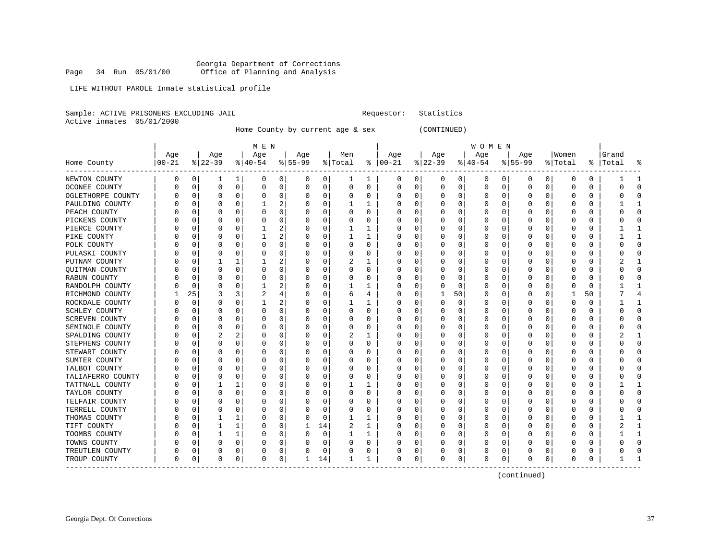LIFE WITHOUT PAROLE Inmate statistical profile

Sample: ACTIVE PRISONERS EXCLUDING JAIL **Requestor:** Statistics

Active inmates 05/01/2000

Home County by current age & sex (CONTINUED)

|                         |          |          |             |          | M E N        |          |          |             |                |              |               |   |           |             | W O M E N |          |           |          |              |               |       |              |
|-------------------------|----------|----------|-------------|----------|--------------|----------|----------|-------------|----------------|--------------|---------------|---|-----------|-------------|-----------|----------|-----------|----------|--------------|---------------|-------|--------------|
|                         | Age      |          | Age         |          | Age          |          | Age      |             | Men            |              | Age           |   | Age       |             | Age       |          | Age       |          | Women        |               | Grand |              |
| Home County<br>-------- | $ 00-21$ |          | $ 22-39$    |          | $ 40-54$     |          | $ 55-99$ |             | % Total        |              | $8   00 - 21$ |   | $ 22-39 $ |             | $ 40-54$  |          | $8 55-99$ |          | % Total      | $\frac{1}{6}$ | Total | ႜ            |
| NEWTON COUNTY           | 0        | 0        | 1           | 1        | 0            | 0        | 0        | 0           | 1              | 1            | 0             | 0 | 0         | 0           | 0         | 0        | 0         | 0        | O            | 0             |       | -1           |
| OCONEE COUNTY           | U        | 0        | $\mathbf 0$ | 0        | 0            | 0        | $\Omega$ | 0           | 0              | $\Omega$     | 0             | 0 | $\Omega$  | 0           | 0         | 0        | $\Omega$  | 0        | 0            | 0             | Ω     | $\Omega$     |
| OGLETHORPE COUNTY       |          | 0        | $\Omega$    | 0        | $\Omega$     | 0        | $\Omega$ | 0           | U              | U            | C             | 0 |           | $\Omega$    | 0         | $\Omega$ | $\Omega$  | $\Omega$ | O            | O             |       | $\bigcap$    |
| PAULDING COUNTY         |          | U        | $\Omega$    | O        | 1            | 2        | $\Omega$ | $\Omega$    | 1              | 1            | C             | 0 |           | $\Omega$    | 0         | C        | $\Omega$  | $\Omega$ | C            | O             |       | -1           |
| PEACH COUNTY            |          | U        | n           | 0        | $\Omega$     | 0        | 0        | 0           | 0              | $\Omega$     | C             | 0 | O         | $\Omega$    | 0         | C        | O         | $\Omega$ | O            | 0             |       | $\Omega$     |
| PICKENS COUNTY          |          | U        | n           | $\Omega$ | $\Omega$     | 0        | n        | 0           | 0              | U            | O             | 0 | $\left($  | $\Omega$    | 0         | 0        | O         | $\Omega$ | 0            | O             |       | $\bigcap$    |
| PIERCE COUNTY           |          | 0        |             | 0        | $\mathbf{1}$ | 2        |          | 0           | 1              | 1            | C             | 0 |           | $\Omega$    | C         | $\Omega$ | O         | $\Omega$ | 0            | $\Omega$      |       | $\mathbf{1}$ |
| PIKE COUNTY             |          | 0        | 0           | $\Omega$ | $\mathbf{1}$ | 2        | 0        | $\mathbf 0$ | $\mathbf{1}$   | 1            | C             | 0 |           | $\Omega$    | C         | 0        | $\Omega$  | $\Omega$ | O            | $\Omega$      |       | $\mathbf{1}$ |
| POLK COUNTY             |          | 0        | $\Omega$    | 0        | 0            | 0        | 0        | 0           | 0              | 0            | C             | 0 | O         | $\Omega$    | 0         | 0        | 0         | 0        | C            | 0             |       | $\mathbf 0$  |
| PULASKI COUNTY          |          | U        | 0           | 0        | 0            | 0        | O        | 0           | 0              | U            | C             | 0 | $\left($  | $\Omega$    | 0         | C        | 0         | $\Omega$ | O            | 0             |       | $\mathbf 0$  |
| PUTNAM COUNTY           |          | U        |             | 1        |              | 2        |          | 0           | 2              | 1            | C             | 0 |           | $\Omega$    | O         | C        | O         | $\Omega$ | O            | O             |       | -1           |
| QUITMAN COUNTY          |          | U        | 0           | 0        | $\Omega$     | $\Omega$ | $\Omega$ | $\Omega$    | 0              | 0            | C             | 0 | $\Omega$  | $\Omega$    | 0         | C        | $\Omega$  | $\Omega$ | C            | O             |       | $\Omega$     |
| RABUN COUNTY            |          | O        | 0           | $\Omega$ | 0            | 0        | 0        | 0           | 0              | U            | C             | 0 | O         | $\Omega$    | 0         | C        | O         | $\Omega$ | 0            | 0             |       | $\cap$       |
| RANDOLPH COUNTY         |          | 0        | 0           | 0        | 1            | 2        |          | 0           | 1              | 1            | C             | 0 |           | $\mathbf 0$ | 0         | $\Omega$ | 0         | $\Omega$ | $\Omega$     | 0             |       |              |
| RICHMOND COUNTY         |          | 25       | 3           | 3        | 2            | 4        |          | 0           | 6              | 4            | C             | 0 |           | 50          | 0         | 0        | $\Omega$  | $\Omega$ | $\mathbf{1}$ | 50            |       | 4            |
| ROCKDALE COUNTY         |          | $\Omega$ | $\Omega$    | $\Omega$ | 1            | 2        | 0        | $\mathbf 0$ | $\mathbf{1}$   | $\mathbf{1}$ | C             | 0 | $\Omega$  | $\Omega$    | 0         | C        | $\Omega$  | $\Omega$ | O            | $\Omega$      |       | $\mathbf{1}$ |
| SCHLEY COUNTY           |          | 0        | $\Omega$    | 0        | $\Omega$     | 0        | $\Omega$ | 0           | 0              | 0            | C             | 0 | 0         | $\Omega$    | 0         | $\Omega$ | $\Omega$  | 0        | O            | 0             |       | $\Omega$     |
| SCREVEN COUNTY          |          | 0        | 0           | 0        | 0            | 0        | 0        | 0           | 0              | U            | C             | 0 | O         | $\Omega$    | 0         | 0        | $\Omega$  | 0        | 0            | 0             |       | $\bigcap$    |
| SEMINOLE COUNTY         | U        | U        | 0           | $\Omega$ | U            | 0        | $\Omega$ | 0           | O              | U            | C             | 0 |           | $\Omega$    | 0         | C        | $\Omega$  | $\Omega$ | C            | O             |       | $\cap$       |
| SPALDING COUNTY         |          | O        | 2           | 2        | $\Omega$     | 0        | $\Omega$ | 0           | 2              | 1            | C             | 0 | O         | $\Omega$    | 0         | C        | $\Omega$  | $\Omega$ | O            | 0             |       | -1           |
| STEPHENS COUNTY         |          | U        | $\Omega$    | $\Omega$ | 0            | 0        | n        | 0           | 0              | U            | C             | 0 | 0         | 0           | 0         | 0        | 0         | $\Omega$ | 0            | 0             |       | $\Omega$     |
| STEWART COUNTY          |          | 0        | 0           | 0        | 0            | 0        | 0        | 0           | 0              | 0            | C             | 0 |           | $\Omega$    | 0         | $\Omega$ | 0         | 0        | 0            | 0             |       | $\Omega$     |
| SUMTER COUNTY           |          | 0        | 0           | $\Omega$ | 0            | 0        | U        | $\mathbf 0$ | O              | O            | C             | 0 |           | $\Omega$    | Ω         | C        | $\Omega$  | $\Omega$ | C            | $\Omega$      |       | $\bigcap$    |
| TALBOT COUNTY           |          | 0        | $\Omega$    | $\Omega$ | $\Omega$     | 0        | $\Omega$ | 0           | 0              | $\Omega$     | C             | 0 | 0         | $\Omega$    | 0         | C        | $\Omega$  | $\Omega$ | C            | 0             |       | $\Omega$     |
| TALIAFERRO COUNTY       |          | 0        | $\Omega$    | 0        | $\Omega$     | 0        | $\Omega$ | 0           | 0              | 0            | C             | 0 | 0         | $\Omega$    | 0         | C        | $\Omega$  | $\Omega$ | 0            | 0             |       | 0            |
| TATTNALL COUNTY         | U        | 0        |             |          | 0            | 0        | 0        | 0           |                | 1            | O             | 0 |           | $\Omega$    | 0         | C        | O         | 0        | O            | 0             |       | -1           |
| TAYLOR COUNTY           | U        | U        | $\Omega$    | $\Omega$ | U            | 0        | $\Omega$ | $\mathbf 0$ | U              | U            | C             | 0 | O         | $\Omega$    | 0         | C        | $\Omega$  | $\Omega$ | O            | O             |       | $\Omega$     |
| TELFAIR COUNTY          |          | U        | $\Omega$    | 0        | U            | $\Omega$ | $\Omega$ | $\Omega$    | U              | U            | C             | 0 | O         | $\Omega$    | O         | C        | O         | $\Omega$ | O            | 0             |       | $\Omega$     |
| TERRELL COUNTY          |          | U        | $\Omega$    | $\Omega$ | $\Omega$     | 0        | $\Omega$ | 0           | 0              | 0            | C             | 0 | 0         | 0           | 0         | $\Omega$ | $\Omega$  | $\Omega$ | $\Omega$     | 0             |       | $\cap$       |
| THOMAS COUNTY           |          | 0        |             | 1        | 0            | 0        |          | 0           | 1              | 1            | C             | 0 |           | $\Omega$    | 0         | $\Omega$ | 0         | 0        | 0            | 0             |       |              |
| TIFT COUNTY             |          | 0        |             | 1        | 0            | 0        |          | 14          | $\overline{2}$ | 1            | C             | 0 | O         | $\Omega$    | 0         | C        | $\Omega$  | $\Omega$ | C            | 0             |       | $\mathbf{1}$ |
| TOOMBS COUNTY           |          | 0        |             | 1        | $\Omega$     | 0        | $\Omega$ | 0           | 1              | $\mathbf{1}$ | C             | 0 | 0         | $\Omega$    | 0         | $\Omega$ | $\Omega$  | $\Omega$ | 0            | 0             |       | $\mathbf{1}$ |
| TOWNS COUNTY            | U        | U        | $\Omega$    | 0        | 0            | 0        | $\Omega$ | 0           | 0              | 0            | C             | 0 | $\Omega$  | 0           | 0         | $\Omega$ | 0         | 0        | 0            | 0             |       | $\Omega$     |
| TREUTLEN COUNTY         | 0        | 0        | 0           | 0        | 0            | 0        |          | 0           | 0              | 0            | C             | 0 |           | 0           | 0         | 0        | 0         | 0        | 0            | 0             |       | -0           |
| TROUP COUNTY            | O        | 0        | $\mathbf 0$ | 0        | $\Omega$     | 0        | 1        | 14          | 1              | 1            | $\Omega$      | 0 | $\Omega$  | 0           | 0         | 0        | $\Omega$  | 0        | $\cap$       | 0             |       |              |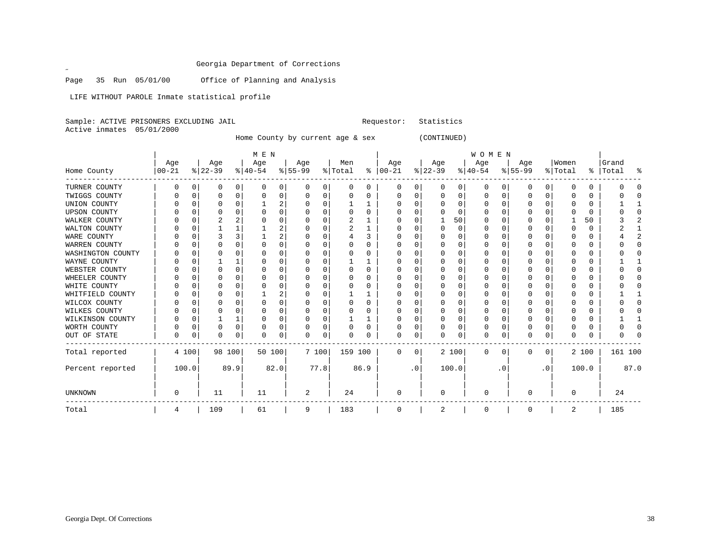Page 35 Run 05/01/00 Office of Planning and Analysis

LIFE WITHOUT PAROLE Inmate statistical profile

|  |                           | Sample: ACTIVE PRISONERS EXCLUDING JAIL |  |
|--|---------------------------|-----------------------------------------|--|
|  | Active inmates 05/01/2000 |                                         |  |

 $\mathscr{L}$ 

Home County by current age & sex (CONTINUED)

Requestor: Statistics

|                     |          |          |           |      | M E N     |      |          |      |         |      |               |           |           |       | WOMEN        |          |           |           |          |          |           |      |
|---------------------|----------|----------|-----------|------|-----------|------|----------|------|---------|------|---------------|-----------|-----------|-------|--------------|----------|-----------|-----------|----------|----------|-----------|------|
|                     | Age      |          | Age       |      | Age       |      | Age      |      | Men     |      | Age           |           | Age       |       | Age          |          | Age       |           | Women    |          | Grand     |      |
| Home County         | $ 00-21$ |          | $ 22-39 $ |      | $ 40-54 $ |      | $ 55-99$ |      | % Total |      | $8   00 - 21$ |           | $ 22-39 $ |       | $ 40-54 $    |          | $8 55-99$ |           | % Total  |          | %   Total | ႜ    |
| TURNER COUNTY       | O        | $\Omega$ | 0         | 0    | $\Omega$  | 0    | 0        | 0    | 0       | 0    | 0             | 0         | 0         | 0     | 0            | 0        | 0         | 0         | 0        | 0        |           |      |
| TWIGGS COUNTY       |          | $\Omega$ | O         | 0    |           | 0    | O        | 0    | U       | U    | O             | 0         | $\Omega$  | 0     | 0            | 0        | O         | 0         | O        | 0        |           |      |
| UNION COUNTY        |          |          |           | 0    |           | 2    |          | O    |         |      |               | 0         |           | O     | 0            | $\Omega$ |           | 0         |          | 0        |           |      |
| <b>UPSON COUNTY</b> |          |          |           |      |           | O    |          | O    | U       | U    |               |           |           | U     | <sup>0</sup> |          | U         |           | n        | $\Omega$ |           |      |
| WALKER COUNTY       |          |          |           |      |           | 0    |          | 0    |         |      |               |           |           | 50    | O            |          | O         |           |          | 50       |           |      |
| WALTON COUNTY       |          |          |           |      |           | 2    |          | 0    | 2       |      |               | 0         | $\Omega$  | 0     | U            | $\Omega$ |           | O         | C        | 0        |           |      |
| WARE COUNTY         |          | C        |           |      |           | 2    |          | O    |         | 3    |               | U         |           | O     | O            | O        | O         | ∩         | $\left($ | 0        |           |      |
| WARREN COUNTY       |          |          | U         |      |           | 0    |          | 0    |         | U    |               |           |           | O     |              |          |           | U         |          | 0        |           |      |
| WASHINGTON COUNTY   |          |          |           |      |           | 0    |          | O    |         |      |               |           |           | O     |              |          |           |           |          | 0        |           |      |
| WAYNE COUNTY        |          |          |           |      |           | 0    |          | 0    |         |      |               |           |           | U     | 0            | C        | O         |           |          | 0        |           |      |
| WEBSTER COUNTY      |          |          | U         | 0    |           | 0    |          | 0    | O       | U    |               |           |           | O     | O            |          | U         |           |          | 0        |           |      |
| WHEELER COUNTY      |          | C        |           |      |           | 0    |          | O    |         | U    |               | 0         |           | O     |              |          |           |           |          | 0        |           |      |
| WHITE COUNTY        |          | C        |           |      |           | U    |          | O    |         | U    |               |           |           | O     |              | C        |           |           |          | 0        |           |      |
| WHITFIELD COUNTY    |          | C        | U         |      |           | 2    |          | O    |         |      |               |           |           | O     | O            |          |           | U         |          | 0        |           |      |
| WILCOX COUNTY       |          |          |           |      |           | 0    |          | O    |         | U    |               |           |           | O     |              |          |           |           |          |          |           |      |
| WILKES COUNTY       |          | C        | O         |      | n         | 0    |          | 0    | U       | U    |               | 0         | $\Omega$  | O     | 0            | O        | O         |           |          | 0        |           |      |
| WILKINSON COUNTY    |          | $\Omega$ |           |      | C         | 0    |          | 0    |         |      |               | U         | $\Omega$  | O     | $\Omega$     | O        | O         | U         | O        | 0        |           |      |
| WORTH COUNTY        |          | $\Omega$ | O         | 0    |           | 0    |          | 0    | O       | U    |               | 0         |           | 0     | $\Omega$     | C        |           |           |          | 0        |           |      |
| OUT OF STATE        | U        | 0        | 0         | 0    | $\cap$    | 0    | $\Omega$ | 0    | U       | 0    | $\Omega$      | 0         | O         | 0     | $\Omega$     | $\Omega$ | O         | 0         | $\Omega$ | 0        |           |      |
| Total reported      |          | 4 100    | 98 100    |      | 50 100    |      | 7 100    |      | 159 100 |      | $\Omega$      | 0         |           | 2 100 | $\mathbf 0$  | $\Omega$ | $\Omega$  | 0         |          | 2 100    | 161 100   |      |
| Percent reported    |          | 100.0    |           | 89.9 |           | 82.0 |          | 77.8 |         | 86.9 |               | $\cdot$ 0 |           | 100.0 |              | . 0      |           | $\cdot$ 0 |          | 100.0    |           | 87.0 |
| <b>UNKNOWN</b>      | 0        |          | 11        |      | 11        |      | 2        |      | 24      |      | $\Omega$      |           | $\Omega$  |       | $\Omega$     |          | U         |           | $\Omega$ |          | 24        |      |
| Total               | 4        |          | 109       |      | 61        |      | 9        |      | 183     |      | 0             |           | 2         |       | 0            |          | 0         |           | 2        |          | 185       |      |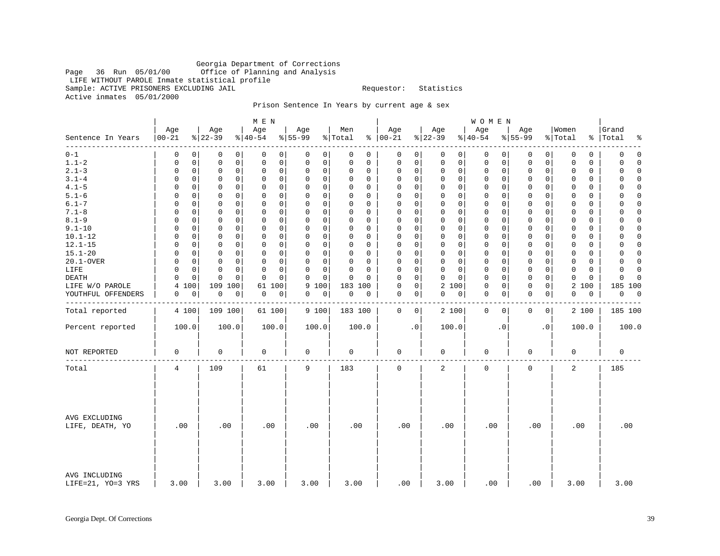## Georgia Department of Corrections Office of Planning and Analysis LIFE WITHOUT PAROLE Inmate statistical profile Sample: ACTIVE PRISONERS EXCLUDING JAIL **Example:** Requestor: Statistics Active inmates 05/01/2000

Prison Sentence In Years by current age & sex

|                                    |                   |          |                            | M E N                      |                            |                         |                      |             |                            | WOMEN            |                         |     |                         |                               |
|------------------------------------|-------------------|----------|----------------------------|----------------------------|----------------------------|-------------------------|----------------------|-------------|----------------------------|------------------|-------------------------|-----|-------------------------|-------------------------------|
| Sentence In Years                  | Age<br>$ 00 - 21$ |          | Age<br>$ 22-39$            | Age<br>$ 40-54$            | Age<br>$8 55-99$           | Men<br>% Total          | Age<br>$8   00 - 21$ |             | Age<br>$ 22-39 $           | Age<br>$8 40-54$ | Age<br>$8 55-99$        |     | Women<br>% Total        | Grand<br>%   Total<br>နွ      |
| $0 - 1$                            | 0                 | 0        | 0<br>0                     | 0<br>0                     | 0<br>0                     | 0<br>0                  | 0                    | 0           | 0<br>0                     | 0                | 0<br>0                  | 0   | $\mathbf 0$<br>0        | $\mathbf 0$<br>0              |
| $1.1 - 2$                          | 0                 | 0        | 0<br>0                     | $\mathsf 0$<br>0           | $\mathbf 0$<br>$\mathbf 0$ | $\mathbf 0$<br>$\Omega$ | 0                    | 0           | $\mathbf 0$<br>$\mathbf 0$ | $\mathbf 0$      | 0<br>0                  | 0   | $\mathbf 0$<br>$\Omega$ | 0<br>$\Omega$                 |
| $2.1 - 3$                          | 0                 | 0        | 0<br>0                     | $\mathbf 0$<br>0           | $\mathbf 0$<br>0           | 0<br>0                  | 0                    | 0           | 0<br>$\mathbf{0}$          | $\mathbf 0$      | 0<br>0                  | 0   | 0<br>0                  | $\mathbf 0$<br>0              |
| $3.1 - 4$                          | 0                 | 0        | 0<br>0                     | 0<br>0                     | 0<br>0                     | $\Omega$<br>0           | 0                    | 0           | 0<br>$\mathbf 0$           | 0                | 0<br>0                  | 0   | $\Omega$<br>0           | 0<br>$\Omega$                 |
| $4.1 - 5$                          | 0                 | 0        | $\mathbf 0$<br>$\mathbf 0$ | $\mathbf 0$<br>0           | $\mathbf 0$<br>$\mathbf 0$ | $\Omega$<br>$\Omega$    | 0                    | $\mathbf 0$ | $\mathbf 0$<br>$\mathbf 0$ | $\mathbf{0}$     | $\Omega$<br>0           | 0   | $\mathbf 0$<br>$\Omega$ | $\Omega$<br>0                 |
| $5.1 - 6$                          | O                 | 0        | $\mathbf 0$<br>0           | $\mathbf 0$<br>0           | $\mathbf 0$<br>$\mathbf 0$ | $\Omega$<br>$\Omega$    | $\Omega$             | 0           | $\mathbf 0$<br>0           | $\mathbf 0$      | $\mathbf 0$<br>0        | 0   | $\mathbf 0$<br>$\Omega$ | 0<br>$\Omega$                 |
| $6.1 - 7$                          | $\Omega$          | $\Omega$ | $\mathbf 0$<br>$\Omega$    | $\mathbf 0$<br>0           | $\mathbf 0$<br>0           | $\Omega$<br>$\Omega$    | $\Omega$             | $\mathbf 0$ | $\Omega$<br>$\Omega$       | $\mathbf 0$      | $\Omega$<br>$\mathbf 0$ | 0   | $\Omega$<br>$\Omega$    | $\Omega$<br>$\Omega$          |
| $7.1 - 8$                          | 0                 | 0        | $\mathbf 0$<br>$\mathbf 0$ | $\mathbf 0$<br>$\mathbf 0$ | $\mathbf 0$<br>$\Omega$    | $\Omega$<br>$\Omega$    | $\mathbf 0$          | $\mathsf 0$ | $\mathbf 0$<br>$\mathbf 0$ | $\mathbf 0$      | $\mathbf 0$<br>0        | 0   | $\Omega$<br>$\Omega$    | $\Omega$<br>$\Omega$          |
| $8.1 - 9$                          | O                 | 0        | $\mathbf 0$<br>$\Omega$    | $\mathbf 0$<br>0           | $\Omega$<br>$\mathbf 0$    | $\Omega$<br>$\Omega$    | $\Omega$             | $\mathbf 0$ | $\Omega$<br>$\mathbf 0$    | $\mathbf 0$      | $\mathbf 0$<br>$\Omega$ | 0   | $\Omega$<br>$\Omega$    | 0<br>$\Omega$                 |
| $9.1 - 10$                         | 0                 | 0        | $\mathbf 0$<br>$\mathbf 0$ | $\mathbf 0$<br>$\mathbf 0$ | $\mathbf 0$<br>0           | $\Omega$<br>0           | 0                    | $\mathbf 0$ | $\mathsf 0$<br>$\mathbf 0$ | $\mathbf 0$      | $\mathbf 0$<br>0        | 0   | $\mathbf 0$<br>0        | $\mathbf 0$<br>$\Omega$       |
| $10.1 - 12$                        | O                 | 0        | $\Omega$<br>0              | $\mathbf 0$<br>0           | $\mathbf 0$<br>$\Omega$    | $\Omega$<br>$\Omega$    | $\Omega$             | $\mathbf 0$ | $\mathbf 0$<br>$\mathbf 0$ | $\mathbf{0}$     | 0<br>0                  | 0   | $\Omega$<br>$\Omega$    | $\Omega$<br>$\Omega$          |
| $12.1 - 15$                        | O                 | 0        | $\mathbf 0$<br>0           | 0<br>0                     | $\mathbf 0$<br>$\Omega$    | $\Omega$<br>0           | 0                    | 0           | $\mathbf 0$<br>0           | $\mathbf 0$      | $\mathbf 0$<br>0        | 0   | 0<br>0                  | 0<br>0                        |
| $15.1 - 20$                        | U                 | 0        | $\mathbf 0$<br>0           | 0<br>0                     | 0<br>$\mathbf 0$           | $\mathbf 0$<br>0        | 0                    | 0           | $\mathbf 0$<br>$\mathbf 0$ | $\mathbf 0$      | $\mathbf 0$<br>$\Omega$ | 0   | $\Omega$<br>$\Omega$    | 0<br>$\Omega$                 |
| 20.1-OVER                          | 0                 | 0        | $\mathbf 0$<br>0           | $\mathsf 0$<br>$\mathbf 0$ | $\mathbf 0$<br>$\mathbf 0$ | $\Omega$<br>$\Omega$    | $\mathbf 0$          | $\mathsf 0$ | $\mathbf 0$<br>$\mathbf 0$ | $\mathbf 0$      | $\mathbf 0$<br>0        | 0   | $\mathbf 0$<br>0        | $\mathbf 0$<br>$\Omega$       |
| LIFE                               | U                 | 0        | $\Omega$<br>$\mathbf 0$    | $\mathbf 0$<br>$\Omega$    | $\Omega$<br>$\mathbf 0$    | $\Omega$<br>0           | $\Omega$             | 0           | 0<br>$\Omega$              | $\mathbf 0$      | 0<br>0                  | 0   | $\Omega$<br>$\Omega$    | $\Omega$<br>$\Omega$          |
| <b>DEATH</b>                       | 0                 | 0        | $\mathbf 0$<br>0           | $\mathbf 0$<br>$\mathbf 0$ | $\mathbf 0$<br>$\Omega$    | $\mathbf 0$<br>$\Omega$ | 0                    | 0           | 0<br>$\mathbf 0$           | 0                | $\mathbf 0$<br>0        | 0   | $\Omega$<br>0           | $\mathbf 0$<br>$\Omega$       |
| LIFE W/O PAROLE                    | 4                 | 100      | 109 100                    | 61 100                     | 9<br>100                   | 183 100                 | 0                    | 0           | 2 100                      | $\mathbf 0$      | $\mathbf 0$<br>0        | 0   | 2<br>100                | 185 100                       |
| YOUTHFUL OFFENDERS                 | 0                 | 0        | $\mathbf 0$<br>0           | 0<br>0                     | 0<br>0                     | 0<br>0                  | $\mathbf 0$          | 0           | 0<br>0                     | $\mathbf 0$      | $\mathbf 0$<br>0        | 0   | $\mathbf 0$<br>0        | $\mathbf 0$<br>$\overline{0}$ |
|                                    |                   |          |                            |                            |                            |                         |                      |             |                            |                  |                         |     |                         |                               |
| Total reported                     | 4 100             |          | 109 100                    | 61 100                     | 9 100                      | 183 100                 | 0                    | 0           | 2 100                      | $\mathbf 0$      | $\mathbf 0$<br>0        | 0   | 2 100                   | 185 100                       |
| Percent reported                   | 100.0             |          | 100.0                      | 100.0                      | 100.0                      | 100.0                   |                      | $\cdot$ 0   | 100.0                      | $\cdot$ 0        |                         | . 0 | 100.0                   | 100.0                         |
| NOT REPORTED                       | 0                 |          | 0                          | $\mathbf 0$                | $\mathbf 0$                | $\mathbf 0$             | 0                    |             | 0                          | $\mathbf 0$      | $\mathbf 0$             |     | $\mathbf 0$             | $\mathbf 0$                   |
| Total                              | 4                 |          | 109                        | 61                         | 9                          | 183                     | $\mathbf 0$          |             | 2                          | $\mathbf 0$      | 0                       |     | 2                       | 185                           |
| AVG EXCLUDING<br>LIFE, DEATH, YO   | .00               |          | .00                        | .00                        | .00                        | .00                     | .00                  |             | .00                        | .00              |                         | .00 | .00                     | .00                           |
| AVG INCLUDING<br>LIFE=21, YO=3 YRS | 3.00              |          | 3.00                       | 3.00                       | 3.00                       | 3.00                    | .00                  |             | 3.00                       | .00              |                         | .00 | 3.00                    | 3.00                          |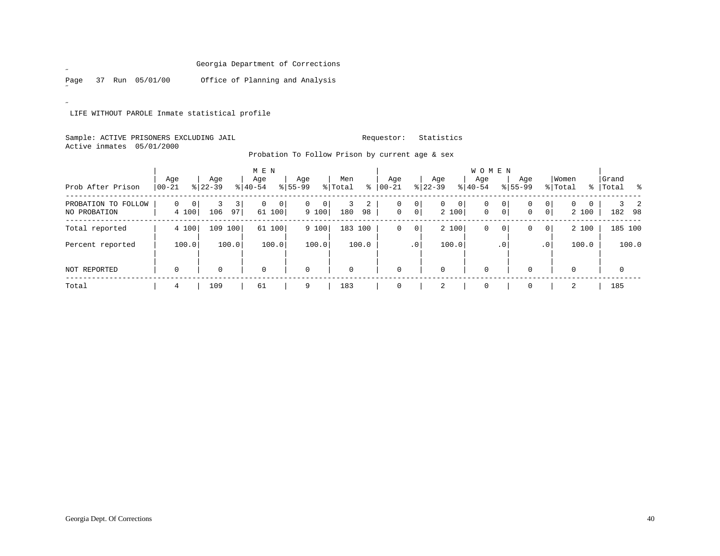Page 37 Run 05/01/00 Office of Planning and Analysis

 $\overline{a}$ 

˝

LIFE WITHOUT PAROLE Inmate statistical profile

## Sample: ACTIVE PRISONERS EXCLUDING JAIL **Requestor:** Statistics Active inmates 05/01/2000

| Prob After Prison                   | Age<br>$00 - 21$ |            | Age<br>$8 22-39$ |                      | M E N<br>Age<br>$8 40-54$ |                        | Age<br>$8155 - 99$ |                      | Men<br>% Total | ి       | Age<br>$ 00 - 21 $ |                | Age<br>$ 22-39 $ |            | W O M E N<br>Aqe<br>$8 40-54$ |                | Age<br>$8155 - 99$ |                                  | Women<br>% Total |   | Grand<br>% Total % |       |
|-------------------------------------|------------------|------------|------------------|----------------------|---------------------------|------------------------|--------------------|----------------------|----------------|---------|--------------------|----------------|------------------|------------|-------------------------------|----------------|--------------------|----------------------------------|------------------|---|--------------------|-------|
| PROBATION TO FOLLOW<br>NO PROBATION | 0                | 0<br>4 100 | 3<br>106         | $\overline{3}$<br>97 | $\mathbf{0}$              | $\mathsf{O}$<br>61 100 | $\mathbf{0}$       | $\mathbf 0$<br>9 100 | 180            | 2<br>98 | 0<br>$\mathbf 0$   | 0 <br> 0       | $\overline{0}$   | 0<br>2 100 | 0<br>$\mathbf 0$              | 0<br>$\circ$   | 0<br>$\mathbf{0}$  | 0 <sup>1</sup><br>0 <sup>1</sup> | 0<br>2 100       | 0 | 182 98             |       |
| Total reported                      |                  | 4 100      | 109              | 100                  |                           | 61 100                 |                    | 9 100                | 183 100        |         | 0                  | $\overline{0}$ |                  | 2 100      | 0                             | $\overline{0}$ | 0                  | 0                                | 2 100            |   | 185 100            |       |
| Percent reported                    |                  | 100.0      |                  | 100.0                |                           | 100.0                  |                    | 100.0                |                | 100.0   |                    | $\cdot$ 0      |                  | 100.0      |                               | $\cdot$ 0      |                    | .0 <sup>1</sup>                  | 100.0            |   |                    | 100.0 |
| <b>NOT REPORTED</b>                 | 0                |            | 0                |                      | $\mathbf 0$               |                        | $\mathbf 0$        |                      | $\Omega$       |         | $\mathbf 0$        |                | $\mathbf 0$      |            | $\mathbf 0$                   |                |                    |                                  | $\Omega$         |   | $\mathbf 0$        |       |
| Total                               | 4                |            | 109              |                      | 61                        |                        | 9                  |                      | 183            |         | $\mathbf 0$        |                |                  |            | $\mathbf 0$                   |                |                    |                                  | 2                |   | 185                |       |

Probation To Follow Prison by current age & sex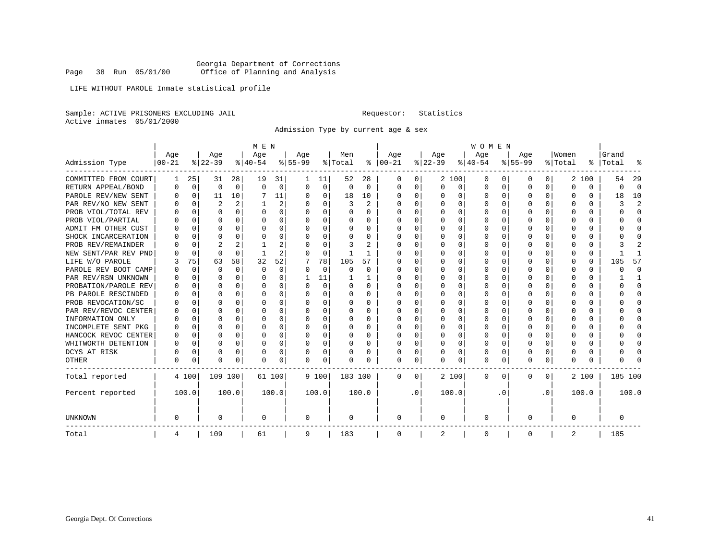LIFE WITHOUT PAROLE Inmate statistical profile

Sample: ACTIVE PRISONERS EXCLUDING JAIL **Requestor:** Statistics Active inmates 05/01/2000

Admission Type by current age & sex

|                      |            |             |          |          | M E N     |          |           |             |          |          |               |           |          |          | <b>WOMEN</b> |          |           |          |         |          |           |              |
|----------------------|------------|-------------|----------|----------|-----------|----------|-----------|-------------|----------|----------|---------------|-----------|----------|----------|--------------|----------|-----------|----------|---------|----------|-----------|--------------|
|                      | Age        |             | Age      |          | Age       |          | Age       |             | Men      |          | Age           |           | Age      |          | Age          |          | Age       |          | Women   |          | Grand     |              |
| Admission Type       | $ 00 - 21$ |             | $ 22-39$ |          | $ 40-54 $ |          | $8 55-99$ |             | % Total  |          | $8   00 - 21$ |           | $ 22-39$ |          | $ 40-54$     |          | $8 55-99$ |          | % Total |          | %   Total | န္           |
| COMMITTED FROM COURT | 1          | 25          | 31       | 28       | 19        | 31       |           | 11          | 52       | 28       | 0             | 0         |          | 2 100    | 0            | O        | O         | 0        |         | 2 100    | 54        | 29           |
| RETURN APPEAL/BOND   | O          | 0           | $\Omega$ | 0        | $\Omega$  | 0        | O         | $\mathbf 0$ | $\Omega$ | $\Omega$ | $\Omega$      | $\Omega$  | $\Omega$ | 0        | U            | $\Omega$ | $\Omega$  | $\Omega$ | O       | $\Omega$ | U         | $\Omega$     |
| PAROLE REV/NEW SENT  |            | 0           | 11       | 10       |           | 11       | O         | 0           | 18       | 10       | 0             | 0         | U        | $\Omega$ | $\Omega$     | $\Omega$ | $\Omega$  | $\Omega$ |         | 0        | 18        | 10           |
| PAR REV/NO NEW SENT  |            | $\Omega$    | 2        | 2        |           | 2        | U         | $\Omega$    | 3        | 2        | 0             | $\Omega$  |          | $\Omega$ | 0            | $\Omega$ | $\Omega$  |          |         | 0        | 3         | 2            |
| PROB VIOL/TOTAL REV  |            | $\Omega$    | 0        | $\Omega$ | $\Omega$  | 0        | U         | $\Omega$    | 0        | 0        | 0             | $\Omega$  | U        | $\Omega$ | 0            | O        | $\Omega$  | U        | O       | 0        | U         | $\Omega$     |
| PROB VIOL/PARTIAL    |            | $\Omega$    | U        | $\Omega$ | $\Omega$  | $\Omega$ | U         | $\Omega$    | 0        | 0        | 0             | $\Omega$  | $\Omega$ | $\Omega$ | 0            | O        | O         | 0        | O       | 0        | O         | $\Omega$     |
| ADMIT FM OTHER CUST  |            | $\Omega$    | U        | $\Omega$ | $\Omega$  | 0        | U         | $\Omega$    | 0        | $\Omega$ | <sup>0</sup>  | $\Omega$  | $\Omega$ | 0        | 0            | $\Omega$ | $\Omega$  | $\Omega$ | n       | 0        |           | ∩            |
| SHOCK INCARCERATION  |            | $\Omega$    | U        | 0        | $\Omega$  | 0        | U         | 0           | U        | U        | 0             | $\Omega$  | U        | 0        | U            | $\Omega$ | $\Omega$  | $\Omega$ | O       | 0        |           | <sup>0</sup> |
| PROB REV/REMAINDER   |            | $\Omega$    | 2        | 2        |           | 2        |           | $\Omega$    | 3        | 2        | C             | $\Omega$  | O        | $\Omega$ | Ω            | $\Omega$ | $\Omega$  | $\Omega$ |         | U        |           | 2            |
| NEW SENT/PAR REV PND |            | $\Omega$    | $\Omega$ | $\Omega$ |           | 2        |           | 0           |          |          | O             | 0         | O        | $\Omega$ | Ω            | $\Omega$ | $\Omega$  | U        |         | 0        |           |              |
| LIFE W/O PAROLE      | 3          | 75          | 63       | 58       | 32        | 52       |           | 78          | 105      | 57       | <sup>0</sup>  | $\Omega$  | U        | $\Omega$ | U            | $\Omega$ | $\Omega$  | 0        | O       | 0        | 105       | 57           |
| PAROLE REV BOOT CAMP |            | $\Omega$    | O        | $\Omega$ | $\Omega$  | 0        | U         | 0           | U        | $\Omega$ | O             | $\Omega$  | U        | $\cap$   | U            | $\Omega$ | $\Omega$  | $\Omega$ | O       | 0        |           | $\Omega$     |
| PAR REV/RSN UNKNOWN  |            | $\Omega$    | U        | 0        | ∩         | $\Omega$ |           | 11          |          | -1       | <sup>0</sup>  | $\Omega$  | U        | $\cap$   | U            | $\cap$   | ∩         | $\cap$   | U       | 0        |           |              |
| PROBATION/PAROLE REV |            | $\Omega$    | U        | 0        | $\Omega$  | $\Omega$ |           | $\Omega$    | 0        | $\Omega$ | <sup>0</sup>  | $\Omega$  | ∩        | $\cap$   | U            | $\Omega$ | ∩         | U        |         | 0        |           | ∩            |
| PB PAROLE RESCINDED  |            | $\mathbf 0$ | U        | 0        | $\Omega$  | $\Omega$ | U         | $\Omega$    | 0        | U        | 0             | $\Omega$  | ∩        | $\Omega$ | U            | $\Omega$ | ∩         | 0        |         | $\Omega$ |           | ∩            |
| PROB REVOCATION/SC   |            | 0           | U        | 0        | $\Omega$  | O        | O         | $\Omega$    | 0        | U        | <sup>0</sup>  | O         |          | O        | Ω            | $\Omega$ | $\Omega$  | O        |         | U        |           | <sup>0</sup> |
| PAR REV/REVOC CENTER |            | $\Omega$    | U        | 0        | $\Omega$  | O        | U         | $\Omega$    | 0        | U        | <sup>0</sup>  | 0         | U        | O        | U            | $\Omega$ | $\Omega$  | O        |         | 0        |           | <sup>0</sup> |
| INFORMATION ONLY     |            | 0           | U        | 0        | $\Omega$  | 0        | U         | $\Omega$    | 0        | 0        | <sup>0</sup>  | 0         | U        | O        | U            | $\Omega$ | $\Omega$  | 0        | O       | 0        |           | <sup>0</sup> |
| INCOMPLETE SENT PKG  |            | 0           | U        | $\Omega$ | $\Omega$  | O        | O         | $\Omega$    | 0        | U        | <sup>0</sup>  | $\Omega$  | U        | O        | U            | $\Omega$ | $\Omega$  | $\Omega$ | O       | 0        |           | <sup>0</sup> |
| HANCOCK REVOC CENTER | U          | $\Omega$    | U        | $\Omega$ | $\Omega$  | O        | U         | 0           | 0        | $\Omega$ | <sup>0</sup>  | 0         | U        | O        | U            | $\Omega$ | ∩         | $\Omega$ | U       | 0        |           | ∩            |
| WHITWORTH DETENTION  | O          | 0           | U        | 0        | $\Omega$  | 0        | U         | 0           | 0        | U        | 0             | 0         | 0        | 0        | 0            | $\Omega$ | $\Omega$  | $\Omega$ |         | 0        |           | ∩            |
| DCYS AT RISK         |            | $\Omega$    | 0        | 0        | $\Omega$  | 0        |           | $\mathbf 0$ | 0        | 0        | 0             | 0         |          | $\Omega$ | 0            | $\Omega$ | $\Omega$  | $\Omega$ |         | 0        |           | ſ            |
| <b>OTHER</b>         | O          | $\Omega$    | O        | $\Omega$ | $\Omega$  | 0        | U         | 0           | U        | U        | $\Omega$      | 0         | U        | 0        | 0            | $\Omega$ | $\Omega$  | $\Omega$ | O       | U        |           |              |
| Total reported       |            | 4 100       | 109 100  |          | 61 100    |          |           | 9 100       | 183 100  |          | $\Omega$      | 0         |          | 2 100    | 0            | O        | $\Omega$  | 0        |         | 2 100    | 185 100   |              |
| Percent reported     |            | 100.0       |          | 100.0    |           | 100.0    |           | 100.0       |          | 100.0    |               | $\cdot$ 0 |          | 100.0    |              | . 0      |           | . 0      |         | 100.0    |           | 100.0        |
| UNKNOWN              | 0          |             | 0        |          | 0         |          | 0         |             | 0        |          | 0             |           | 0        |          | 0            |          | $\Omega$  |          | 0       |          | 0         |              |
| Total                | 4          |             | 109      |          | 61        |          | 9         |             | 183      |          | 0             |           | 2        |          | 0            |          | $\Omega$  |          | 2       |          | 185       |              |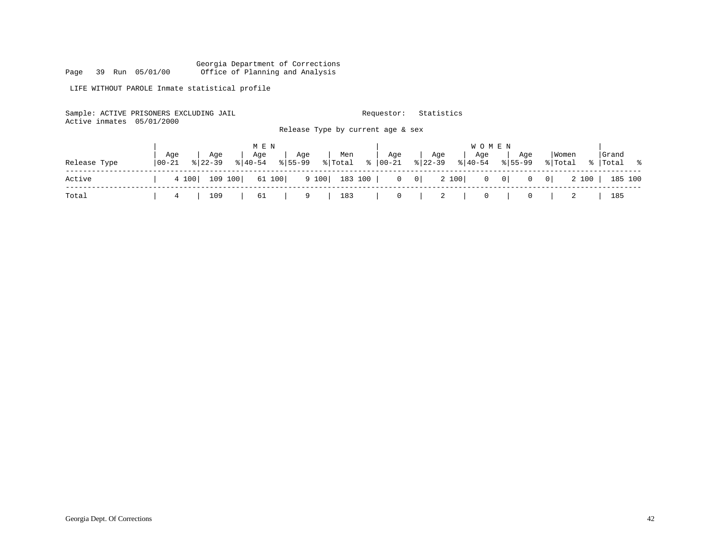LIFE WITHOUT PAROLE Inmate statistical profile

| Active inmates 05/01/2000 | Sample: ACTIVE PRISONERS EXCLUDING JAIL |                    |                    |                |                                   | Requestor: | Statistics |                         |                |                  |                      |      |
|---------------------------|-----------------------------------------|--------------------|--------------------|----------------|-----------------------------------|------------|------------|-------------------------|----------------|------------------|----------------------|------|
|                           |                                         |                    |                    |                | Release Type by current age & sex |            |            |                         |                |                  |                      |      |
|                           |                                         |                    | M E N              |                |                                   |            |            | <b>WOMEN</b>            |                |                  |                      |      |
| Release Type              | Age<br>  00-21                          | Aqe<br>$8122 - 39$ | Age<br>$8140 - 54$ | Aqe<br>% 55-99 | Men<br>% Total % 00-21 % 22-39    | Age        | Aqe        | Aqe<br>$8 \mid 40 - 54$ | Aqe<br>% 55-99 | Women<br>% Total | l Grand<br>%   Total | .  응 |
|                           |                                         |                    |                    |                |                                   |            |            |                         |                |                  |                      |      |

| Active |  |     |              |  |  |  |  | 4 100   109 100   61 100   9 100   183 100   0 0   2 100   0 0   0 0   2 100   185 100 |
|--------|--|-----|--------------|--|--|--|--|----------------------------------------------------------------------------------------|
| Tota   |  | 109 | 61   9   183 |  |  |  |  |                                                                                        |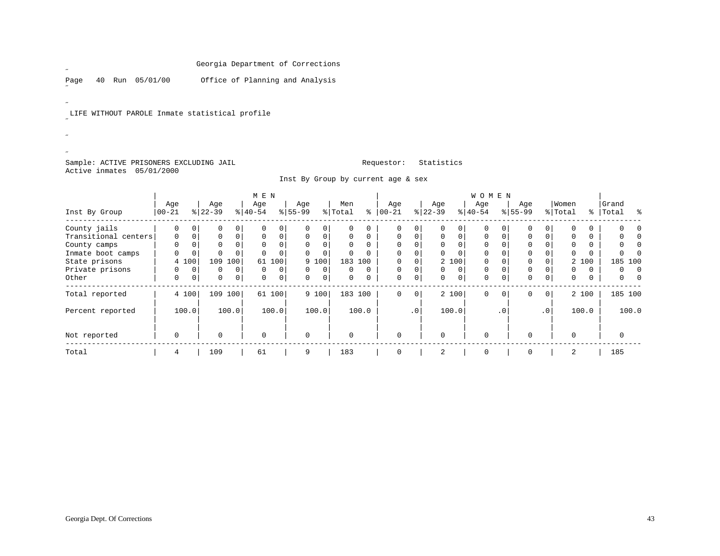Page 40 Run 05/01/00 Office of Planning and Analysis

LIFE WITHOUT PAROLE Inmate statistical profile

## Sample: ACTIVE PRISONERS EXCLUDING JAIL **Requestor:** Statistics Active inmates 05/01/2000

 $\mathscr{L}$ 

 $\mathscr{L}^{\pm}$ 

 $\overline{a}$  $\mathscr{B}^{\pm}$ ˝

Inst By Group by current age & sex

|                      | M E N      |             |           |              |          |                |           |       |         |          |           |             |          |                | WOMEN    |           |             |                 |          |          |         |   |
|----------------------|------------|-------------|-----------|--------------|----------|----------------|-----------|-------|---------|----------|-----------|-------------|----------|----------------|----------|-----------|-------------|-----------------|----------|----------|---------|---|
|                      | Age        |             | Age       |              | Age      |                | Age       |       | Men     |          | Age       |             | Age      |                | Age      |           | Age         |                 | Women    |          | Grand   |   |
| Inst By Group        | $ 00 - 21$ |             | $8 22-39$ |              | $ 40-54$ |                | $8 55-99$ |       | % Total | ⊱        | $00 - 21$ |             | $ 22-39$ |                | $ 40-54$ |           | $8155 - 99$ |                 | % Total  | ွေ       | Total   | ႜ |
| County jails         | $\Omega$   | $\Omega$    | $\Omega$  | 0            |          | 0              |           |       | 0       | $\Omega$ | $\Omega$  | $\Omega$    |          | $\overline{0}$ |          |           | 0           |                 | $\Omega$ | 0        |         |   |
| Transitional centers | $\Omega$   | $\Omega$    | $\Omega$  | 0            | 0        | $\overline{0}$ | $\Omega$  |       | 0       | 0        | $\Omega$  | 0           | 0        | $\Omega$       | 0        |           | 0           |                 | $\Omega$ | 0        |         |   |
| County camps         | $\Omega$   |             | $\Omega$  |              | $\Omega$ | 0              |           |       | 0       | $\Omega$ | $\Omega$  | $\Omega$    |          |                |          |           | 0           |                 | $\Omega$ | 0        |         |   |
| Inmate boot camps    | 0          | $\mathbf 0$ |           | 0            | $\Omega$ | $\Omega$       |           |       | 0       | $\Omega$ |           | $\Omega$    |          | $\Omega$       | 0        |           | 0           |                 | 0        | $\Omega$ |         |   |
| State prisons        |            | 4 100       | 109       | 100          | 61       | 100            |           | 9 100 |         | 183 100  |           | $\Omega$    |          | 2 100          |          |           | $\Omega$    |                 |          | 2 100    | 185 100 |   |
| Private prisons      | 0          | $\Omega$    | $\Omega$  | $\Omega$     | $\Omega$ | 0              |           |       | 0       | $\Omega$ | $\Omega$  | $\Omega$    | $\Omega$ | $\Omega$       | $\Omega$ |           | $\Omega$    |                 | $\Omega$ | $\Omega$ | 0       |   |
| Other                | 0          | $\mathbf 0$ | 0         | $\mathbf{0}$ | $\Omega$ | 0              | $\Omega$  | 0     | 0       | 0        | $\Omega$  | 0           | $\Omega$ | $\Omega$       | $\Omega$ |           | $\mathbf 0$ | 0               | 0        | 0        | 0       |   |
| Total reported       |            | 4 100       | 109       | 100          | 61       | 100            |           | 9 100 |         | 183 100  | $\Omega$  | $\mathbf 0$ |          | 2 100          | $\Omega$ | $\Omega$  | $\mathbf 0$ | $\mathbf{0}$    |          | 2 100    | 185 100 |   |
| Percent reported     |            | 100.0       |           | 100.0        |          | 100.0          |           | 100.0 |         | 100.0    |           | $\cdot$ 0   |          | 100.0          |          | $\cdot$ 0 |             | .0 <sup>1</sup> |          | 100.0    | 100.0   |   |
| Not reported         | $\Omega$   |             |           |              | $\Omega$ |                | $\Omega$  |       | O       |          | $\Omega$  |             |          |                | $\Omega$ |           | $\Omega$    |                 | $\Omega$ |          |         |   |
| Total                | 4          |             | 109       |              | 61       |                | 9         |       | 183     |          | $\Omega$  |             | 2        |                | 0        |           | $\mathbf 0$ |                 | 2        |          | 185     |   |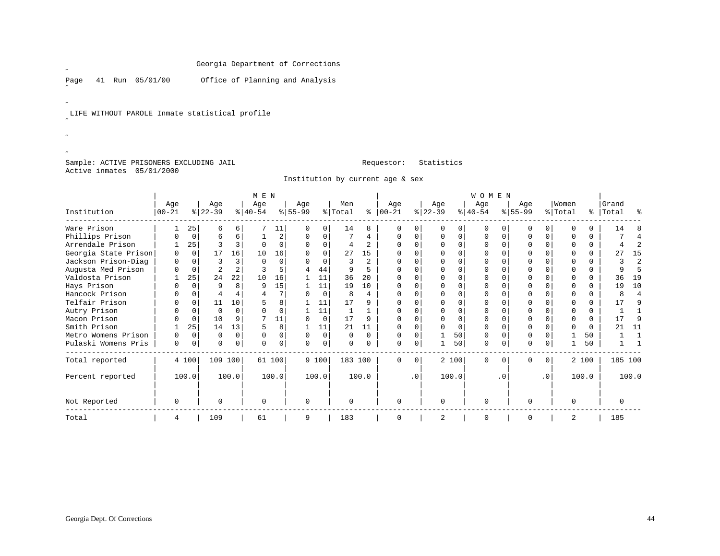Page 41 Run 05/01/00 Office of Planning and Analysis

LIFE WITHOUT PAROLE Inmate statistical profile

Sample: ACTIVE PRISONERS EXCLUDING JAIL **Requestor:** Statistics Active inmates 05/01/2000

 $\mathscr{L}$ 

 $\mathscr{L}^{\pm}$ 

 $\overline{a}$  $\mathscr{B}^{\pm}$ ˝

Institution by current age & sex

|                      |              |             |                |          | M E N     |        |           |          |         |              |           |           |           |          | WOMEN     |           |           |           |          |       |         |                |
|----------------------|--------------|-------------|----------------|----------|-----------|--------|-----------|----------|---------|--------------|-----------|-----------|-----------|----------|-----------|-----------|-----------|-----------|----------|-------|---------|----------------|
|                      | Age          |             | Age            |          | Age       |        | Age       |          | Men     |              | Age       |           | Age       |          | Age       |           | Age       |           | Women    |       | Grand   |                |
| Institution          | $ 00 - 21$   |             | $ 22-39 $      |          | $ 40-54 $ |        | $8 55-99$ |          | % Total | နွ           | $00 - 21$ |           | $ 22-39 $ |          | $ 40-54 $ |           | $8 55-99$ |           | % Total  | ႜၟ    | Total   | ႜ              |
| Ware Prison          |              | 25          |                | 6        |           | 11     |           | $\Omega$ | 14      | 8            |           |           |           |          | O         |           |           |           |          | 0     | 14      |                |
| Phillips Prison      |              | $\mathbf 0$ | 6              | 6        |           | 2      | 0         | $\Omega$ |         | 4            | 0         |           | ∩         | O        | $\Omega$  | $\cap$    | $\Omega$  |           |          | 0     |         |                |
| Arrendale Prison     |              | 25          |                |          |           | O      |           | $\Omega$ |         |              |           |           |           |          |           |           |           |           |          | 0     |         |                |
| Georgia State Prison | 0            | $\Omega$    | 17             | 16       | 10        | 16     |           | $\Omega$ | 27      | 15           |           |           |           |          | $\Omega$  |           | $\Omega$  |           |          | 0     | 27      | 15             |
| Jackson Prison-Diag  | <sup>0</sup> | $\Omega$    | 3              |          | $\cap$    | 0      |           | $\Omega$ | 3       | $\mathbf{2}$ |           |           |           |          | U         |           |           |           |          | 0     | 3       | 2              |
| Augusta Med Prison   |              | $\Omega$    | $\overline{c}$ |          |           | 5      |           | 44       | 9       |              |           |           |           |          |           |           |           |           |          | 0     | 9       |                |
| Valdosta Prison      |              | 25          | 24             | 22       | 10        | 16     |           | 11       | 36      | 20           |           |           |           |          | U         |           | $\Omega$  |           |          | 0     | 36      | 19             |
| Hays Prison          |              | $\Omega$    | 9              |          | q         | 15     |           | 11       | 19      | 10           |           |           |           |          | U         |           | $\Omega$  |           |          | 0     | 19      | 10             |
| Hancock Prison       |              | O           |                |          |           |        |           | $\Omega$ | 8       | 4            |           |           |           |          |           |           |           |           |          | 0     | 8       | $\overline{4}$ |
| Telfair Prison       |              | $\Omega$    | 11             | 10       |           | 8      |           | 11       | 17      | 9            | $\Omega$  |           |           |          | U         |           | $\Omega$  |           |          | 0     | 17      | q              |
| Autry Prison         |              | $\Omega$    | $\Omega$       | $\Omega$ |           | O      |           | 11       |         |              |           |           |           |          | U         |           |           |           |          | 0     |         |                |
| Macon Prison         |              | $\Omega$    | 10             |          |           | 11     |           | $\Omega$ | 17      | 9            |           |           |           |          |           |           |           |           |          | 0     | 17      | q              |
| Smith Prison         |              | 25          | 14             | 13       |           | 8      |           | 11       | 21      | 11           |           |           |           | $\Omega$ | U         |           | $\Omega$  |           |          | 0     | 21      | 11             |
| Metro Womens Prison  | 0            | $\Omega$    | $\Omega$       | $\cap$   | ∩         | 0      | $\Omega$  | $\Omega$ | 0       | $\Omega$     | O         | O         |           | 50       | $\Omega$  | n         | $\Omega$  |           |          | 50    |         |                |
| Pulaski Womens Pris  | 0            | 0           | $\Omega$       | 0        |           | 0      | U         | $\Omega$ | 0       |              |           | 0         |           | 50       | 0         | $\Omega$  | 0         |           |          | 50    |         |                |
| Total reported       |              | 4 100       | 109 100        |          |           | 61 100 |           | 9 100    | 183 100 |              | $\Omega$  | $\Omega$  |           | 2 100    | $\Omega$  | $\Omega$  | $\Omega$  | 0         |          | 2 100 | 185 100 |                |
| Percent reported     |              | 100.0       |                | 100.0    |           | 100.0  |           | 100.0    |         | 100.0        |           | $\cdot$ 0 |           | 100.0    |           | $\cdot$ 0 |           | $\cdot$ 0 |          | 100.0 |         | 100.0          |
| Not Reported         | 0            |             | 0              |          | $\Omega$  |        | $\Omega$  |          | 0       |              | $\Omega$  |           | $\Omega$  |          | 0         |           | 0         |           | $\Omega$ |       | 0       |                |
| Total                | 4            |             | 109            |          | 61        |        | 9         |          | 183     |              |           |           |           |          | 0         |           | $\Omega$  |           | 2        |       | 185     |                |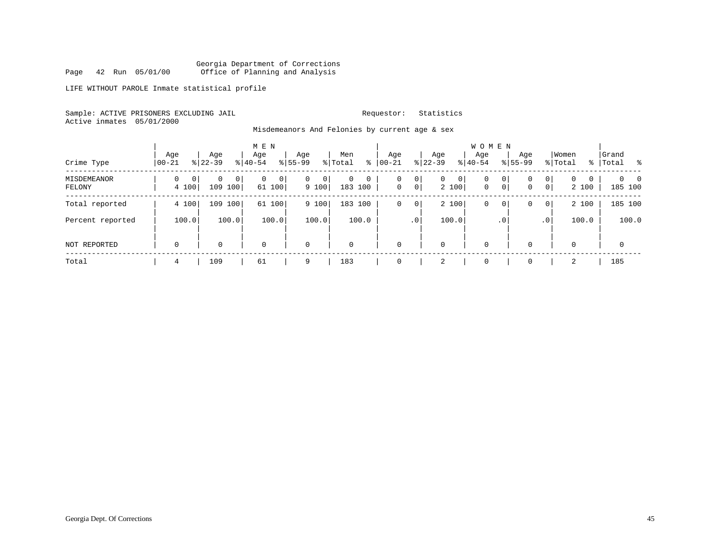Georgia Department of Corrections Page 42 Run 05/01/00 Office of Planning and Analysis

LIFE WITHOUT PAROLE Inmate statistical profile

Sample: ACTIVE PRISONERS EXCLUDING JAIL **Requestor:** Statistics Active inmates 05/01/2000

Misdemeanors And Felonies by current age & sex

| Crime Type            | Aqe<br>$00 - 21$          | Age<br>$8 22-39$                         | M E N<br>Age<br>$ 40-54 $ | Age<br>$8155 - 99$     | Men<br>နွ<br>% Total                 | Age<br>$00 - 21$  | Age<br>$ 22-39 $                  | W O M E N<br>Aqe<br>$ 40-54$ |                     | Age<br>$8155 - 99$ | Women<br>% Total                                | Grand<br>%   Total<br>- 왕       |
|-----------------------|---------------------------|------------------------------------------|---------------------------|------------------------|--------------------------------------|-------------------|-----------------------------------|------------------------------|---------------------|--------------------|-------------------------------------------------|---------------------------------|
| MISDEMEANOR<br>FELONY | 0<br>$\mathbf 0$<br>4 100 | $\overline{0}$<br>$\Omega$<br>109<br>100 | 0<br>0<br>61 100          | $\Omega$<br>0<br>9 100 | $\overline{0}$<br>$\circ$<br>183 100 | 0<br>$\mathsf{O}$ | 0<br>$\mathbf{0}$<br> 0 <br>2 100 | 0<br>0<br>$\mathbf 0$        | 0<br>$\overline{0}$ | 0<br>0             | 0 <sup>1</sup><br>$\Omega$<br>0<br> 0 <br>2 100 | $\Omega$<br>$\Omega$<br>185 100 |
| Total reported        | 4 100                     | 109<br>100                               | 61<br>100                 | 9 100                  | 183 100                              | 0                 | 2 100<br>$\overline{0}$           | 0                            | $\overline{0}$      | $\Omega$           | 2 100<br> 0                                     | 185 100                         |
| Percent reported      | 100.0                     | 100.0                                    | 100.0                     | 100.0                  | 100.0                                |                   | 100.0<br>.0'                      |                              | .0'                 |                    | 100.0<br>.0 <sup>1</sup>                        | 100.0                           |
| NOT REPORTED          | 0                         | 0                                        | $\mathbf 0$               | $\mathbf 0$            | 0                                    | $\mathbf 0$       | $\mathbf 0$                       | $\mathbf 0$                  |                     | $\Omega$           | $\Omega$                                        | $\mathbf 0$                     |
| Total                 | 4                         | 109                                      | 61                        | 9                      | 183                                  | $\mathbf 0$       | 4                                 | $\mathbf 0$                  |                     | $\Omega$           | 2                                               | 185                             |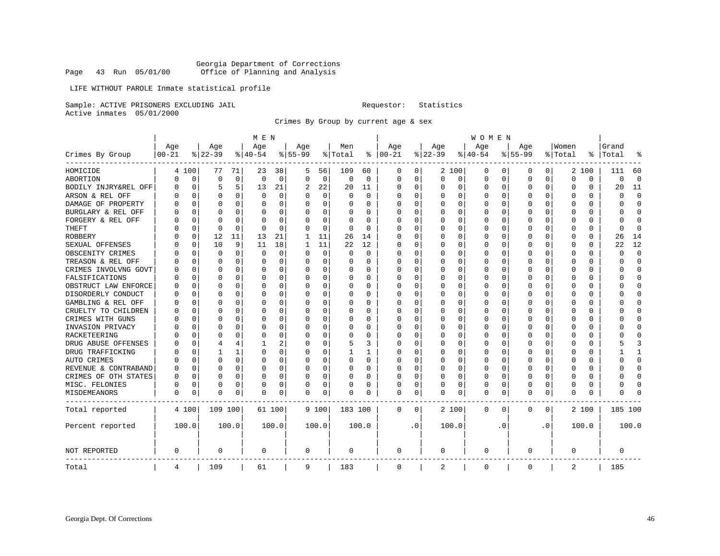## Georgia Department of Corrections Page 43 Run 05/01/00 Office of Planning and Analysis

## LIFE WITHOUT PAROLE Inmate statistical profile

Sample: ACTIVE PRISONERS EXCLUDING JAIL **Requestor:** Statistics Active inmates 05/01/2000

Crimes By Group by current age & sex

|                      |           |             |           |             | M E N    |          |           |             |             |             |            |          |             |             | <b>WOMEN</b> |           |             |           |          |          |             |              |
|----------------------|-----------|-------------|-----------|-------------|----------|----------|-----------|-------------|-------------|-------------|------------|----------|-------------|-------------|--------------|-----------|-------------|-----------|----------|----------|-------------|--------------|
|                      | Age       |             | Age       |             | Age      |          | Age       |             | Men         |             | Age        |          | Age         |             | Age          |           | Age         |           | Women    |          | Grand       |              |
| Crimes By Group      | $00 - 21$ |             | $8 22-39$ |             | $ 40-54$ |          | $8 55-99$ |             | % Total     |             | $% 100-21$ |          | $ 22-39$    |             | $ 40-54$     |           | $8 55-99$   |           | % Total  | ႜ        | Total       |              |
| HOMICIDE             |           | 4 100       | 77        | 71          | 23       | 38       | 5         | 56          | 109         | 60          | 0          | 0        |             | 2 100       | 0            | 0         | 0           | 0         |          | 2 100    | 111         | 60           |
| ABORTION             | U         | $\mathbf 0$ | $\Omega$  | $\mathbf 0$ | $\Omega$ | 0        | $\Omega$  | $\mathbf 0$ | $\mathbf 0$ | $\mathbf 0$ | $\Omega$   | 0        | $\mathbf 0$ | $\mathbf 0$ | 0            | 0         | $\Omega$    | 0         | $\Omega$ | $\Omega$ | $\mathbf 0$ | $\Omega$     |
| BODILY INJRY&REL OFF | O         | 0           | 5         | 5           | 13       | 21       | 2         | 22          | 20          | 11          | 0          | 0        | C           | 0           | 0            | 0         | $\Omega$    | 0         | O        | $\Omega$ | 20          | 11           |
| ARSON & REL OFF      | U         | $\Omega$    |           | 0           | 0        | 0        | $\Omega$  | $\mathbf 0$ | 0           | $\Omega$    | U          | 0        |             | 0           | 0            | 0         | $\Omega$    | 0         | $\Omega$ | $\Omega$ | O           | $\cap$       |
| DAMAGE OF PROPERTY   | N         | ∩           | $\cap$    | 0           | O        | $\Omega$ | $\Omega$  | 0           | $\Omega$    | U           | ∩          | $\Omega$ | ∩           | $\Omega$    | $\Omega$     | $\Omega$  | $\Omega$    | 0         | $\Omega$ | $\Omega$ | U           | $\Omega$     |
| BURGLARY & REL OFF   |           | $\Omega$    | n         | $\Omega$    | O        | 0        | $\Omega$  | 0           | $\Omega$    | $\Omega$    | U          | $\Omega$ | $\Omega$    | 0           | 0            | $\Omega$  | $\Omega$    | $\Omega$  | $\Omega$ | $\Omega$ | U           | ∩            |
| FORGERY & REL OFF    |           | C           | $\cap$    | $\Omega$    | $\Omega$ | $\Omega$ |           | $\mathbf 0$ | $\Omega$    | $\Omega$    | U          | 0        | $\cap$      | $\mathbf 0$ | $\Omega$     | $\Omega$  | $\Omega$    | 0         | ∩        | $\Omega$ | U           | $\cap$       |
| THEFT                |           | $\Omega$    | $\cap$    | $\Omega$    | U        | 0        | U         | 0           | $\Omega$    | $\Omega$    | ∩          | $\Omega$ | $\Omega$    | $\mathbf 0$ | 0            | 0         | $\Omega$    | 0         | ∩        | $\Omega$ | $\Omega$    | <sup>0</sup> |
| ROBBERY              |           | $\Omega$    | 12        | 11          | 13       | 21       | 1         | 11          | 26          | 14          | ∩          | 0        |             | 0           | $\Omega$     | $\Omega$  | $\Omega$    | $\Omega$  | O        | $\Omega$ | 26          | 14           |
| SEXUAL OFFENSES      |           | $\Omega$    | 10        | 9           | 11       | 18       | 1         | 11          | 22          | 12          | U          | 0        | $\Omega$    | $\Omega$    | $\Omega$     | O         | $\Omega$    | 0         | $\Omega$ | $\Omega$ | 22          | 12           |
| OBSCENITY CRIMES     | U         | $\Omega$    | n         | $\Omega$    | $\Omega$ | 0        | $\Omega$  | $\mathbf 0$ | 0           | $\Omega$    | 0          | $\Omega$ | C           | 0           | 0            | O         | $\Omega$    | 0         | $\Omega$ | $\Omega$ | O           | $\Omega$     |
| TREASON & REL OFF    |           | $\Omega$    | n         | $\Omega$    | O        | 0        | $\Omega$  | 0           | 0           | $\Omega$    | U          | 0        | C           | 0           | 0            | 0         | $\Omega$    | 0         | $\Omega$ | $\Omega$ | O           | $\Omega$     |
| CRIMES INVOLVNG GOVT |           | $\Omega$    | n         | $\Omega$    | O        | 0        | $\Omega$  | $\mathbf 0$ | $\Omega$    | 0           | U          | $\Omega$ | C           | 0           | 0            | $\Omega$  | $\Omega$    | 0         | $\Omega$ | $\Omega$ | U           | $\cap$       |
| FALSIFICATIONS       | N         | $\Omega$    | $\cap$    | 0           | O        | 0        | $\Omega$  | 0           | $\Omega$    | $\Omega$    | ∩          | $\Omega$ | C           | $\Omega$    | 0            | $\Omega$  | $\Omega$    | 0         | ∩        | 0        | U           | <sup>0</sup> |
| OBSTRUCT LAW ENFORCE | U         | C           |           | U           | O        | 0        | $\Omega$  | $\mathbf 0$ | O           | O           | U          | O        |             | 0           | 0            | O         | $\Omega$    | U         | O        | $\Omega$ |             |              |
| DISORDERLY CONDUCT   | N         | C           | n         | 0           | U        | $\Omega$ | $\Omega$  | 0           | $\Omega$    | 0           | U          | $\Omega$ | ∩           | $\Omega$    | $\Omega$     | O         | $\Omega$    | 0         | ∩        | $\Omega$ |             |              |
| GAMBLING & REL OFF   | 0         | C           | n         | $\Omega$    | O        | 0        | $\Omega$  | $\mathbf 0$ | 0           | 0           | U          | $\Omega$ | C           | $\Omega$    | 0            | $\Omega$  | $\Omega$    | 0         | O        | $\Omega$ |             | U            |
| CRUELTY TO CHILDREN  | N         | $\Omega$    |           | $\Omega$    | 0        | 0        | 0         | 0           | 0           | O           | U          | 0        | O           | $\mathbf 0$ | 0            | 0         | $\Omega$    | 0         | $\Omega$ | $\Omega$ |             |              |
| CRIMES WITH GUNS     | U         | $\Omega$    | $\cap$    | $\Omega$    | O        | 0        | $\Omega$  | $\mathbf 0$ | $\Omega$    | 0           | U          | 0        | $\Omega$    | 0           | 0            | $\Omega$  | $\Omega$    | 0         | $\Omega$ | $\Omega$ |             | U            |
| INVASION PRIVACY     | U         | $\Omega$    | n         | 0           | O        | 0        | $\Omega$  | 0           | 0           | 0           | U          | 0        | C           | 0           | 0            | $\Omega$  | $\Omega$    | 0         | $\Omega$ | $\Omega$ | U           | U            |
| RACKETEERING         |           | C           |           | 0           | U        | $\Omega$ | $\Omega$  | $\mathbf 0$ | $\Omega$    | O           | U          | O        | C           | $\Omega$    | $\Omega$     | $\Omega$  | $\Omega$    | 0         | ∩        | $\Omega$ |             |              |
| DRUG ABUSE OFFENSES  |           | $\Omega$    |           | 4           | 1        | 2        | $\Omega$  | 0           | 5           | 3           | U          | $\Omega$ | $\Omega$    | $\mathbf 0$ | 0            | O         | $\Omega$    | 0         | ∩        | $\Omega$ |             |              |
| DRUG TRAFFICKING     |           | $\Omega$    |           | 1           | O        | $\Omega$ | $\Omega$  | 0           | 1           | 1           | U          | $\Omega$ | C           | 0           | 0            | $\Omega$  | $\Omega$    | 0         | $\Omega$ | 0        |             |              |
| AUTO CRIMES          |           | C           | $\Omega$  | $\Omega$    | $\Omega$ | 0        | $\Omega$  | $\mathbf 0$ | 0           | $\Omega$    | U          | 0        | O           | 0           | $\Omega$     | 0         | $\Omega$    | O         | $\Omega$ | $\Omega$ | U           | $\cap$       |
| REVENUE & CONTRABAND | U         | $\Omega$    | $\cap$    | 0           | O        | 0        | $\Omega$  | 0           | 0           | $\Omega$    | U          | 0        | O           | 0           | 0            | 0         | $\Omega$    | 0         | $\Omega$ | $\Omega$ | U           | <sup>0</sup> |
| CRIMES OF OTH STATES | U         | $\Omega$    |           | 0           | O        | 0        | $\Omega$  | 0           | 0           | O           | U          | 0        |             | 0           | 0            | $\Omega$  | $\Omega$    | 0         | $\Omega$ | $\Omega$ | U           | U            |
| MISC. FELONIES       | U         | C           | O         | O           | O        | 0        | $\Omega$  | 0           | O           | O           | 0          | 0        | U           | 0           | 0            | O         | $\Omega$    | 0         | $\Omega$ | $\Omega$ | U           |              |
| MISDEMEANORS         | 0         | 0           | $\Omega$  | 0           | O        | 0        | $\Omega$  | $\mathbf 0$ | 0           | 0           | 0          | 0        | $\Omega$    | $\mathbf 0$ | 0            | 0         | 0           | 0         | $\Omega$ | $\Omega$ | U           |              |
| Total reported       |           | 4 100       | 109 100   |             |          | 61 100   |           | 9 100       | 183 100     |             | 0          | 0        |             | 2 100       | 0            | 0         | $\mathbf 0$ | 0         |          | 2 100    | 185 100     |              |
| Percent reported     |           | 100.0       |           | 100.0       |          | 100.0    |           | 100.0       |             | 100.0       |            | . 0      |             | 100.0       |              | $\cdot$ 0 |             | $\cdot$ 0 |          | 100.0    |             | 100.0        |
| NOT REPORTED         | 0         |             | 0         |             | 0        |          | 0         |             | 0           |             | 0          |          | 0           |             | 0            |           | $\mathbf 0$ |           | $\Omega$ |          | 0           |              |
| Total                | 4         |             | 109       |             | 61       |          | 9         |             | 183         |             | 0          |          | 2           |             | 0            |           | 0           |           | 2        |          | 185         |              |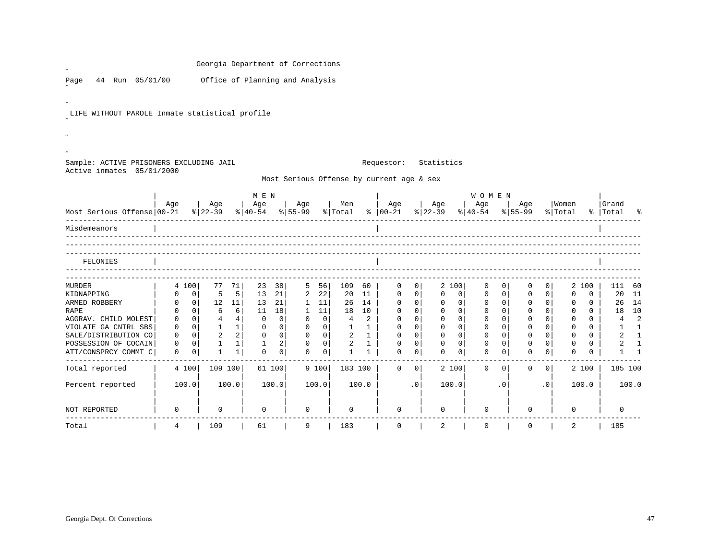|                                                |                |                      | Georgia Department of Corrections |                |                                     |                |                   |                   |                          |                |                                           |                      |                |                   |                                                                     |         |             |                           |                   |                            |                |                            |
|------------------------------------------------|----------------|----------------------|-----------------------------------|----------------|-------------------------------------|----------------|-------------------|-------------------|--------------------------|----------------|-------------------------------------------|----------------------|----------------|-------------------|---------------------------------------------------------------------|---------|-------------|---------------------------|-------------------|----------------------------|----------------|----------------------------|
| 44 Run 05/01/00<br>Page                        |                |                      | Office of Planning and Analysis   |                |                                     |                |                   |                   |                          |                |                                           |                      |                |                   |                                                                     |         |             |                           |                   |                            |                |                            |
|                                                |                |                      |                                   |                |                                     |                |                   |                   |                          |                |                                           |                      |                |                   |                                                                     |         |             |                           |                   |                            |                |                            |
| LIFE WITHOUT PAROLE Inmate statistical profile |                |                      |                                   |                |                                     |                |                   |                   |                          |                |                                           |                      |                |                   |                                                                     |         |             |                           |                   |                            |                |                            |
|                                                |                |                      |                                   |                |                                     |                |                   |                   |                          |                |                                           |                      |                |                   |                                                                     |         |             |                           |                   |                            |                |                            |
|                                                |                |                      |                                   |                |                                     |                |                   |                   |                          |                |                                           |                      |                |                   |                                                                     |         |             |                           |                   |                            |                |                            |
| Sample: ACTIVE PRISONERS EXCLUDING JAIL        |                |                      |                                   |                |                                     |                |                   |                   |                          |                | Requestor:                                |                      | Statistics     |                   |                                                                     |         |             |                           |                   |                            |                |                            |
| Active inmates 05/01/2000                      |                |                      |                                   |                |                                     |                |                   |                   |                          |                | Most Serious Offense by current age & sex |                      |                |                   |                                                                     |         |             |                           |                   |                            |                |                            |
|                                                |                |                      |                                   |                | M E N                               |                |                   |                   |                          |                |                                           |                      |                |                   |                                                                     |         |             |                           |                   |                            |                |                            |
|                                                | Age            |                      | Age                               |                | Age                                 |                | Age               |                   | Men                      |                | Age                                       |                      | Age            | Age               | <b>WOMEN</b>                                                        | Age     |             | Women                     |                   |                            | Grand          |                            |
| Most Serious Offense 00-21                     |                |                      | $\frac{1}{6}$   22-39             |                | $\frac{8}{40-54}$ $\frac{8}{55-99}$ |                |                   |                   |                          |                | % Total %   00-21                         |                      | $ 22-39 $      | $ 40-54 $         |                                                                     | % 55-99 |             | % Total                   |                   |                            | %   Total      |                            |
| Misdemeanors                                   |                |                      |                                   |                |                                     |                |                   |                   |                          |                |                                           |                      |                |                   |                                                                     |         |             |                           |                   |                            |                |                            |
|                                                |                |                      |                                   |                |                                     |                |                   |                   |                          |                |                                           |                      |                |                   |                                                                     |         |             |                           |                   |                            |                |                            |
| FELONIES                                       |                |                      |                                   |                |                                     |                |                   |                   |                          |                |                                           |                      |                |                   |                                                                     |         |             |                           |                   |                            |                |                            |
|                                                |                |                      |                                   |                |                                     |                |                   |                   |                          |                |                                           |                      |                |                   |                                                                     |         |             |                           |                   |                            |                |                            |
| MURDER                                         | 4 100          |                      | 77                                | 71             | 23                                  | 38             | 5                 | 56                | 109                      | 60             | 0                                         | 0 <sup>1</sup>       | 2 100          |                   | 0<br>$\overline{0}$                                                 |         | $\Omega$    | 0 <sup>1</sup>            |                   | 2 100                      | 111            | 60                         |
| KIDNAPPING                                     | 0<br>0         | 0 <sup>1</sup><br> 0 | 5<br>12 11                        | 5 <sup>1</sup> | 13<br>13                            | 21<br>21       | 2<br>$\mathbf{1}$ | 22<br>11          | 20                       | 11<br>26 14    | 0<br>0                                    | 0 <sup>1</sup><br> 0 | 0<br>0         | 0<br>$\mathbf{0}$ | 0 <sup>1</sup><br>0<br>0 <sup>1</sup><br>$\mathbf 0$                |         | 0<br>0      | $\overline{0}$<br>$\circ$ | 0<br>$\mathbf{0}$ | $\mathbf 0$<br>$\mathbf 0$ | 20<br>26       | 11<br>14                   |
| ARMED ROBBERY<br><b>RAPE</b>                   | 0              | $\Omega$             | 6                                 | 6              | 11                                  | 18             | $\mathbf{1}$      | 11                | 18                       | 10             | $\mathbf 0$                               | 0 <sup>1</sup>       | $\overline{0}$ | $\overline{0}$    | $\mathbf{0}$<br>$\overline{\phantom{0}}$ 0 $\overline{\phantom{0}}$ |         | $\Omega$    | $\Omega$                  | $\Omega$          | $\Omega$                   |                | 18 10                      |
| AGGRAV. CHILD MOLEST                           | $\mathbf{0}$   | 0 <sup>1</sup>       | $\overline{4}$                    | 4              | $\mathbf 0$                         | $\overline{0}$ | $\mathbf{0}$      | $\overline{0}$    | $\overline{4}$           | $\overline{2}$ | $\overline{0}$                            | 0 <sup>1</sup>       | $\overline{0}$ | 0 <sup>1</sup>    | $\overline{0}$<br>$\mathbf{0}$                                      |         | $\Omega$    | 0 <sup>1</sup>            | $\mathbf{0}$      | $\overline{0}$             | $\overline{4}$ | $\overline{\phantom{0}}^2$ |
| VIOLATE GA CNTRL SBS                           | $\mathbf 0$    | 0 <sup>1</sup>       | $\mathbf{1}$                      | 1              | $\mathbf 0$                         | 0 <sup>1</sup> |                   | $0 \qquad 0 \mid$ |                          | $1 \quad 1$    | $\mathsf{O}$                              | 0 <sup>1</sup>       | $\mathsf{O}$   | $\mathbf 0$       | $\mathbf 0$<br>$\overline{0}$                                       |         | $\mathbf 0$ | 0 <sup>1</sup>            | $\Omega$          | $\overline{0}$             |                | $1 \quad 1$                |
| SALE/DISTRIBUTION CO                           | 0              | 0 <sup>1</sup>       | $\overline{a}$                    | $\overline{2}$ | $\mathbf 0$                         | 0 <sup>1</sup> |                   | $0 \quad 0$       | $\overline{\phantom{a}}$ | $1 \quad$      | $\mathbf 0$                               | 0 <sup>1</sup>       | $\overline{0}$ | 0 <sup>1</sup>    | 0 <sup>1</sup><br>$\mathbf{0}$                                      |         | $\mathbf 0$ | 0 <sup>1</sup>            | $\Omega$          | $\Omega$                   |                | $2 \quad 1$                |
| POSSESSION OF COCAIN                           | $\mathbf{0}$   | 0 <sup>1</sup>       | $\mathbf{1}$                      | $1\vert$       | $\mathbf{1}$                        | 2              | $\mathbf 0$       | 0 <sup>1</sup>    | $\overline{2}$           | 1              | $\mathsf{O}$                              | 0 <sup>1</sup>       | $\mathbf 0$    | 0 <sup>1</sup>    | 0<br>0 <sup>1</sup>                                                 |         | $\mathbf 0$ | 0 <sup>1</sup>            | $\mathbf 0$       | $\mathbf{0}$               | $\overline{a}$ | $\overline{1}$             |
| ATT/CONSPRCY COMMT C                           | $\mathbf 0$    | 0 <sup>1</sup>       | 1                                 | 1              | $\Omega$                            | 0 <sup>1</sup> | $\mathbf 0$       | $\overline{0}$    | 1                        | $\mathbf{1}$   | $\Omega$                                  | $\overline{0}$       | $\mathbf 0$    | 0                 | 0<br>0 <sup>1</sup>                                                 |         | 0           | 0 <sup>1</sup>            | $\Omega$          | $\Omega$                   | $\mathbf{1}$   | $\overline{1}$             |
| Total reported                                 | 4 100          |                      | 109 100                           |                |                                     | 61 100         |                   | 9 100             |                          | 183 100        | $\Omega$                                  | $\circ$              | 2 100          |                   | 0<br>$\overline{0}$                                                 |         | $\Omega$    | 0 <sup>1</sup>            |                   | 2 100                      |                | 185 100                    |
| Percent reported                               | 100.0          |                      |                                   | 100.0          |                                     | 100.0          |                   | 100.0             |                          | 100.0          |                                           | $\cdot$ 0            | 100.0          |                   | $\cdot$ 0                                                           |         |             | .0 <sub>1</sub>           |                   | 100.0                      |                | 100.0                      |
|                                                |                |                      |                                   |                |                                     |                |                   |                   |                          |                |                                           |                      |                |                   |                                                                     |         |             |                           |                   |                            |                |                            |
| NOT REPORTED                                   | 0              |                      | 0                                 |                | 0                                   |                | 0                 |                   | 0                        |                | $\mathbf 0$                               |                      | $\mathbf 0$    |                   | 0                                                                   |         | $\Omega$    |                           | 0                 |                            | $\mathbf 0$    |                            |
| Total                                          | $\overline{4}$ |                      | 109                               |                | 61                                  |                | 9                 |                   | 183                      |                | $\mathsf{O}\xspace$                       |                      | 2              |                   | 0                                                                   |         | 0           |                           | 2                 |                            | 185            |                            |